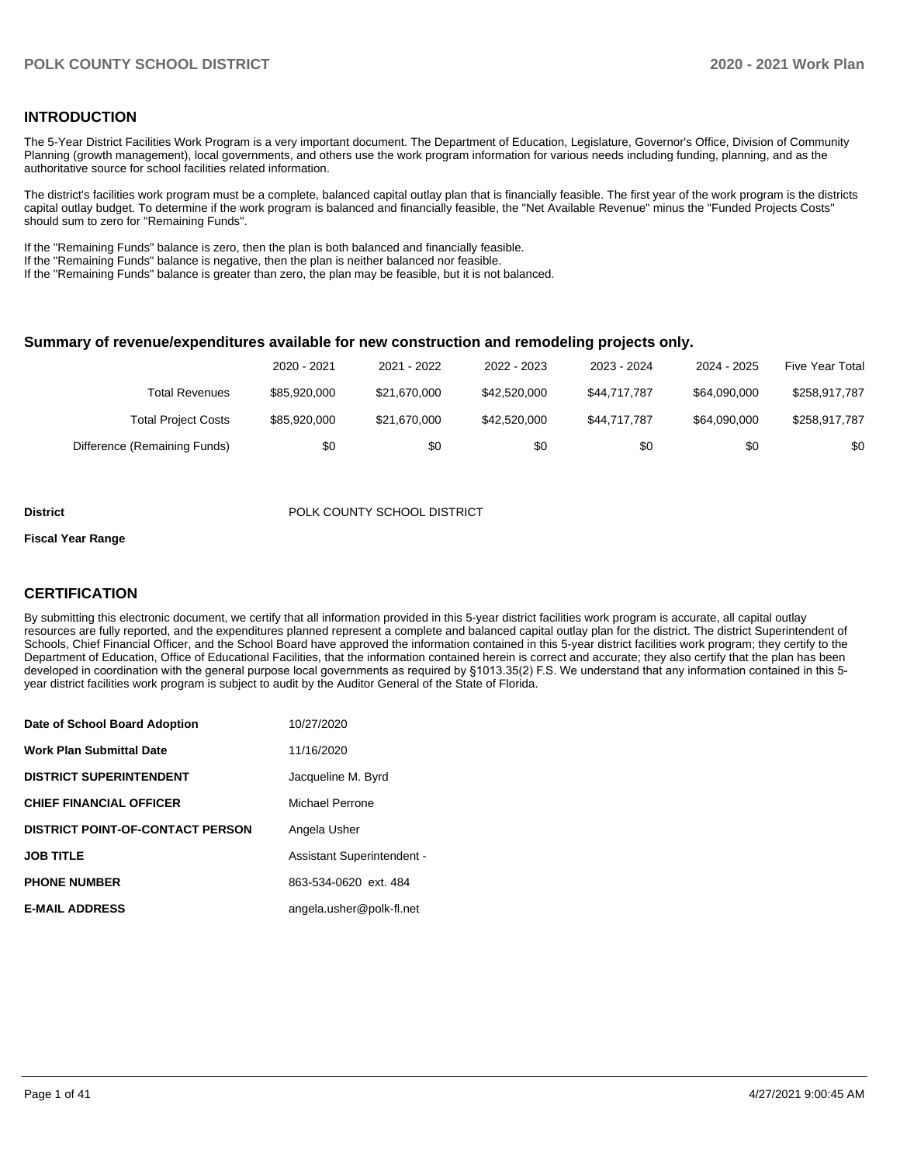## **INTRODUCTION**

The 5-Year District Facilities Work Program is a very important document. The Department of Education, Legislature, Governor's Office, Division of Community Planning (growth management), local governments, and others use the work program information for various needs including funding, planning, and as the authoritative source for school facilities related information.

The district's facilities work program must be a complete, balanced capital outlay plan that is financially feasible. The first year of the work program is the districts capital outlay budget. To determine if the work program is balanced and financially feasible, the "Net Available Revenue" minus the "Funded Projects Costs" should sum to zero for "Remaining Funds".

If the "Remaining Funds" balance is zero, then the plan is both balanced and financially feasible.

If the "Remaining Funds" balance is negative, then the plan is neither balanced nor feasible.

If the "Remaining Funds" balance is greater than zero, the plan may be feasible, but it is not balanced.

#### **Summary of revenue/expenditures available for new construction and remodeling projects only.**

|                              | 2020 - 2021  | 2021 - 2022  | 2022 - 2023  | 2023 - 2024  | 2024 - 2025  | <b>Five Year Total</b> |
|------------------------------|--------------|--------------|--------------|--------------|--------------|------------------------|
| Total Revenues               | \$85.920.000 | \$21.670.000 | \$42,520,000 | \$44.717.787 | \$64,090,000 | \$258.917.787          |
| <b>Total Project Costs</b>   | \$85.920.000 | \$21,670,000 | \$42,520,000 | \$44.717.787 | \$64,090,000 | \$258,917,787          |
| Difference (Remaining Funds) | \$0          | \$0          | \$0          | \$0          | \$0          | \$0                    |

#### **District District POLK COUNTY SCHOOL DISTRICT**

#### **Fiscal Year Range**

## **CERTIFICATION**

By submitting this electronic document, we certify that all information provided in this 5-year district facilities work program is accurate, all capital outlay resources are fully reported, and the expenditures planned represent a complete and balanced capital outlay plan for the district. The district Superintendent of Schools, Chief Financial Officer, and the School Board have approved the information contained in this 5-year district facilities work program; they certify to the Department of Education, Office of Educational Facilities, that the information contained herein is correct and accurate; they also certify that the plan has been developed in coordination with the general purpose local governments as required by §1013.35(2) F.S. We understand that any information contained in this 5 year district facilities work program is subject to audit by the Auditor General of the State of Florida.

| Date of School Board Adoption           | 10/27/2020                 |
|-----------------------------------------|----------------------------|
| <b>Work Plan Submittal Date</b>         | 11/16/2020                 |
| <b>DISTRICT SUPERINTENDENT</b>          | Jacqueline M. Byrd         |
| <b>CHIEF FINANCIAL OFFICER</b>          | Michael Perrone            |
| <b>DISTRICT POINT-OF-CONTACT PERSON</b> | Angela Usher               |
| <b>JOB TITLE</b>                        | Assistant Superintendent - |
| <b>PHONE NUMBER</b>                     | 863-534-0620 ext. 484      |
| <b>E-MAIL ADDRESS</b>                   | angela.usher@polk-fl.net   |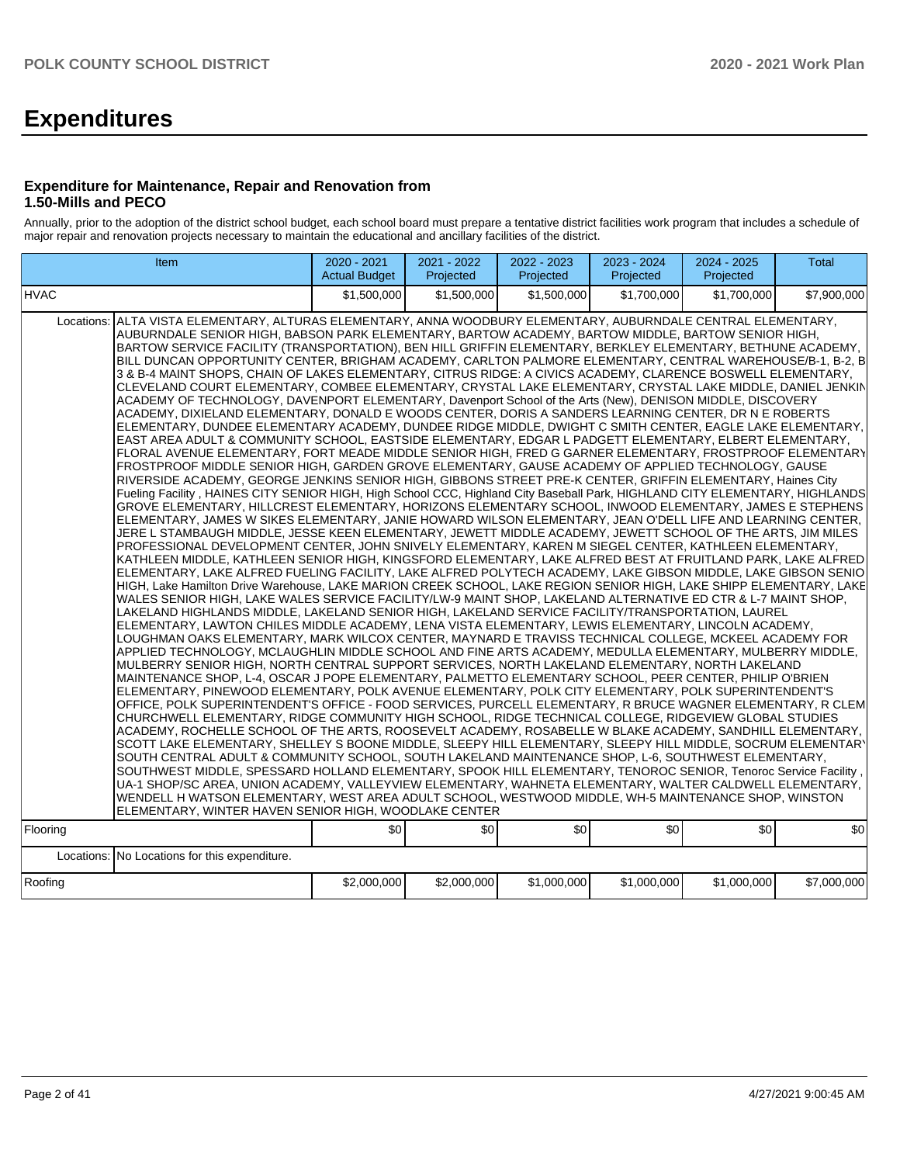# **Expenditures**

### **Expenditure for Maintenance, Repair and Renovation from 1.50-Mills and PECO**

Annually, prior to the adoption of the district school budget, each school board must prepare a tentative district facilities work program that includes a schedule of major repair and renovation projects necessary to maintain the educational and ancillary facilities of the district.

|                        | Item                                                                                                                                                                                                                                                                                                                                                                                                                                                                                                                                                                                                                                                                                                                                                                                                                                                                                                                                                                                                                                                                                                                                                                                                                                                                                                                                                                                                                                                                                                                                                                                                                                                                                                                                                                                                                                                                                                                                                                                                                                                                                                                                                                                                                                                                                                                                                                                                                                                                                                                                                                                                                                                                                                                                                                                                                                                                                                                                                                                                                                                                                                                                                                                                                                                                                                                                                                                                                                                                                                                                                                                                                                                                                                                                                                                                                                                                                                                                                                                                                                                                                                                                                                                                                                | 2020 - 2021<br><b>Actual Budget</b> | $2021 - 2022$<br>Projected | 2022 - 2023<br>Projected | 2023 - 2024<br>Projected | 2024 - 2025<br>Projected | <b>Total</b> |
|------------------------|-------------------------------------------------------------------------------------------------------------------------------------------------------------------------------------------------------------------------------------------------------------------------------------------------------------------------------------------------------------------------------------------------------------------------------------------------------------------------------------------------------------------------------------------------------------------------------------------------------------------------------------------------------------------------------------------------------------------------------------------------------------------------------------------------------------------------------------------------------------------------------------------------------------------------------------------------------------------------------------------------------------------------------------------------------------------------------------------------------------------------------------------------------------------------------------------------------------------------------------------------------------------------------------------------------------------------------------------------------------------------------------------------------------------------------------------------------------------------------------------------------------------------------------------------------------------------------------------------------------------------------------------------------------------------------------------------------------------------------------------------------------------------------------------------------------------------------------------------------------------------------------------------------------------------------------------------------------------------------------------------------------------------------------------------------------------------------------------------------------------------------------------------------------------------------------------------------------------------------------------------------------------------------------------------------------------------------------------------------------------------------------------------------------------------------------------------------------------------------------------------------------------------------------------------------------------------------------------------------------------------------------------------------------------------------------------------------------------------------------------------------------------------------------------------------------------------------------------------------------------------------------------------------------------------------------------------------------------------------------------------------------------------------------------------------------------------------------------------------------------------------------------------------------------------------------------------------------------------------------------------------------------------------------------------------------------------------------------------------------------------------------------------------------------------------------------------------------------------------------------------------------------------------------------------------------------------------------------------------------------------------------------------------------------------------------------------------------------------------------------------------------------------------------------------------------------------------------------------------------------------------------------------------------------------------------------------------------------------------------------------------------------------------------------------------------------------------------------------------------------------------------------------------------------------------------------------------------------------------------|-------------------------------------|----------------------------|--------------------------|--------------------------|--------------------------|--------------|
| <b>HVAC</b>            |                                                                                                                                                                                                                                                                                                                                                                                                                                                                                                                                                                                                                                                                                                                                                                                                                                                                                                                                                                                                                                                                                                                                                                                                                                                                                                                                                                                                                                                                                                                                                                                                                                                                                                                                                                                                                                                                                                                                                                                                                                                                                                                                                                                                                                                                                                                                                                                                                                                                                                                                                                                                                                                                                                                                                                                                                                                                                                                                                                                                                                                                                                                                                                                                                                                                                                                                                                                                                                                                                                                                                                                                                                                                                                                                                                                                                                                                                                                                                                                                                                                                                                                                                                                                                                     | \$1,500,000                         | \$1,500,000                | \$1.500.000              | \$1.700.000              | \$1.700.000              | \$7,900,000  |
| Locations:<br>Flooring | ALTA VISTA ELEMENTARY, ALTURAS ELEMENTARY, ANNA WOODBURY ELEMENTARY, AUBURNDALE CENTRAL ELEMENTARY,<br>AUBURNDALE SENIOR HIGH, BABSON PARK ELEMENTARY, BARTOW ACADEMY, BARTOW MIDDLE, BARTOW SENIOR HIGH,<br>BARTOW SERVICE FACILITY (TRANSPORTATION), BEN HILL GRIFFIN ELEMENTARY, BERKLEY ELEMENTARY, BETHUNE ACADEMY,<br> BILL DUNCAN OPPORTUNITY CENTER, BRIGHAM ACADEMY, CARLTON PALMORE ELEMENTARY, CENTRAL WAREHOUSE/B-1, B-2, B <br>3 & B-4 MAINT SHOPS, CHAIN OF LAKES ELEMENTARY, CITRUS RIDGE: A CIVICS ACADEMY, CLARENCE BOSWELL ELEMENTARY,<br>CLEVELAND COURT ELEMENTARY, COMBEE ELEMENTARY, CRYSTAL LAKE ELEMENTARY, CRYSTAL LAKE MIDDLE, DANIEL JENKIN<br>ACADEMY OF TECHNOLOGY, DAVENPORT ELEMENTARY, Davenport School of the Arts (New), DENISON MIDDLE, DISCOVERY<br>ACADEMY, DIXIELAND ELEMENTARY, DONALD E WOODS CENTER, DORIS A SANDERS LEARNING CENTER, DR N E ROBERTS<br> ELEMENTARY, DUNDEE ELEMENTARY ACADEMY, DUNDEE RIDGE MIDDLE, DWIGHT C SMITH CENTER, EAGLE LAKE ELEMENTARY,<br>EAST AREA ADULT & COMMUNITY SCHOOL, EASTSIDE ELEMENTARY, EDGAR L PADGETT ELEMENTARY, ELBERT ELEMENTARY,<br>FLORAL AVENUE ELEMENTARY, FORT MEADE MIDDLE SENIOR HIGH, FRED G GARNER ELEMENTARY, FROSTPROOF ELEMENTARY<br>FROSTPROOF MIDDLE SENIOR HIGH, GARDEN GROVE ELEMENTARY, GAUSE ACADEMY OF APPLIED TECHNOLOGY, GAUSE<br>RIVERSIDE ACADEMY, GEORGE JENKINS SENIOR HIGH, GIBBONS STREET PRE-K CENTER, GRIFFIN ELEMENTARY, Haines City<br>Fueling Facility, HAINES CITY SENIOR HIGH, High School CCC, Highland City Baseball Park, HIGHLAND CITY ELEMENTARY, HIGHLANDS<br>GROVE ELEMENTARY. HILLCREST ELEMENTARY. HORIZONS ELEMENTARY SCHOOL. INWOOD ELEMENTARY. JAMES E STEPHENS<br>ELEMENTARY, JAMES W SIKES ELEMENTARY, JANIE HOWARD WILSON ELEMENTARY, JEAN O'DELL LIFE AND LEARNING CENTER,<br>JERE L STAMBAUGH MIDDLE, JESSE KEEN ELEMENTARY, JEWETT MIDDLE ACADEMY, JEWETT SCHOOL OF THE ARTS, JIM MILES<br>PROFESSIONAL DEVELOPMENT CENTER, JOHN SNIVELY ELEMENTARY, KAREN M SIEGEL CENTER, KATHLEEN ELEMENTARY,<br>KATHLEEN MIDDLE, KATHLEEN SENIOR HIGH, KINGSFORD ELEMENTARY, LAKE ALFRED BEST AT FRUITLAND PARK, LAKE ALFRED<br>ELEMENTARY, LAKE ALFRED FUELING FACILITY, LAKE ALFRED POLYTECH ACADEMY, LAKE GIBSON MIDDLE, LAKE GIBSON SENIO<br>HIGH, Lake Hamilton Drive Warehouse, LAKE MARION CREEK SCHOOL, LAKE REGION SENIOR HIGH, LAKE SHIPP ELEMENTARY, LAKE<br>WALES SENIOR HIGH, LAKE WALES SERVICE FACILITY/LW-9 MAINT SHOP, LAKELAND ALTERNATIVE ED CTR & L-7 MAINT SHOP,<br>LAKELAND HIGHLANDS MIDDLE, LAKELAND SENIOR HIGH, LAKELAND SERVICE FACILITY/TRANSPORTATION, LAUREL<br>ELEMENTARY, LAWTON CHILES MIDDLE ACADEMY, LENA VISTA ELEMENTARY, LEWIS ELEMENTARY, LINCOLN ACADEMY,<br>LOUGHMAN OAKS ELEMENTARY, MARK WILCOX CENTER, MAYNARD E TRAVISS TECHNICAL COLLEGE, MCKEEL ACADEMY FOR<br>APPLIED TECHNOLOGY, MCLAUGHLIN MIDDLE SCHOOL AND FINE ARTS ACADEMY, MEDULLA ELEMENTARY, MULBERRY MIDDLE,<br>MULBERRY SENIOR HIGH, NORTH CENTRAL SUPPORT SERVICES, NORTH LAKELAND ELEMENTARY, NORTH LAKELAND<br>MAINTENANCE SHOP, L-4, OSCAR J POPE ELEMENTARY, PALMETTO ELEMENTARY SCHOOL, PEER CENTER, PHILIP O'BRIEN<br>ELEMENTARY, PINEWOOD ELEMENTARY, POLK AVENUE ELEMENTARY, POLK CITY ELEMENTARY, POLK SUPERINTENDENT'S<br>OFFICE, POLK SUPERINTENDENT'S OFFICE - FOOD SERVICES, PURCELL ELEMENTARY, R BRUCE WAGNER ELEMENTARY, R CLEM<br>CHURCHWELL ELEMENTARY, RIDGE COMMUNITY HIGH SCHOOL, RIDGE TECHNICAL COLLEGE, RIDGEVIEW GLOBAL STUDIES<br>ACADEMY, ROCHELLE SCHOOL OF THE ARTS, ROOSEVELT ACADEMY, ROSABELLE W BLAKE ACADEMY, SANDHILL ELEMENTARY,<br>SCOTT LAKE ELEMENTARY, SHELLEY S BOONE MIDDLE, SLEEPY HILL ELEMENTARY, SLEEPY HILL MIDDLE, SOCRUM ELEMENTARY<br>SOUTH CENTRAL ADULT & COMMUNITY SCHOOL, SOUTH LAKELAND MAINTENANCE SHOP, L-6, SOUTHWEST ELEMENTARY,<br>SOUTHWEST MIDDLE, SPESSARD HOLLAND ELEMENTARY, SPOOK HILL ELEMENTARY, TENOROC SENIOR, Tenoroc Service Facility<br>UA-1 SHOP/SC AREA, UNION ACADEMY, VALLEYVIEW ELEMENTARY, WAHNETA ELEMENTARY, WALTER CALDWELL ELEMENTARY,<br>WENDELL H WATSON ELEMENTARY, WEST AREA ADULT SCHOOL, WESTWOOD MIDDLE, WH-5 MAINTENANCE SHOP, WINSTON<br>ELEMENTARY, WINTER HAVEN SENIOR HIGH, WOODLAKE CENTER | \$0                                 | \$0 <sub>1</sub>           | \$0                      | \$0                      | \$0                      | \$0          |
|                        | Locations: No Locations for this expenditure.                                                                                                                                                                                                                                                                                                                                                                                                                                                                                                                                                                                                                                                                                                                                                                                                                                                                                                                                                                                                                                                                                                                                                                                                                                                                                                                                                                                                                                                                                                                                                                                                                                                                                                                                                                                                                                                                                                                                                                                                                                                                                                                                                                                                                                                                                                                                                                                                                                                                                                                                                                                                                                                                                                                                                                                                                                                                                                                                                                                                                                                                                                                                                                                                                                                                                                                                                                                                                                                                                                                                                                                                                                                                                                                                                                                                                                                                                                                                                                                                                                                                                                                                                                                       |                                     |                            |                          |                          |                          |              |
|                        |                                                                                                                                                                                                                                                                                                                                                                                                                                                                                                                                                                                                                                                                                                                                                                                                                                                                                                                                                                                                                                                                                                                                                                                                                                                                                                                                                                                                                                                                                                                                                                                                                                                                                                                                                                                                                                                                                                                                                                                                                                                                                                                                                                                                                                                                                                                                                                                                                                                                                                                                                                                                                                                                                                                                                                                                                                                                                                                                                                                                                                                                                                                                                                                                                                                                                                                                                                                                                                                                                                                                                                                                                                                                                                                                                                                                                                                                                                                                                                                                                                                                                                                                                                                                                                     |                                     |                            |                          |                          |                          |              |
| Roofing                |                                                                                                                                                                                                                                                                                                                                                                                                                                                                                                                                                                                                                                                                                                                                                                                                                                                                                                                                                                                                                                                                                                                                                                                                                                                                                                                                                                                                                                                                                                                                                                                                                                                                                                                                                                                                                                                                                                                                                                                                                                                                                                                                                                                                                                                                                                                                                                                                                                                                                                                                                                                                                                                                                                                                                                                                                                                                                                                                                                                                                                                                                                                                                                                                                                                                                                                                                                                                                                                                                                                                                                                                                                                                                                                                                                                                                                                                                                                                                                                                                                                                                                                                                                                                                                     | \$2,000,000                         | \$2,000,000                | \$1,000,000              | \$1,000,000              | \$1,000,000              | \$7,000,000  |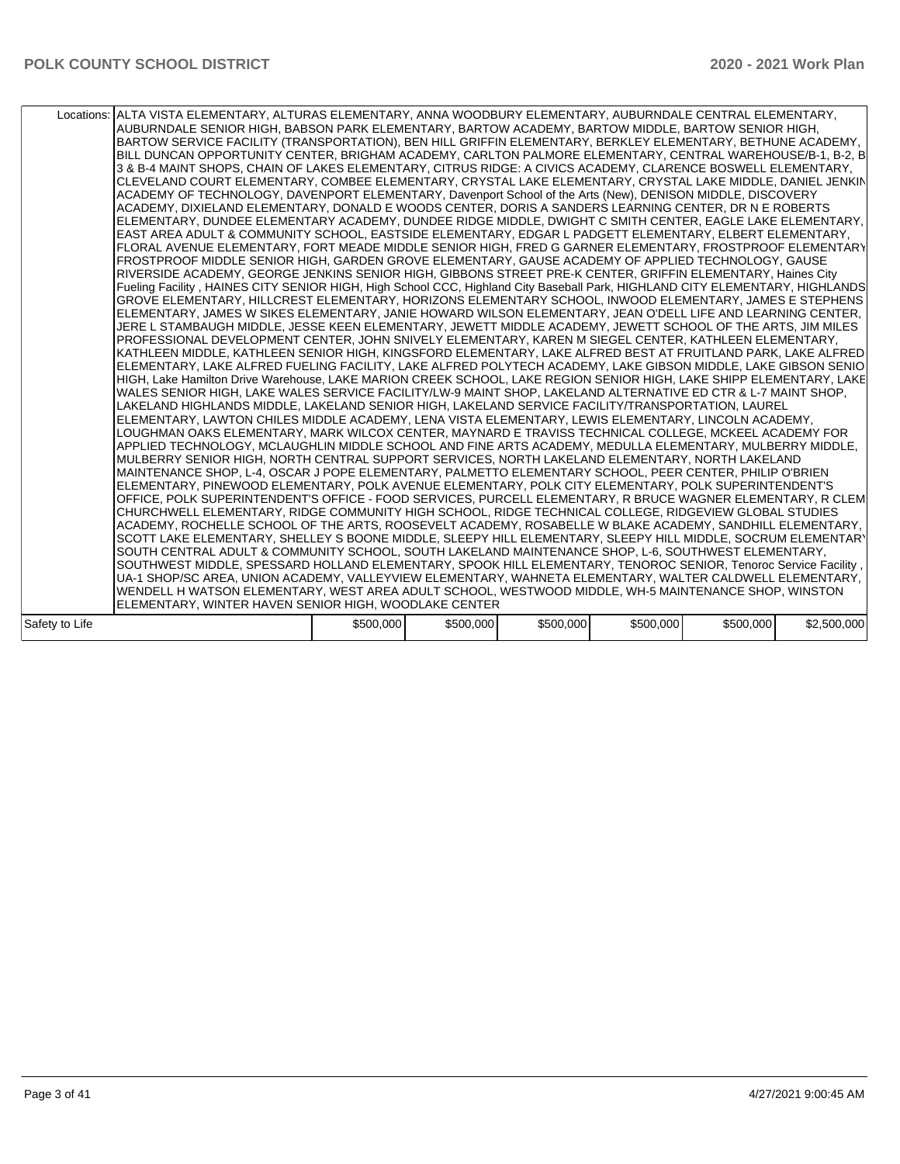| Locations: ALTA VISTA ELEMENTARY, ALTURAS ELEMENTARY, ANNA WOODBURY ELEMENTARY, AUBURNDALE CENTRAL ELEMENTARY,<br>AUBURNDALE SENIOR HIGH, BABSON PARK ELEMENTARY, BARTOW ACADEMY, BARTOW MIDDLE, BARTOW SENIOR HIGH,<br>BARTOW SERVICE FACILITY (TRANSPORTATION), BEN HILL GRIFFIN ELEMENTARY, BERKLEY ELEMENTARY, BETHUNE ACADEMY,<br>BILL DUNCAN OPPORTUNITY CENTER, BRIGHAM ACADEMY, CARLTON PALMORE ELEMENTARY, CENTRAL WAREHOUSE/B-1, B-2, B<br>3 & B-4 MAINT SHOPS, CHAIN OF LAKES ELEMENTARY, CITRUS RIDGE: A CIVICS ACADEMY, CLARENCE BOSWELL ELEMENTARY,<br>CLEVELAND COURT ELEMENTARY, COMBEE ELEMENTARY, CRYSTAL LAKE ELEMENTARY, CRYSTAL LAKE MIDDLE, DANIEL JENKIN<br>ACADEMY OF TECHNOLOGY, DAVENPORT ELEMENTARY, Davenport School of the Arts (New), DENISON MIDDLE, DISCOVERY<br>ACADEMY, DIXIELAND ELEMENTARY, DONALD E WOODS CENTER, DORIS A SANDERS LEARNING CENTER, DR N E ROBERTS<br>ELEMENTARY, DUNDEE ELEMENTARY ACADEMY, DUNDEE RIDGE MIDDLE, DWIGHT C SMITH CENTER, EAGLE LAKE ELEMENTARY,<br>EAST AREA ADULT & COMMUNITY SCHOOL, EASTSIDE ELEMENTARY, EDGAR L PADGETT ELEMENTARY, ELBERT ELEMENTARY,<br>FLORAL AVENUE ELEMENTARY, FORT MEADE MIDDLE SENIOR HIGH, FRED G GARNER ELEMENTARY, FROSTPROOF ELEMENTARY<br>FROSTPROOF MIDDLE SENIOR HIGH, GARDEN GROVE ELEMENTARY, GAUSE ACADEMY OF APPLIED TECHNOLOGY, GAUSE<br>RIVERSIDE ACADEMY, GEORGE JENKINS SENIOR HIGH, GIBBONS STREET PRE-K CENTER, GRIFFIN ELEMENTARY, Haines City<br>Fueling Facility, HAINES CITY SENIOR HIGH, High School CCC, Highland City Baseball Park, HIGHLAND CITY ELEMENTARY, HIGHLANDS<br>GROVE ELEMENTARY, HILLCREST ELEMENTARY, HORIZONS ELEMENTARY SCHOOL, INWOOD ELEMENTARY, JAMES E STEPHENS<br>ELEMENTARY, JAMES W SIKES ELEMENTARY, JANIE HOWARD WILSON ELEMENTARY, JEAN O'DELL LIFE AND LEARNING CENTER,<br>JERE L STAMBAUGH MIDDLE, JESSE KEEN ELEMENTARY, JEWETT MIDDLE ACADEMY, JEWETT SCHOOL OF THE ARTS, JIM MILES<br>PROFESSIONAL DEVELOPMENT CENTER, JOHN SNIVELY ELEMENTARY, KAREN M SIEGEL CENTER, KATHLEEN ELEMENTARY,<br>KATHLEEN MIDDLE, KATHLEEN SENIOR HIGH, KINGSFORD ELEMENTARY, LAKE ALFRED BEST AT FRUITLAND PARK, LAKE ALFRED<br>ELEMENTARY, LAKE ALFRED FUELING FACILITY, LAKE ALFRED POLYTECH ACADEMY, LAKE GIBSON MIDDLE, LAKE GIBSON SENIO<br>HIGH, Lake Hamilton Drive Warehouse, LAKE MARION CREEK SCHOOL, LAKE REGION SENIOR HIGH, LAKE SHIPP ELEMENTARY, LAKE<br>WALES SENIOR HIGH, LAKE WALES SERVICE FACILITY/LW-9 MAINT SHOP, LAKELAND ALTERNATIVE ED CTR & L-7 MAINT SHOP,<br>LAKELAND HIGHLANDS MIDDLE, LAKELAND SENIOR HIGH, LAKELAND SERVICE FACILITY/TRANSPORTATION, LAUREL<br>ELEMENTARY, LAWTON CHILES MIDDLE ACADEMY, LENA VISTA ELEMENTARY, LEWIS ELEMENTARY, LINCOLN ACADEMY,<br>LOUGHMAN OAKS ELEMENTARY, MARK WILCOX CENTER, MAYNARD E TRAVISS TECHNICAL COLLEGE, MCKEEL ACADEMY FOR<br>APPLIED TECHNOLOGY, MCLAUGHLIN MIDDLE SCHOOL AND FINE ARTS ACADEMY, MEDULLA ELEMENTARY, MULBERRY MIDDLE,<br>MULBERRY SENIOR HIGH, NORTH CENTRAL SUPPORT SERVICES, NORTH LAKELAND ELEMENTARY, NORTH LAKELAND<br>MAINTENANCE SHOP, L-4, OSCAR J POPE ELEMENTARY, PALMETTO ELEMENTARY SCHOOL, PEER CENTER, PHILIP O'BRIEN<br>ELEMENTARY, PINEWOOD ELEMENTARY, POLK AVENUE ELEMENTARY, POLK CITY ELEMENTARY, POLK SUPERINTENDENT'S |           |           |           |           |           |             |
|-----------------------------------------------------------------------------------------------------------------------------------------------------------------------------------------------------------------------------------------------------------------------------------------------------------------------------------------------------------------------------------------------------------------------------------------------------------------------------------------------------------------------------------------------------------------------------------------------------------------------------------------------------------------------------------------------------------------------------------------------------------------------------------------------------------------------------------------------------------------------------------------------------------------------------------------------------------------------------------------------------------------------------------------------------------------------------------------------------------------------------------------------------------------------------------------------------------------------------------------------------------------------------------------------------------------------------------------------------------------------------------------------------------------------------------------------------------------------------------------------------------------------------------------------------------------------------------------------------------------------------------------------------------------------------------------------------------------------------------------------------------------------------------------------------------------------------------------------------------------------------------------------------------------------------------------------------------------------------------------------------------------------------------------------------------------------------------------------------------------------------------------------------------------------------------------------------------------------------------------------------------------------------------------------------------------------------------------------------------------------------------------------------------------------------------------------------------------------------------------------------------------------------------------------------------------------------------------------------------------------------------------------------------------------------------------------------------------------------------------------------------------------------------------------------------------------------------------------------------------------------------------------------------------------------------------------------------------------------------------------------------------------------------------------------------------------------------------------------------------------------------------------------------------------------------------------------------------------------------------------------------------------------------|-----------|-----------|-----------|-----------|-----------|-------------|
|                                                                                                                                                                                                                                                                                                                                                                                                                                                                                                                                                                                                                                                                                                                                                                                                                                                                                                                                                                                                                                                                                                                                                                                                                                                                                                                                                                                                                                                                                                                                                                                                                                                                                                                                                                                                                                                                                                                                                                                                                                                                                                                                                                                                                                                                                                                                                                                                                                                                                                                                                                                                                                                                                                                                                                                                                                                                                                                                                                                                                                                                                                                                                                                                                                                                                   |           |           |           |           |           |             |
|                                                                                                                                                                                                                                                                                                                                                                                                                                                                                                                                                                                                                                                                                                                                                                                                                                                                                                                                                                                                                                                                                                                                                                                                                                                                                                                                                                                                                                                                                                                                                                                                                                                                                                                                                                                                                                                                                                                                                                                                                                                                                                                                                                                                                                                                                                                                                                                                                                                                                                                                                                                                                                                                                                                                                                                                                                                                                                                                                                                                                                                                                                                                                                                                                                                                                   |           |           |           |           |           |             |
|                                                                                                                                                                                                                                                                                                                                                                                                                                                                                                                                                                                                                                                                                                                                                                                                                                                                                                                                                                                                                                                                                                                                                                                                                                                                                                                                                                                                                                                                                                                                                                                                                                                                                                                                                                                                                                                                                                                                                                                                                                                                                                                                                                                                                                                                                                                                                                                                                                                                                                                                                                                                                                                                                                                                                                                                                                                                                                                                                                                                                                                                                                                                                                                                                                                                                   |           |           |           |           |           |             |
|                                                                                                                                                                                                                                                                                                                                                                                                                                                                                                                                                                                                                                                                                                                                                                                                                                                                                                                                                                                                                                                                                                                                                                                                                                                                                                                                                                                                                                                                                                                                                                                                                                                                                                                                                                                                                                                                                                                                                                                                                                                                                                                                                                                                                                                                                                                                                                                                                                                                                                                                                                                                                                                                                                                                                                                                                                                                                                                                                                                                                                                                                                                                                                                                                                                                                   |           |           |           |           |           |             |
|                                                                                                                                                                                                                                                                                                                                                                                                                                                                                                                                                                                                                                                                                                                                                                                                                                                                                                                                                                                                                                                                                                                                                                                                                                                                                                                                                                                                                                                                                                                                                                                                                                                                                                                                                                                                                                                                                                                                                                                                                                                                                                                                                                                                                                                                                                                                                                                                                                                                                                                                                                                                                                                                                                                                                                                                                                                                                                                                                                                                                                                                                                                                                                                                                                                                                   |           |           |           |           |           |             |
|                                                                                                                                                                                                                                                                                                                                                                                                                                                                                                                                                                                                                                                                                                                                                                                                                                                                                                                                                                                                                                                                                                                                                                                                                                                                                                                                                                                                                                                                                                                                                                                                                                                                                                                                                                                                                                                                                                                                                                                                                                                                                                                                                                                                                                                                                                                                                                                                                                                                                                                                                                                                                                                                                                                                                                                                                                                                                                                                                                                                                                                                                                                                                                                                                                                                                   |           |           |           |           |           |             |
|                                                                                                                                                                                                                                                                                                                                                                                                                                                                                                                                                                                                                                                                                                                                                                                                                                                                                                                                                                                                                                                                                                                                                                                                                                                                                                                                                                                                                                                                                                                                                                                                                                                                                                                                                                                                                                                                                                                                                                                                                                                                                                                                                                                                                                                                                                                                                                                                                                                                                                                                                                                                                                                                                                                                                                                                                                                                                                                                                                                                                                                                                                                                                                                                                                                                                   |           |           |           |           |           |             |
|                                                                                                                                                                                                                                                                                                                                                                                                                                                                                                                                                                                                                                                                                                                                                                                                                                                                                                                                                                                                                                                                                                                                                                                                                                                                                                                                                                                                                                                                                                                                                                                                                                                                                                                                                                                                                                                                                                                                                                                                                                                                                                                                                                                                                                                                                                                                                                                                                                                                                                                                                                                                                                                                                                                                                                                                                                                                                                                                                                                                                                                                                                                                                                                                                                                                                   |           |           |           |           |           |             |
|                                                                                                                                                                                                                                                                                                                                                                                                                                                                                                                                                                                                                                                                                                                                                                                                                                                                                                                                                                                                                                                                                                                                                                                                                                                                                                                                                                                                                                                                                                                                                                                                                                                                                                                                                                                                                                                                                                                                                                                                                                                                                                                                                                                                                                                                                                                                                                                                                                                                                                                                                                                                                                                                                                                                                                                                                                                                                                                                                                                                                                                                                                                                                                                                                                                                                   |           |           |           |           |           |             |
|                                                                                                                                                                                                                                                                                                                                                                                                                                                                                                                                                                                                                                                                                                                                                                                                                                                                                                                                                                                                                                                                                                                                                                                                                                                                                                                                                                                                                                                                                                                                                                                                                                                                                                                                                                                                                                                                                                                                                                                                                                                                                                                                                                                                                                                                                                                                                                                                                                                                                                                                                                                                                                                                                                                                                                                                                                                                                                                                                                                                                                                                                                                                                                                                                                                                                   |           |           |           |           |           |             |
|                                                                                                                                                                                                                                                                                                                                                                                                                                                                                                                                                                                                                                                                                                                                                                                                                                                                                                                                                                                                                                                                                                                                                                                                                                                                                                                                                                                                                                                                                                                                                                                                                                                                                                                                                                                                                                                                                                                                                                                                                                                                                                                                                                                                                                                                                                                                                                                                                                                                                                                                                                                                                                                                                                                                                                                                                                                                                                                                                                                                                                                                                                                                                                                                                                                                                   |           |           |           |           |           |             |
|                                                                                                                                                                                                                                                                                                                                                                                                                                                                                                                                                                                                                                                                                                                                                                                                                                                                                                                                                                                                                                                                                                                                                                                                                                                                                                                                                                                                                                                                                                                                                                                                                                                                                                                                                                                                                                                                                                                                                                                                                                                                                                                                                                                                                                                                                                                                                                                                                                                                                                                                                                                                                                                                                                                                                                                                                                                                                                                                                                                                                                                                                                                                                                                                                                                                                   |           |           |           |           |           |             |
|                                                                                                                                                                                                                                                                                                                                                                                                                                                                                                                                                                                                                                                                                                                                                                                                                                                                                                                                                                                                                                                                                                                                                                                                                                                                                                                                                                                                                                                                                                                                                                                                                                                                                                                                                                                                                                                                                                                                                                                                                                                                                                                                                                                                                                                                                                                                                                                                                                                                                                                                                                                                                                                                                                                                                                                                                                                                                                                                                                                                                                                                                                                                                                                                                                                                                   |           |           |           |           |           |             |
|                                                                                                                                                                                                                                                                                                                                                                                                                                                                                                                                                                                                                                                                                                                                                                                                                                                                                                                                                                                                                                                                                                                                                                                                                                                                                                                                                                                                                                                                                                                                                                                                                                                                                                                                                                                                                                                                                                                                                                                                                                                                                                                                                                                                                                                                                                                                                                                                                                                                                                                                                                                                                                                                                                                                                                                                                                                                                                                                                                                                                                                                                                                                                                                                                                                                                   |           |           |           |           |           |             |
| OFFICE, POLK SUPERINTENDENT'S OFFICE - FOOD SERVICES, PURCELL ELEMENTARY, R BRUCE WAGNER ELEMENTARY, R CLEM                                                                                                                                                                                                                                                                                                                                                                                                                                                                                                                                                                                                                                                                                                                                                                                                                                                                                                                                                                                                                                                                                                                                                                                                                                                                                                                                                                                                                                                                                                                                                                                                                                                                                                                                                                                                                                                                                                                                                                                                                                                                                                                                                                                                                                                                                                                                                                                                                                                                                                                                                                                                                                                                                                                                                                                                                                                                                                                                                                                                                                                                                                                                                                       |           |           |           |           |           |             |
| CHURCHWELL ELEMENTARY, RIDGE COMMUNITY HIGH SCHOOL, RIDGE TECHNICAL COLLEGE, RIDGEVIEW GLOBAL STUDIES                                                                                                                                                                                                                                                                                                                                                                                                                                                                                                                                                                                                                                                                                                                                                                                                                                                                                                                                                                                                                                                                                                                                                                                                                                                                                                                                                                                                                                                                                                                                                                                                                                                                                                                                                                                                                                                                                                                                                                                                                                                                                                                                                                                                                                                                                                                                                                                                                                                                                                                                                                                                                                                                                                                                                                                                                                                                                                                                                                                                                                                                                                                                                                             |           |           |           |           |           |             |
| ACADEMY, ROCHELLE SCHOOL OF THE ARTS, ROOSEVELT ACADEMY, ROSABELLE W BLAKE ACADEMY, SANDHILL ELEMENTARY,                                                                                                                                                                                                                                                                                                                                                                                                                                                                                                                                                                                                                                                                                                                                                                                                                                                                                                                                                                                                                                                                                                                                                                                                                                                                                                                                                                                                                                                                                                                                                                                                                                                                                                                                                                                                                                                                                                                                                                                                                                                                                                                                                                                                                                                                                                                                                                                                                                                                                                                                                                                                                                                                                                                                                                                                                                                                                                                                                                                                                                                                                                                                                                          |           |           |           |           |           |             |
| SCOTT LAKE ELEMENTARY, SHELLEY S BOONE MIDDLE, SLEEPY HILL ELEMENTARY, SLEEPY HILL MIDDLE, SOCRUM ELEMENTARY                                                                                                                                                                                                                                                                                                                                                                                                                                                                                                                                                                                                                                                                                                                                                                                                                                                                                                                                                                                                                                                                                                                                                                                                                                                                                                                                                                                                                                                                                                                                                                                                                                                                                                                                                                                                                                                                                                                                                                                                                                                                                                                                                                                                                                                                                                                                                                                                                                                                                                                                                                                                                                                                                                                                                                                                                                                                                                                                                                                                                                                                                                                                                                      |           |           |           |           |           |             |
| SOUTH CENTRAL ADULT & COMMUNITY SCHOOL, SOUTH LAKELAND MAINTENANCE SHOP, L-6, SOUTHWEST ELEMENTARY,                                                                                                                                                                                                                                                                                                                                                                                                                                                                                                                                                                                                                                                                                                                                                                                                                                                                                                                                                                                                                                                                                                                                                                                                                                                                                                                                                                                                                                                                                                                                                                                                                                                                                                                                                                                                                                                                                                                                                                                                                                                                                                                                                                                                                                                                                                                                                                                                                                                                                                                                                                                                                                                                                                                                                                                                                                                                                                                                                                                                                                                                                                                                                                               |           |           |           |           |           |             |
| SOUTHWEST MIDDLE, SPESSARD HOLLAND ELEMENTARY, SPOOK HILL ELEMENTARY, TENOROC SENIOR, Tenoroc Service Facility,                                                                                                                                                                                                                                                                                                                                                                                                                                                                                                                                                                                                                                                                                                                                                                                                                                                                                                                                                                                                                                                                                                                                                                                                                                                                                                                                                                                                                                                                                                                                                                                                                                                                                                                                                                                                                                                                                                                                                                                                                                                                                                                                                                                                                                                                                                                                                                                                                                                                                                                                                                                                                                                                                                                                                                                                                                                                                                                                                                                                                                                                                                                                                                   |           |           |           |           |           |             |
| UA-1 SHOP/SC AREA, UNION ACADEMY, VALLEYVIEW ELEMENTARY, WAHNETA ELEMENTARY, WALTER CALDWELL ELEMENTARY,                                                                                                                                                                                                                                                                                                                                                                                                                                                                                                                                                                                                                                                                                                                                                                                                                                                                                                                                                                                                                                                                                                                                                                                                                                                                                                                                                                                                                                                                                                                                                                                                                                                                                                                                                                                                                                                                                                                                                                                                                                                                                                                                                                                                                                                                                                                                                                                                                                                                                                                                                                                                                                                                                                                                                                                                                                                                                                                                                                                                                                                                                                                                                                          |           |           |           |           |           |             |
| WENDELL H WATSON ELEMENTARY, WEST AREA ADULT SCHOOL, WESTWOOD MIDDLE, WH-5 MAINTENANCE SHOP, WINSTON                                                                                                                                                                                                                                                                                                                                                                                                                                                                                                                                                                                                                                                                                                                                                                                                                                                                                                                                                                                                                                                                                                                                                                                                                                                                                                                                                                                                                                                                                                                                                                                                                                                                                                                                                                                                                                                                                                                                                                                                                                                                                                                                                                                                                                                                                                                                                                                                                                                                                                                                                                                                                                                                                                                                                                                                                                                                                                                                                                                                                                                                                                                                                                              |           |           |           |           |           |             |
| ELEMENTARY, WINTER HAVEN SENIOR HIGH, WOODLAKE CENTER                                                                                                                                                                                                                                                                                                                                                                                                                                                                                                                                                                                                                                                                                                                                                                                                                                                                                                                                                                                                                                                                                                                                                                                                                                                                                                                                                                                                                                                                                                                                                                                                                                                                                                                                                                                                                                                                                                                                                                                                                                                                                                                                                                                                                                                                                                                                                                                                                                                                                                                                                                                                                                                                                                                                                                                                                                                                                                                                                                                                                                                                                                                                                                                                                             |           |           |           |           |           |             |
| Safety to Life                                                                                                                                                                                                                                                                                                                                                                                                                                                                                                                                                                                                                                                                                                                                                                                                                                                                                                                                                                                                                                                                                                                                                                                                                                                                                                                                                                                                                                                                                                                                                                                                                                                                                                                                                                                                                                                                                                                                                                                                                                                                                                                                                                                                                                                                                                                                                                                                                                                                                                                                                                                                                                                                                                                                                                                                                                                                                                                                                                                                                                                                                                                                                                                                                                                                    | \$500,000 | \$500,000 | \$500,000 | \$500,000 | \$500,000 | \$2,500,000 |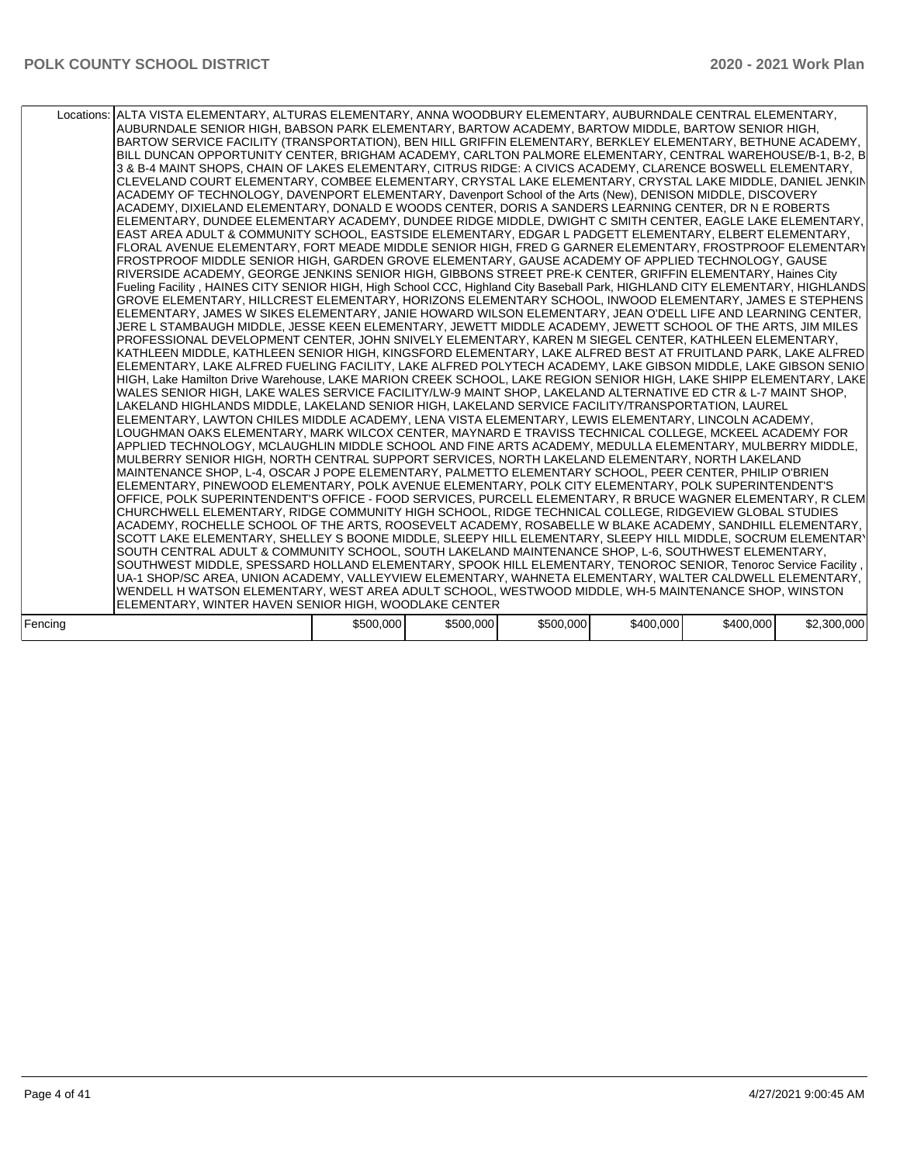| Locations: ALTA VISTA ELEMENTARY, ALTURAS ELEMENTARY, ANNA WOODBURY ELEMENTARY, AUBURNDALE CENTRAL ELEMENTARY,<br>AUBURNDALE SENIOR HIGH, BABSON PARK ELEMENTARY, BARTOW ACADEMY, BARTOW MIDDLE, BARTOW SENIOR HIGH,<br>BARTOW SERVICE FACILITY (TRANSPORTATION), BEN HILL GRIFFIN ELEMENTARY, BERKLEY ELEMENTARY, BETHUNE ACADEMY,<br>BILL DUNCAN OPPORTUNITY CENTER, BRIGHAM ACADEMY, CARLTON PALMORE ELEMENTARY, CENTRAL WAREHOUSE/B-1, B-2, B<br>3 & B-4 MAINT SHOPS, CHAIN OF LAKES ELEMENTARY, CITRUS RIDGE: A CIVICS ACADEMY, CLARENCE BOSWELL ELEMENTARY,<br>CLEVELAND COURT ELEMENTARY, COMBEE ELEMENTARY, CRYSTAL LAKE ELEMENTARY, CRYSTAL LAKE MIDDLE, DANIEL JENKIN<br>ACADEMY OF TECHNOLOGY, DAVENPORT ELEMENTARY, Davenport School of the Arts (New), DENISON MIDDLE, DISCOVERY<br>ACADEMY, DIXIELAND ELEMENTARY, DONALD E WOODS CENTER, DORIS A SANDERS LEARNING CENTER, DR N E ROBERTS<br>ELEMENTARY, DUNDEE ELEMENTARY ACADEMY, DUNDEE RIDGE MIDDLE, DWIGHT C SMITH CENTER, EAGLE LAKE ELEMENTARY,<br>EAST AREA ADULT & COMMUNITY SCHOOL, EASTSIDE ELEMENTARY, EDGAR L PADGETT ELEMENTARY, ELBERT ELEMENTARY,<br>FLORAL AVENUE ELEMENTARY, FORT MEADE MIDDLE SENIOR HIGH, FRED G GARNER ELEMENTARY, FROSTPROOF ELEMENTARY<br>FROSTPROOF MIDDLE SENIOR HIGH, GARDEN GROVE ELEMENTARY, GAUSE ACADEMY OF APPLIED TECHNOLOGY, GAUSE<br>RIVERSIDE ACADEMY, GEORGE JENKINS SENIOR HIGH, GIBBONS STREET PRE-K CENTER, GRIFFIN ELEMENTARY, Haines City<br>Fueling Facility, HAINES CITY SENIOR HIGH, High School CCC, Highland City Baseball Park, HIGHLAND CITY ELEMENTARY, HIGHLANDS<br>GROVE ELEMENTARY, HILLCREST ELEMENTARY, HORIZONS ELEMENTARY SCHOOL, INWOOD ELEMENTARY, JAMES E STEPHENS<br>ELEMENTARY, JAMES W SIKES ELEMENTARY, JANIE HOWARD WILSON ELEMENTARY, JEAN O'DELL LIFE AND LEARNING CENTER,<br>JERE L STAMBAUGH MIDDLE, JESSE KEEN ELEMENTARY, JEWETT MIDDLE ACADEMY, JEWETT SCHOOL OF THE ARTS, JIM MILES<br>PROFESSIONAL DEVELOPMENT CENTER, JOHN SNIVELY ELEMENTARY, KAREN M SIEGEL CENTER, KATHLEEN ELEMENTARY,<br>KATHLEEN MIDDLE, KATHLEEN SENIOR HIGH, KINGSFORD ELEMENTARY, LAKE ALFRED BEST AT FRUITLAND PARK, LAKE ALFRED<br>ELEMENTARY, LAKE ALFRED FUELING FACILITY, LAKE ALFRED POLYTECH ACADEMY, LAKE GIBSON MIDDLE, LAKE GIBSON SENIO<br>HIGH, Lake Hamilton Drive Warehouse, LAKE MARION CREEK SCHOOL, LAKE REGION SENIOR HIGH, LAKE SHIPP ELEMENTARY, LAKE<br>WALES SENIOR HIGH, LAKE WALES SERVICE FACILITY/LW-9 MAINT SHOP, LAKELAND ALTERNATIVE ED CTR & L-7 MAINT SHOP,<br>LAKELAND HIGHLANDS MIDDLE, LAKELAND SENIOR HIGH, LAKELAND SERVICE FACILITY/TRANSPORTATION, LAUREL<br>ELEMENTARY, LAWTON CHILES MIDDLE ACADEMY, LENA VISTA ELEMENTARY, LEWIS ELEMENTARY, LINCOLN ACADEMY,<br>LOUGHMAN OAKS ELEMENTARY, MARK WILCOX CENTER, MAYNARD E TRAVISS TECHNICAL COLLEGE, MCKEEL ACADEMY FOR<br>APPLIED TECHNOLOGY, MCLAUGHLIN MIDDLE SCHOOL AND FINE ARTS ACADEMY, MEDULLA ELEMENTARY, MULBERRY MIDDLE,<br>MULBERRY SENIOR HIGH, NORTH CENTRAL SUPPORT SERVICES, NORTH LAKELAND ELEMENTARY, NORTH LAKELAND<br>MAINTENANCE SHOP, L-4, OSCAR J POPE ELEMENTARY, PALMETTO ELEMENTARY SCHOOL, PEER CENTER, PHILIP O'BRIEN<br>ELEMENTARY, PINEWOOD ELEMENTARY, POLK AVENUE ELEMENTARY, POLK CITY ELEMENTARY, POLK SUPERINTENDENT'S<br>OFFICE, POLK SUPERINTENDENT'S OFFICE - FOOD SERVICES, PURCELL ELEMENTARY, R BRUCE WAGNER ELEMENTARY, R CLEM<br>CHURCHWELL ELEMENTARY, RIDGE COMMUNITY HIGH SCHOOL, RIDGE TECHNICAL COLLEGE, RIDGEVIEW GLOBAL STUDIES<br>ACADEMY, ROCHELLE SCHOOL OF THE ARTS, ROOSEVELT ACADEMY, ROSABELLE W BLAKE ACADEMY, SANDHILL ELEMENTARY,<br>SCOTT LAKE ELEMENTARY, SHELLEY S BOONE MIDDLE, SLEEPY HILL ELEMENTARY, SLEEPY HILL MIDDLE, SOCRUM ELEMENTARY<br>SOUTH CENTRAL ADULT & COMMUNITY SCHOOL, SOUTH LAKELAND MAINTENANCE SHOP, L-6, SOUTHWEST ELEMENTARY, |           |           |           |           |           |             |
|----------------------------------------------------------------------------------------------------------------------------------------------------------------------------------------------------------------------------------------------------------------------------------------------------------------------------------------------------------------------------------------------------------------------------------------------------------------------------------------------------------------------------------------------------------------------------------------------------------------------------------------------------------------------------------------------------------------------------------------------------------------------------------------------------------------------------------------------------------------------------------------------------------------------------------------------------------------------------------------------------------------------------------------------------------------------------------------------------------------------------------------------------------------------------------------------------------------------------------------------------------------------------------------------------------------------------------------------------------------------------------------------------------------------------------------------------------------------------------------------------------------------------------------------------------------------------------------------------------------------------------------------------------------------------------------------------------------------------------------------------------------------------------------------------------------------------------------------------------------------------------------------------------------------------------------------------------------------------------------------------------------------------------------------------------------------------------------------------------------------------------------------------------------------------------------------------------------------------------------------------------------------------------------------------------------------------------------------------------------------------------------------------------------------------------------------------------------------------------------------------------------------------------------------------------------------------------------------------------------------------------------------------------------------------------------------------------------------------------------------------------------------------------------------------------------------------------------------------------------------------------------------------------------------------------------------------------------------------------------------------------------------------------------------------------------------------------------------------------------------------------------------------------------------------------------------------------------------------------------------------------------------------------------------------------------------------------------------------------------------------------------------------------------------------------------------------------------------------------------------------------------------------------------------------------------------------------------------------------------------------------------------------------------------------------------------------------------------------------------------------------------------------------------------------------------------------------------------|-----------|-----------|-----------|-----------|-----------|-------------|
|                                                                                                                                                                                                                                                                                                                                                                                                                                                                                                                                                                                                                                                                                                                                                                                                                                                                                                                                                                                                                                                                                                                                                                                                                                                                                                                                                                                                                                                                                                                                                                                                                                                                                                                                                                                                                                                                                                                                                                                                                                                                                                                                                                                                                                                                                                                                                                                                                                                                                                                                                                                                                                                                                                                                                                                                                                                                                                                                                                                                                                                                                                                                                                                                                                                                                                                                                                                                                                                                                                                                                                                                                                                                                                                                                                                                                                              |           |           |           |           |           |             |
| SOUTHWEST MIDDLE, SPESSARD HOLLAND ELEMENTARY, SPOOK HILL ELEMENTARY, TENOROC SENIOR, Tenoroc Service Facility,                                                                                                                                                                                                                                                                                                                                                                                                                                                                                                                                                                                                                                                                                                                                                                                                                                                                                                                                                                                                                                                                                                                                                                                                                                                                                                                                                                                                                                                                                                                                                                                                                                                                                                                                                                                                                                                                                                                                                                                                                                                                                                                                                                                                                                                                                                                                                                                                                                                                                                                                                                                                                                                                                                                                                                                                                                                                                                                                                                                                                                                                                                                                                                                                                                                                                                                                                                                                                                                                                                                                                                                                                                                                                                                              |           |           |           |           |           |             |
| UA-1 SHOP/SC AREA, UNION ACADEMY, VALLEYVIEW ELEMENTARY, WAHNETA ELEMENTARY, WALTER CALDWELL ELEMENTARY,                                                                                                                                                                                                                                                                                                                                                                                                                                                                                                                                                                                                                                                                                                                                                                                                                                                                                                                                                                                                                                                                                                                                                                                                                                                                                                                                                                                                                                                                                                                                                                                                                                                                                                                                                                                                                                                                                                                                                                                                                                                                                                                                                                                                                                                                                                                                                                                                                                                                                                                                                                                                                                                                                                                                                                                                                                                                                                                                                                                                                                                                                                                                                                                                                                                                                                                                                                                                                                                                                                                                                                                                                                                                                                                                     |           |           |           |           |           |             |
|                                                                                                                                                                                                                                                                                                                                                                                                                                                                                                                                                                                                                                                                                                                                                                                                                                                                                                                                                                                                                                                                                                                                                                                                                                                                                                                                                                                                                                                                                                                                                                                                                                                                                                                                                                                                                                                                                                                                                                                                                                                                                                                                                                                                                                                                                                                                                                                                                                                                                                                                                                                                                                                                                                                                                                                                                                                                                                                                                                                                                                                                                                                                                                                                                                                                                                                                                                                                                                                                                                                                                                                                                                                                                                                                                                                                                                              |           |           |           |           |           |             |
| WENDELL H WATSON ELEMENTARY, WEST AREA ADULT SCHOOL, WESTWOOD MIDDLE, WH-5 MAINTENANCE SHOP, WINSTON                                                                                                                                                                                                                                                                                                                                                                                                                                                                                                                                                                                                                                                                                                                                                                                                                                                                                                                                                                                                                                                                                                                                                                                                                                                                                                                                                                                                                                                                                                                                                                                                                                                                                                                                                                                                                                                                                                                                                                                                                                                                                                                                                                                                                                                                                                                                                                                                                                                                                                                                                                                                                                                                                                                                                                                                                                                                                                                                                                                                                                                                                                                                                                                                                                                                                                                                                                                                                                                                                                                                                                                                                                                                                                                                         |           |           |           |           |           |             |
| ELEMENTARY, WINTER HAVEN SENIOR HIGH, WOODLAKE CENTER                                                                                                                                                                                                                                                                                                                                                                                                                                                                                                                                                                                                                                                                                                                                                                                                                                                                                                                                                                                                                                                                                                                                                                                                                                                                                                                                                                                                                                                                                                                                                                                                                                                                                                                                                                                                                                                                                                                                                                                                                                                                                                                                                                                                                                                                                                                                                                                                                                                                                                                                                                                                                                                                                                                                                                                                                                                                                                                                                                                                                                                                                                                                                                                                                                                                                                                                                                                                                                                                                                                                                                                                                                                                                                                                                                                        |           |           |           |           |           |             |
| Fencina                                                                                                                                                                                                                                                                                                                                                                                                                                                                                                                                                                                                                                                                                                                                                                                                                                                                                                                                                                                                                                                                                                                                                                                                                                                                                                                                                                                                                                                                                                                                                                                                                                                                                                                                                                                                                                                                                                                                                                                                                                                                                                                                                                                                                                                                                                                                                                                                                                                                                                                                                                                                                                                                                                                                                                                                                                                                                                                                                                                                                                                                                                                                                                                                                                                                                                                                                                                                                                                                                                                                                                                                                                                                                                                                                                                                                                      | \$500,000 | \$500,000 | \$500,000 | \$400,000 | \$400,000 | \$2,300,000 |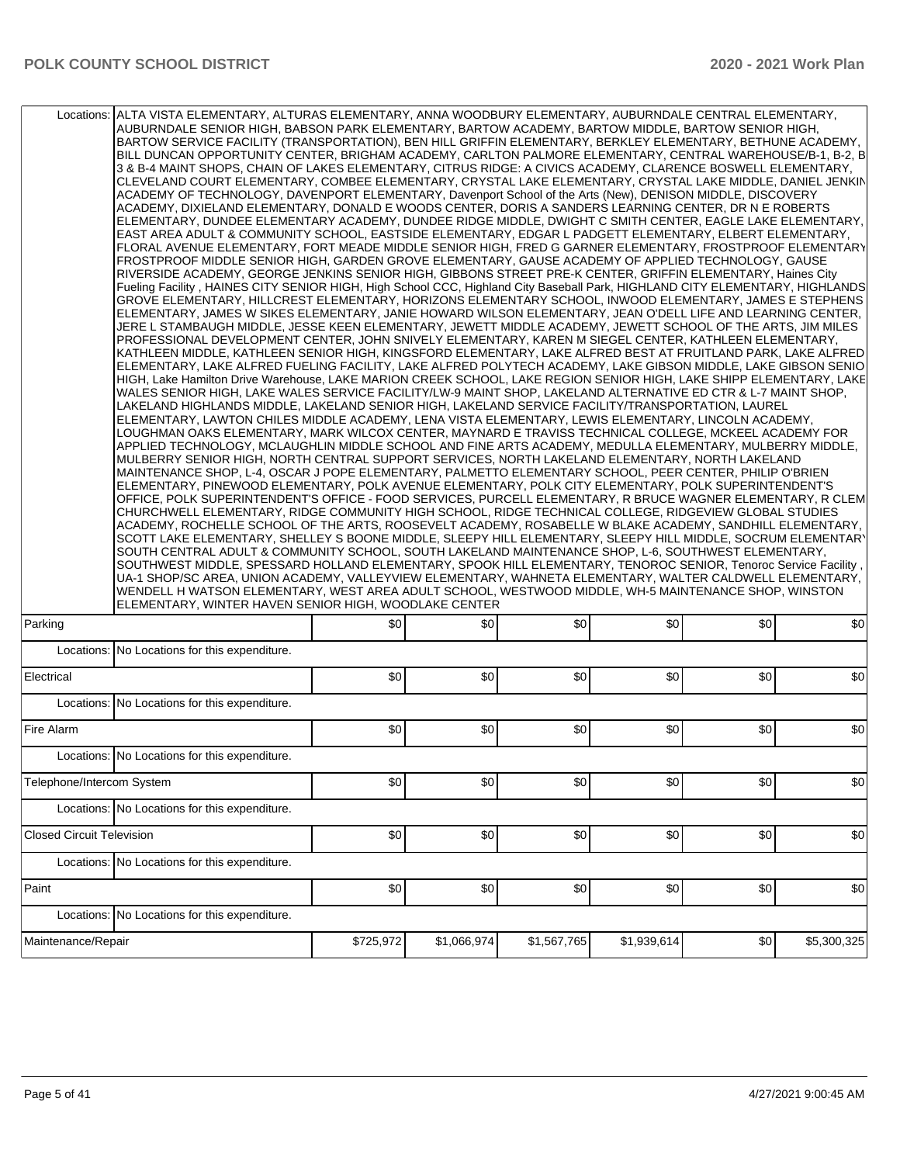|                                  | Locations: ALTA VISTA ELEMENTARY, ALTURAS ELEMENTARY, ANNA WOODBURY ELEMENTARY, AUBURNDALE CENTRAL ELEMENTARY,<br>AUBURNDALE SENIOR HIGH, BABSON PARK ELEMENTARY, BARTOW ACADEMY, BARTOW MIDDLE, BARTOW SENIOR HIGH,<br>BARTOW SERVICE FACILITY (TRANSPORTATION), BEN HILL GRIFFIN ELEMENTARY, BERKLEY ELEMENTARY, BETHUNE ACADEMY,<br>BILL DUNCAN OPPORTUNITY CENTER, BRIGHAM ACADEMY, CARLTON PALMORE ELEMENTARY, CENTRAL WAREHOUSE/B-1, B-2, B<br>3 & B-4 MAINT SHOPS, CHAIN OF LAKES ELEMENTARY, CITRUS RIDGE: A CIVICS ACADEMY, CLARENCE BOSWELL ELEMENTARY,<br>CLEVELAND COURT ELEMENTARY, COMBEE ELEMENTARY, CRYSTAL LAKE ELEMENTARY, CRYSTAL LAKE MIDDLE, DANIEL JENKIN<br>ACADEMY OF TECHNOLOGY, DAVENPORT ELEMENTARY, Davenport School of the Arts (New), DENISON MIDDLE, DISCOVERY<br>ACADEMY, DIXIELAND ELEMENTARY, DONALD E WOODS CENTER, DORIS A SANDERS LEARNING CENTER, DR N E ROBERTS<br>ELEMENTARY, DUNDEE ELEMENTARY ACADEMY, DUNDEE RIDGE MIDDLE, DWIGHT C SMITH CENTER, EAGLE LAKE ELEMENTARY,<br>EAST AREA ADULT & COMMUNITY SCHOOL, EASTSIDE ELEMENTARY, EDGAR L PADGETT ELEMENTARY, ELBERT ELEMENTARY,<br>FLORAL AVENUE ELEMENTARY, FORT MEADE MIDDLE SENIOR HIGH, FRED G GARNER ELEMENTARY, FROSTPROOF ELEMENTARY<br>FROSTPROOF MIDDLE SENIOR HIGH, GARDEN GROVE ELEMENTARY, GAUSE ACADEMY OF APPLIED TECHNOLOGY, GAUSE<br>RIVERSIDE ACADEMY, GEORGE JENKINS SENIOR HIGH, GIBBONS STREET PRE-K CENTER, GRIFFIN ELEMENTARY, Haines City<br>Fueling Facility, HAINES CITY SENIOR HIGH, High School CCC, Highland City Baseball Park, HIGHLAND CITY ELEMENTARY, HIGHLANDS<br>GROVE ELEMENTARY, HILLCREST ELEMENTARY, HORIZONS ELEMENTARY SCHOOL, INWOOD ELEMENTARY, JAMES E STEPHENS<br>ELEMENTARY, JAMES W SIKES ELEMENTARY, JANIE HOWARD WILSON ELEMENTARY, JEAN O'DELL LIFE AND LEARNING CENTER,<br>JERE L STAMBAUGH MIDDLE, JESSE KEEN ELEMENTARY, JEWETT MIDDLE ACADEMY, JEWETT SCHOOL OF THE ARTS, JIM MILES<br>PROFESSIONAL DEVELOPMENT CENTER, JOHN SNIVELY ELEMENTARY, KAREN M SIEGEL CENTER, KATHLEEN ELEMENTARY,<br>KATHLEEN MIDDLE, KATHLEEN SENIOR HIGH, KINGSFORD ELEMENTARY, LAKE ALFRED BEST AT FRUITLAND PARK, LAKE ALFRED<br>ELEMENTARY, LAKE ALFRED FUELING FACILITY, LAKE ALFRED POLYTECH ACADEMY, LAKE GIBSON MIDDLE, LAKE GIBSON SENIO<br>HIGH, Lake Hamilton Drive Warehouse, LAKE MARION CREEK SCHOOL, LAKE REGION SENIOR HIGH, LAKE SHIPP ELEMENTARY, LAKE<br>WALES SENIOR HIGH, LAKE WALES SERVICE FACILITY/LW-9 MAINT SHOP, LAKELAND ALTERNATIVE ED CTR & L-7 MAINT SHOP,<br>LAKELAND HIGHLANDS MIDDLE, LAKELAND SENIOR HIGH, LAKELAND SERVICE FACILITY/TRANSPORTATION, LAUREL<br>ELEMENTARY, LAWTON CHILES MIDDLE ACADEMY, LENA VISTA ELEMENTARY, LEWIS ELEMENTARY, LINCOLN ACADEMY,<br>LOUGHMAN OAKS ELEMENTARY, MARK WILCOX CENTER, MAYNARD E TRAVISS TECHNICAL COLLEGE, MCKEEL ACADEMY FOR<br>APPLIED TECHNOLOGY, MCLAUGHLIN MIDDLE SCHOOL AND FINE ARTS ACADEMY, MEDULLA ELEMENTARY, MULBERRY MIDDLE,<br>MULBERRY SENIOR HIGH, NORTH CENTRAL SUPPORT SERVICES, NORTH LAKELAND ELEMENTARY, NORTH LAKELAND<br>MAINTENANCE SHOP, L-4, OSCAR J POPE ELEMENTARY, PALMETTO ELEMENTARY SCHOOL, PEER CENTER, PHILIP O'BRIEN<br>ELEMENTARY, PINEWOOD ELEMENTARY, POLK AVENUE ELEMENTARY, POLK CITY ELEMENTARY, POLK SUPERINTENDENT'S<br>OFFICE, POLK SUPERINTENDENT'S OFFICE - FOOD SERVICES, PURCELL ELEMENTARY, R BRUCE WAGNER ELEMENTARY, R CLEM<br>CHURCHWELL ELEMENTARY, RIDGE COMMUNITY HIGH SCHOOL, RIDGE TECHNICAL COLLEGE, RIDGEVIEW GLOBAL STUDIES<br>ACADEMY, ROCHELLE SCHOOL OF THE ARTS, ROOSEVELT ACADEMY, ROSABELLE W BLAKE ACADEMY, SANDHILL ELEMENTARY,<br>SCOTT LAKE ELEMENTARY, SHELLEY S BOONE MIDDLE, SLEEPY HILL ELEMENTARY, SLEEPY HILL MIDDLE, SOCRUM ELEMENTARY<br>SOUTH CENTRAL ADULT & COMMUNITY SCHOOL, SOUTH LAKELAND MAINTENANCE SHOP, L-6, SOUTHWEST ELEMENTARY,<br>SOUTHWEST MIDDLE, SPESSARD HOLLAND ELEMENTARY, SPOOK HILL ELEMENTARY, TENOROC SENIOR, Tenoroc Service Facility,<br>UA-1 SHOP/SC AREA, UNION ACADEMY, VALLEYVIEW ELEMENTARY, WAHNETA ELEMENTARY, WALTER CALDWELL ELEMENTARY,<br>WENDELL H WATSON ELEMENTARY, WEST AREA ADULT SCHOOL, WESTWOOD MIDDLE, WH-5 MAINTENANCE SHOP, WINSTON<br>ELEMENTARY, WINTER HAVEN SENIOR HIGH, WOODLAKE CENTER |           |             |             |             |     |             |
|----------------------------------|----------------------------------------------------------------------------------------------------------------------------------------------------------------------------------------------------------------------------------------------------------------------------------------------------------------------------------------------------------------------------------------------------------------------------------------------------------------------------------------------------------------------------------------------------------------------------------------------------------------------------------------------------------------------------------------------------------------------------------------------------------------------------------------------------------------------------------------------------------------------------------------------------------------------------------------------------------------------------------------------------------------------------------------------------------------------------------------------------------------------------------------------------------------------------------------------------------------------------------------------------------------------------------------------------------------------------------------------------------------------------------------------------------------------------------------------------------------------------------------------------------------------------------------------------------------------------------------------------------------------------------------------------------------------------------------------------------------------------------------------------------------------------------------------------------------------------------------------------------------------------------------------------------------------------------------------------------------------------------------------------------------------------------------------------------------------------------------------------------------------------------------------------------------------------------------------------------------------------------------------------------------------------------------------------------------------------------------------------------------------------------------------------------------------------------------------------------------------------------------------------------------------------------------------------------------------------------------------------------------------------------------------------------------------------------------------------------------------------------------------------------------------------------------------------------------------------------------------------------------------------------------------------------------------------------------------------------------------------------------------------------------------------------------------------------------------------------------------------------------------------------------------------------------------------------------------------------------------------------------------------------------------------------------------------------------------------------------------------------------------------------------------------------------------------------------------------------------------------------------------------------------------------------------------------------------------------------------------------------------------------------------------------------------------------------------------------------------------------------------------------------------------------------------------------------------------------------------------------------------------------------------------------------------------------------------------------------------------------------------------------------------------------------------------------------------------------------------------------------------------------------------------------------------------------------------------------------------------------------------------|-----------|-------------|-------------|-------------|-----|-------------|
| Parking                          |                                                                                                                                                                                                                                                                                                                                                                                                                                                                                                                                                                                                                                                                                                                                                                                                                                                                                                                                                                                                                                                                                                                                                                                                                                                                                                                                                                                                                                                                                                                                                                                                                                                                                                                                                                                                                                                                                                                                                                                                                                                                                                                                                                                                                                                                                                                                                                                                                                                                                                                                                                                                                                                                                                                                                                                                                                                                                                                                                                                                                                                                                                                                                                                                                                                                                                                                                                                                                                                                                                                                                                                                                                                                                                                                                                                                                                                                                                                                                                                                                                                                                                                                                                                                                                              | \$0       | \$0         | \$0         | \$0         | \$0 | \$0         |
|                                  | Locations: No Locations for this expenditure.                                                                                                                                                                                                                                                                                                                                                                                                                                                                                                                                                                                                                                                                                                                                                                                                                                                                                                                                                                                                                                                                                                                                                                                                                                                                                                                                                                                                                                                                                                                                                                                                                                                                                                                                                                                                                                                                                                                                                                                                                                                                                                                                                                                                                                                                                                                                                                                                                                                                                                                                                                                                                                                                                                                                                                                                                                                                                                                                                                                                                                                                                                                                                                                                                                                                                                                                                                                                                                                                                                                                                                                                                                                                                                                                                                                                                                                                                                                                                                                                                                                                                                                                                                                                |           |             |             |             |     |             |
| Electrical                       |                                                                                                                                                                                                                                                                                                                                                                                                                                                                                                                                                                                                                                                                                                                                                                                                                                                                                                                                                                                                                                                                                                                                                                                                                                                                                                                                                                                                                                                                                                                                                                                                                                                                                                                                                                                                                                                                                                                                                                                                                                                                                                                                                                                                                                                                                                                                                                                                                                                                                                                                                                                                                                                                                                                                                                                                                                                                                                                                                                                                                                                                                                                                                                                                                                                                                                                                                                                                                                                                                                                                                                                                                                                                                                                                                                                                                                                                                                                                                                                                                                                                                                                                                                                                                                              | \$0       | \$0         | \$0         | \$0         | \$0 | \$0         |
|                                  | Locations: No Locations for this expenditure.                                                                                                                                                                                                                                                                                                                                                                                                                                                                                                                                                                                                                                                                                                                                                                                                                                                                                                                                                                                                                                                                                                                                                                                                                                                                                                                                                                                                                                                                                                                                                                                                                                                                                                                                                                                                                                                                                                                                                                                                                                                                                                                                                                                                                                                                                                                                                                                                                                                                                                                                                                                                                                                                                                                                                                                                                                                                                                                                                                                                                                                                                                                                                                                                                                                                                                                                                                                                                                                                                                                                                                                                                                                                                                                                                                                                                                                                                                                                                                                                                                                                                                                                                                                                |           |             |             |             |     |             |
| Fire Alarm                       |                                                                                                                                                                                                                                                                                                                                                                                                                                                                                                                                                                                                                                                                                                                                                                                                                                                                                                                                                                                                                                                                                                                                                                                                                                                                                                                                                                                                                                                                                                                                                                                                                                                                                                                                                                                                                                                                                                                                                                                                                                                                                                                                                                                                                                                                                                                                                                                                                                                                                                                                                                                                                                                                                                                                                                                                                                                                                                                                                                                                                                                                                                                                                                                                                                                                                                                                                                                                                                                                                                                                                                                                                                                                                                                                                                                                                                                                                                                                                                                                                                                                                                                                                                                                                                              | \$0       | \$0         | \$0         | \$0         | \$0 | \$0         |
|                                  | Locations: No Locations for this expenditure.                                                                                                                                                                                                                                                                                                                                                                                                                                                                                                                                                                                                                                                                                                                                                                                                                                                                                                                                                                                                                                                                                                                                                                                                                                                                                                                                                                                                                                                                                                                                                                                                                                                                                                                                                                                                                                                                                                                                                                                                                                                                                                                                                                                                                                                                                                                                                                                                                                                                                                                                                                                                                                                                                                                                                                                                                                                                                                                                                                                                                                                                                                                                                                                                                                                                                                                                                                                                                                                                                                                                                                                                                                                                                                                                                                                                                                                                                                                                                                                                                                                                                                                                                                                                |           |             |             |             |     |             |
| Telephone/Intercom System        |                                                                                                                                                                                                                                                                                                                                                                                                                                                                                                                                                                                                                                                                                                                                                                                                                                                                                                                                                                                                                                                                                                                                                                                                                                                                                                                                                                                                                                                                                                                                                                                                                                                                                                                                                                                                                                                                                                                                                                                                                                                                                                                                                                                                                                                                                                                                                                                                                                                                                                                                                                                                                                                                                                                                                                                                                                                                                                                                                                                                                                                                                                                                                                                                                                                                                                                                                                                                                                                                                                                                                                                                                                                                                                                                                                                                                                                                                                                                                                                                                                                                                                                                                                                                                                              | \$0       | \$0         | \$0         | \$0         | \$0 | \$0         |
|                                  | Locations: No Locations for this expenditure.                                                                                                                                                                                                                                                                                                                                                                                                                                                                                                                                                                                                                                                                                                                                                                                                                                                                                                                                                                                                                                                                                                                                                                                                                                                                                                                                                                                                                                                                                                                                                                                                                                                                                                                                                                                                                                                                                                                                                                                                                                                                                                                                                                                                                                                                                                                                                                                                                                                                                                                                                                                                                                                                                                                                                                                                                                                                                                                                                                                                                                                                                                                                                                                                                                                                                                                                                                                                                                                                                                                                                                                                                                                                                                                                                                                                                                                                                                                                                                                                                                                                                                                                                                                                |           |             |             |             |     |             |
| <b>Closed Circuit Television</b> |                                                                                                                                                                                                                                                                                                                                                                                                                                                                                                                                                                                                                                                                                                                                                                                                                                                                                                                                                                                                                                                                                                                                                                                                                                                                                                                                                                                                                                                                                                                                                                                                                                                                                                                                                                                                                                                                                                                                                                                                                                                                                                                                                                                                                                                                                                                                                                                                                                                                                                                                                                                                                                                                                                                                                                                                                                                                                                                                                                                                                                                                                                                                                                                                                                                                                                                                                                                                                                                                                                                                                                                                                                                                                                                                                                                                                                                                                                                                                                                                                                                                                                                                                                                                                                              | \$0       | \$0         | \$0         | \$0         | \$0 | \$0         |
|                                  | Locations: No Locations for this expenditure.                                                                                                                                                                                                                                                                                                                                                                                                                                                                                                                                                                                                                                                                                                                                                                                                                                                                                                                                                                                                                                                                                                                                                                                                                                                                                                                                                                                                                                                                                                                                                                                                                                                                                                                                                                                                                                                                                                                                                                                                                                                                                                                                                                                                                                                                                                                                                                                                                                                                                                                                                                                                                                                                                                                                                                                                                                                                                                                                                                                                                                                                                                                                                                                                                                                                                                                                                                                                                                                                                                                                                                                                                                                                                                                                                                                                                                                                                                                                                                                                                                                                                                                                                                                                |           |             |             |             |     |             |
| Paint                            |                                                                                                                                                                                                                                                                                                                                                                                                                                                                                                                                                                                                                                                                                                                                                                                                                                                                                                                                                                                                                                                                                                                                                                                                                                                                                                                                                                                                                                                                                                                                                                                                                                                                                                                                                                                                                                                                                                                                                                                                                                                                                                                                                                                                                                                                                                                                                                                                                                                                                                                                                                                                                                                                                                                                                                                                                                                                                                                                                                                                                                                                                                                                                                                                                                                                                                                                                                                                                                                                                                                                                                                                                                                                                                                                                                                                                                                                                                                                                                                                                                                                                                                                                                                                                                              | \$0       | \$0         | \$0         | \$0         | \$0 | \$0         |
|                                  | Locations: No Locations for this expenditure.                                                                                                                                                                                                                                                                                                                                                                                                                                                                                                                                                                                                                                                                                                                                                                                                                                                                                                                                                                                                                                                                                                                                                                                                                                                                                                                                                                                                                                                                                                                                                                                                                                                                                                                                                                                                                                                                                                                                                                                                                                                                                                                                                                                                                                                                                                                                                                                                                                                                                                                                                                                                                                                                                                                                                                                                                                                                                                                                                                                                                                                                                                                                                                                                                                                                                                                                                                                                                                                                                                                                                                                                                                                                                                                                                                                                                                                                                                                                                                                                                                                                                                                                                                                                |           |             |             |             |     |             |
| Maintenance/Repair               |                                                                                                                                                                                                                                                                                                                                                                                                                                                                                                                                                                                                                                                                                                                                                                                                                                                                                                                                                                                                                                                                                                                                                                                                                                                                                                                                                                                                                                                                                                                                                                                                                                                                                                                                                                                                                                                                                                                                                                                                                                                                                                                                                                                                                                                                                                                                                                                                                                                                                                                                                                                                                                                                                                                                                                                                                                                                                                                                                                                                                                                                                                                                                                                                                                                                                                                                                                                                                                                                                                                                                                                                                                                                                                                                                                                                                                                                                                                                                                                                                                                                                                                                                                                                                                              | \$725,972 | \$1,066,974 | \$1,567,765 | \$1,939,614 | \$0 | \$5,300,325 |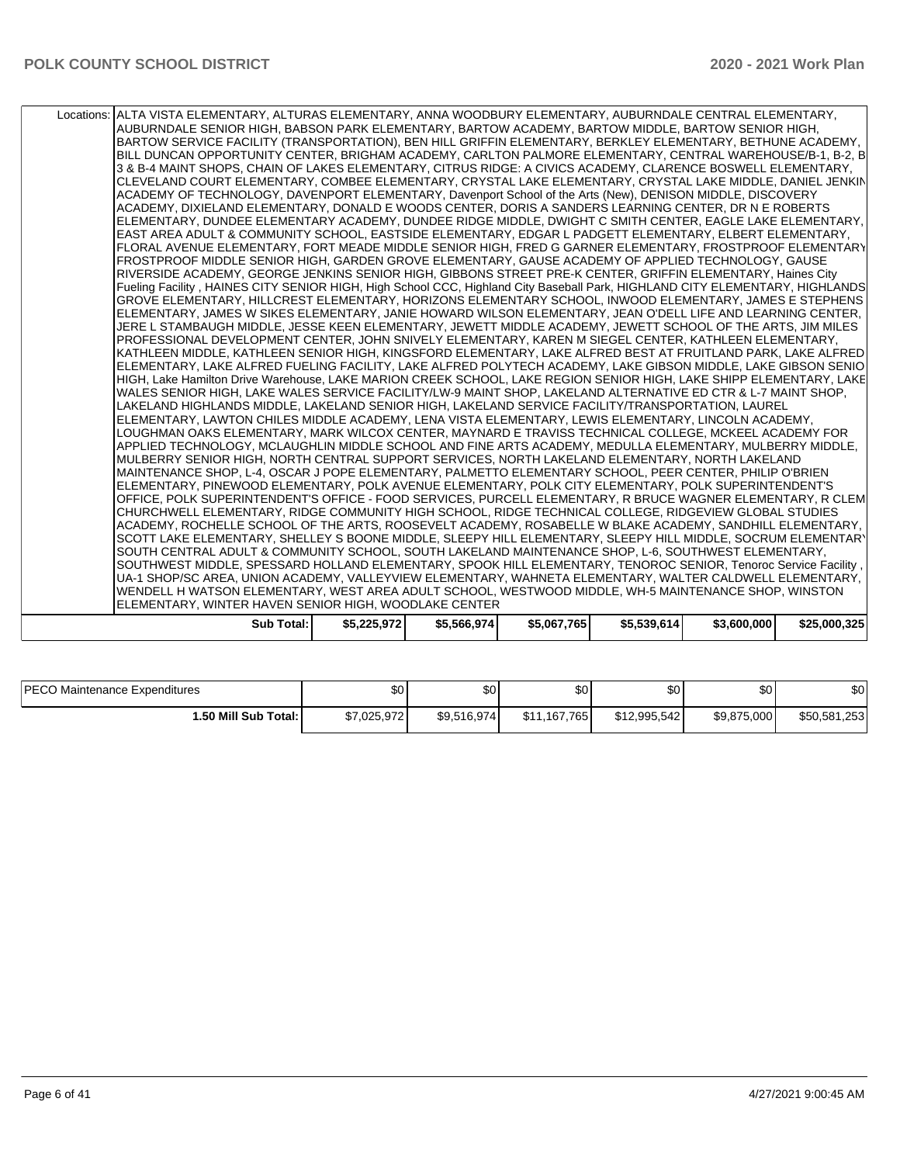| Sub Total:                                                                                                                                                                                               | \$5,225,972 | \$5,566,974 | \$5,067,765 | \$5,539,614 | \$3,600,000 | \$25,000,325 |
|----------------------------------------------------------------------------------------------------------------------------------------------------------------------------------------------------------|-------------|-------------|-------------|-------------|-------------|--------------|
| ELEMENTARY, WINTER HAVEN SENIOR HIGH, WOODLAKE CENTER                                                                                                                                                    |             |             |             |             |             |              |
| WENDELL H WATSON ELEMENTARY, WEST AREA ADULT SCHOOL, WESTWOOD MIDDLE, WH-5 MAINTENANCE SHOP, WINSTON                                                                                                     |             |             |             |             |             |              |
| UA-1 SHOP/SC AREA, UNION ACADEMY, VALLEYVIEW ELEMENTARY, WAHNETA ELEMENTARY, WALTER CALDWELL ELEMENTARY,                                                                                                 |             |             |             |             |             |              |
| SOUTHWEST MIDDLE, SPESSARD HOLLAND ELEMENTARY, SPOOK HILL ELEMENTARY, TENOROC SENIOR, Tenoroc Service Facility,                                                                                          |             |             |             |             |             |              |
| SOUTH CENTRAL ADULT & COMMUNITY SCHOOL, SOUTH LAKELAND MAINTENANCE SHOP, L-6, SOUTHWEST ELEMENTARY,                                                                                                      |             |             |             |             |             |              |
| SCOTT LAKE ELEMENTARY, SHELLEY S BOONE MIDDLE, SLEEPY HILL ELEMENTARY, SLEEPY HILL MIDDLE, SOCRUM ELEMENTARY                                                                                             |             |             |             |             |             |              |
| ACADEMY, ROCHELLE SCHOOL OF THE ARTS, ROOSEVELT ACADEMY, ROSABELLE W BLAKE ACADEMY, SANDHILL ELEMENTARY,                                                                                                 |             |             |             |             |             |              |
| CHURCHWELL ELEMENTARY, RIDGE COMMUNITY HIGH SCHOOL, RIDGE TECHNICAL COLLEGE, RIDGEVIEW GLOBAL STUDIES                                                                                                    |             |             |             |             |             |              |
| OFFICE, POLK SUPERINTENDENT'S OFFICE - FOOD SERVICES, PURCELL ELEMENTARY, R BRUCE WAGNER ELEMENTARY, R CLEM                                                                                              |             |             |             |             |             |              |
| ELEMENTARY, PINEWOOD ELEMENTARY, POLK AVENUE ELEMENTARY, POLK CITY ELEMENTARY, POLK SUPERINTENDENT'S                                                                                                     |             |             |             |             |             |              |
| MAINTENANCE SHOP, L-4, OSCAR J POPE ELEMENTARY, PALMETTO ELEMENTARY SCHOOL, PEER CENTER, PHILIP O'BRIEN                                                                                                  |             |             |             |             |             |              |
| MULBERRY SENIOR HIGH, NORTH CENTRAL SUPPORT SERVICES, NORTH LAKELAND ELEMENTARY, NORTH LAKELAND                                                                                                          |             |             |             |             |             |              |
| APPLIED TECHNOLOGY, MCLAUGHLIN MIDDLE SCHOOL AND FINE ARTS ACADEMY, MEDULLA ELEMENTARY, MULBERRY MIDDLE,                                                                                                 |             |             |             |             |             |              |
| LOUGHMAN OAKS ELEMENTARY, MARK WILCOX CENTER, MAYNARD E TRAVISS TECHNICAL COLLEGE, MCKEEL ACADEMY FOR                                                                                                    |             |             |             |             |             |              |
| LAKELAND HIGHLANDS MIDDLE, LAKELAND SENIOR HIGH, LAKELAND SERVICE FACILITY/TRANSPORTATION, LAUREL<br>ELEMENTARY, LAWTON CHILES MIDDLE ACADEMY, LENA VISTA ELEMENTARY, LEWIS ELEMENTARY, LINCOLN ACADEMY, |             |             |             |             |             |              |
| WALES SENIOR HIGH, LAKE WALES SERVICE FACILITY/LW-9 MAINT SHOP, LAKELAND ALTERNATIVE ED CTR & L-7 MAINT SHOP,                                                                                            |             |             |             |             |             |              |
| HIGH, Lake Hamilton Drive Warehouse, LAKE MARION CREEK SCHOOL, LAKE REGION SENIOR HIGH, LAKE SHIPP ELEMENTARY, LAKE                                                                                      |             |             |             |             |             |              |
| ELEMENTARY, LAKE ALFRED FUELING FACILITY, LAKE ALFRED POLYTECH ACADEMY, LAKE GIBSON MIDDLE, LAKE GIBSON SENIO                                                                                            |             |             |             |             |             |              |
| KATHLEEN MIDDLE, KATHLEEN SENIOR HIGH, KINGSFORD ELEMENTARY, LAKE ALFRED BEST AT FRUITLAND PARK, LAKE ALFRED                                                                                             |             |             |             |             |             |              |
| PROFESSIONAL DEVELOPMENT CENTER, JOHN SNIVELY ELEMENTARY, KAREN M SIEGEL CENTER, KATHLEEN ELEMENTARY,                                                                                                    |             |             |             |             |             |              |
| JERE L STAMBAUGH MIDDLE, JESSE KEEN ELEMENTARY, JEWETT MIDDLE ACADEMY, JEWETT SCHOOL OF THE ARTS, JIM MILES                                                                                              |             |             |             |             |             |              |
| ELEMENTARY, JAMES W SIKES ELEMENTARY, JANIE HOWARD WILSON ELEMENTARY, JEAN O'DELL LIFE AND LEARNING CENTER,                                                                                              |             |             |             |             |             |              |
| GROVE ELEMENTARY, HILLCREST ELEMENTARY, HORIZONS ELEMENTARY SCHOOL, INWOOD ELEMENTARY, JAMES E STEPHENS                                                                                                  |             |             |             |             |             |              |
| Fueling Facility, HAINES CITY SENIOR HIGH, High School CCC, Highland City Baseball Park, HIGHLAND CITY ELEMENTARY, HIGHLANDS                                                                             |             |             |             |             |             |              |
| RIVERSIDE ACADEMY, GEORGE JENKINS SENIOR HIGH, GIBBONS STREET PRE-K CENTER, GRIFFIN ELEMENTARY, Haines City                                                                                              |             |             |             |             |             |              |
| FROSTPROOF MIDDLE SENIOR HIGH, GARDEN GROVE ELEMENTARY, GAUSE ACADEMY OF APPLIED TECHNOLOGY, GAUSE                                                                                                       |             |             |             |             |             |              |
| FLORAL AVENUE ELEMENTARY, FORT MEADE MIDDLE SENIOR HIGH, FRED G GARNER ELEMENTARY, FROSTPROOF ELEMENTARY                                                                                                 |             |             |             |             |             |              |
| EAST AREA ADULT & COMMUNITY SCHOOL, EASTSIDE ELEMENTARY, EDGAR L PADGETT ELEMENTARY, ELBERT ELEMENTARY,                                                                                                  |             |             |             |             |             |              |
| ELEMENTARY, DUNDEE ELEMENTARY ACADEMY, DUNDEE RIDGE MIDDLE, DWIGHT C SMITH CENTER, EAGLE LAKE ELEMENTARY,                                                                                                |             |             |             |             |             |              |
| ACADEMY, DIXIELAND ELEMENTARY, DONALD E WOODS CENTER, DORIS A SANDERS LEARNING CENTER, DR N E ROBERTS                                                                                                    |             |             |             |             |             |              |
| ACADEMY OF TECHNOLOGY, DAVENPORT ELEMENTARY, Davenport School of the Arts (New), DENISON MIDDLE, DISCOVERY                                                                                               |             |             |             |             |             |              |
| CLEVELAND COURT ELEMENTARY, COMBEE ELEMENTARY, CRYSTAL LAKE ELEMENTARY, CRYSTAL LAKE MIDDLE, DANIEL JENKIN                                                                                               |             |             |             |             |             |              |
| 3 & B-4 MAINT SHOPS, CHAIN OF LAKES ELEMENTARY, CITRUS RIDGE: A CIVICS ACADEMY, CLARENCE BOSWELL ELEMENTARY,                                                                                             |             |             |             |             |             |              |
| BILL DUNCAN OPPORTUNITY CENTER, BRIGHAM ACADEMY, CARLTON PALMORE ELEMENTARY, CENTRAL WAREHOUSE/B-1, B-2, B                                                                                               |             |             |             |             |             |              |
| BARTOW SERVICE FACILITY (TRANSPORTATION), BEN HILL GRIFFIN ELEMENTARY, BERKLEY ELEMENTARY, BETHUNE ACADEMY,                                                                                              |             |             |             |             |             |              |
| AUBURNDALE SENIOR HIGH, BABSON PARK ELEMENTARY, BARTOW ACADEMY, BARTOW MIDDLE, BARTOW SENIOR HIGH,                                                                                                       |             |             |             |             |             |              |
| Locations: ALTA VISTA ELEMENTARY, ALTURAS ELEMENTARY, ANNA WOODBURY ELEMENTARY, AUBURNDALE CENTRAL ELEMENTARY,                                                                                           |             |             |             |             |             |              |
|                                                                                                                                                                                                          |             |             |             |             |             |              |

| <b>IPECO Maintenance Expenditures</b> | \$0         | ሶሳ<br>ъU    | <b>SO</b>    | ሶስ<br>υU     | ا 30        | \$0          |
|---------------------------------------|-------------|-------------|--------------|--------------|-------------|--------------|
| 1.50 Mill Sub Total: I                | \$7,025,972 | \$9,516,974 | \$11.167.765 | \$12,995,542 | \$9,875,000 | \$50,581,253 |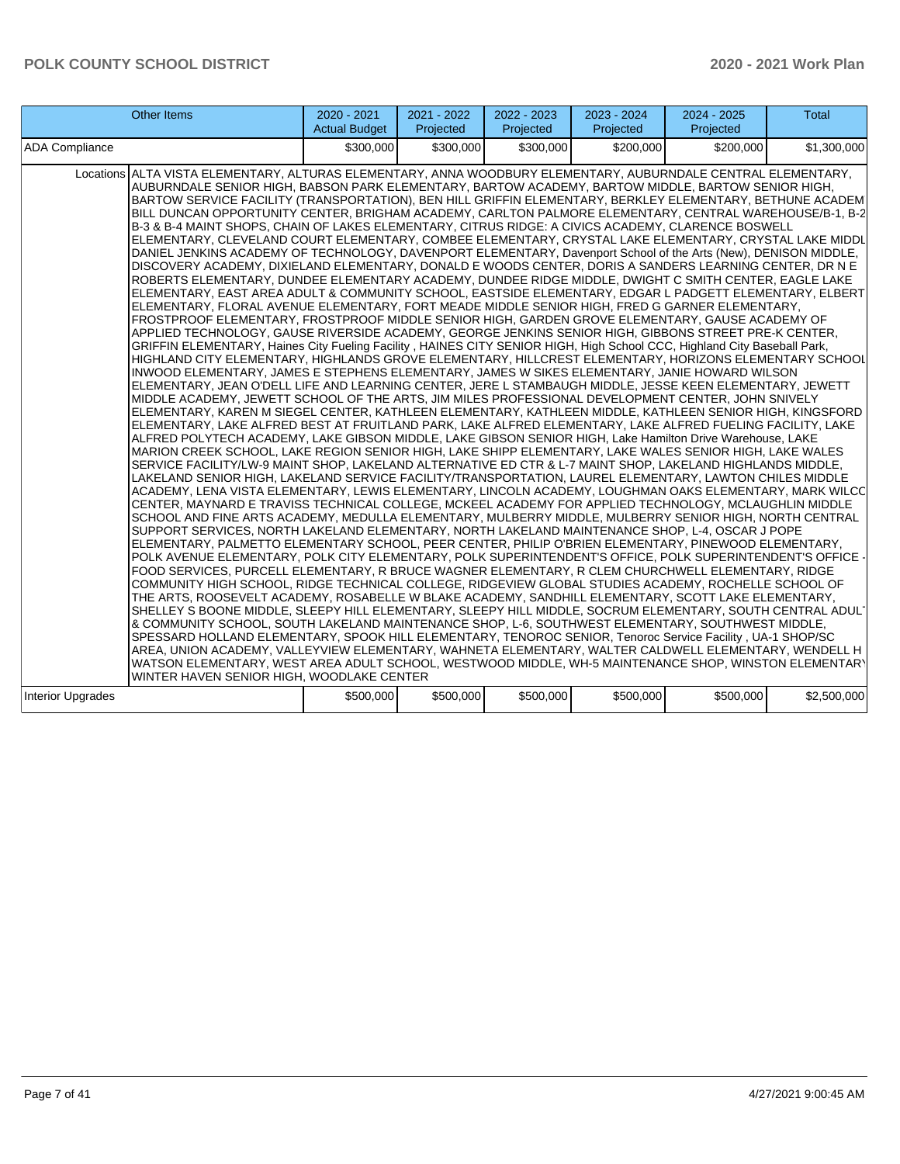| Other Items                                                                                                                                                                                                                                                                                                                                                                                                                                                                                                                                                                                                                                                                                                                                                                                                                                                                                                                                                                                                                                                                                                                                                                                                                                                                                                                                                                                                                                                                                                                                                                                                                                                                                                                                                                                                                                                                                                                                                                                                                                                                                                                                                                                                                                                                                                                                                                                                                                                                                                                                                                                                                                                                                                                                                                                                                                                                                                                                                                                                                                                                                                                                                                                                                                                                                                                                                                                                                                                                                                                                                                                                                                                                                                                                                                                                                                                                                                                                                                                                                                                                                                                                                                                                                                  | 2020 - 2021<br><b>Actual Budget</b> | 2021 - 2022<br>Projected | 2022 - 2023<br>Projected | 2023 - 2024<br>Projected | 2024 - 2025<br>Projected | Total       |
|----------------------------------------------------------------------------------------------------------------------------------------------------------------------------------------------------------------------------------------------------------------------------------------------------------------------------------------------------------------------------------------------------------------------------------------------------------------------------------------------------------------------------------------------------------------------------------------------------------------------------------------------------------------------------------------------------------------------------------------------------------------------------------------------------------------------------------------------------------------------------------------------------------------------------------------------------------------------------------------------------------------------------------------------------------------------------------------------------------------------------------------------------------------------------------------------------------------------------------------------------------------------------------------------------------------------------------------------------------------------------------------------------------------------------------------------------------------------------------------------------------------------------------------------------------------------------------------------------------------------------------------------------------------------------------------------------------------------------------------------------------------------------------------------------------------------------------------------------------------------------------------------------------------------------------------------------------------------------------------------------------------------------------------------------------------------------------------------------------------------------------------------------------------------------------------------------------------------------------------------------------------------------------------------------------------------------------------------------------------------------------------------------------------------------------------------------------------------------------------------------------------------------------------------------------------------------------------------------------------------------------------------------------------------------------------------------------------------------------------------------------------------------------------------------------------------------------------------------------------------------------------------------------------------------------------------------------------------------------------------------------------------------------------------------------------------------------------------------------------------------------------------------------------------------------------------------------------------------------------------------------------------------------------------------------------------------------------------------------------------------------------------------------------------------------------------------------------------------------------------------------------------------------------------------------------------------------------------------------------------------------------------------------------------------------------------------------------------------------------------------------------------------------------------------------------------------------------------------------------------------------------------------------------------------------------------------------------------------------------------------------------------------------------------------------------------------------------------------------------------------------------------------------------------------------------------------------------------------------------------|-------------------------------------|--------------------------|--------------------------|--------------------------|--------------------------|-------------|
| <b>ADA Compliance</b>                                                                                                                                                                                                                                                                                                                                                                                                                                                                                                                                                                                                                                                                                                                                                                                                                                                                                                                                                                                                                                                                                                                                                                                                                                                                                                                                                                                                                                                                                                                                                                                                                                                                                                                                                                                                                                                                                                                                                                                                                                                                                                                                                                                                                                                                                                                                                                                                                                                                                                                                                                                                                                                                                                                                                                                                                                                                                                                                                                                                                                                                                                                                                                                                                                                                                                                                                                                                                                                                                                                                                                                                                                                                                                                                                                                                                                                                                                                                                                                                                                                                                                                                                                                                                        | \$300,000                           | \$300,000                | \$300,000                | \$200,000                | \$200,000                | \$1,300,000 |
| ALTA VISTA ELEMENTARY, ALTURAS ELEMENTARY, ANNA WOODBURY ELEMENTARY, AUBURNDALE CENTRAL ELEMENTARY,<br>Locations<br>AUBURNDALE SENIOR HIGH, BABSON PARK ELEMENTARY, BARTOW ACADEMY, BARTOW MIDDLE, BARTOW SENIOR HIGH,<br>BARTOW SERVICE FACILITY (TRANSPORTATION), BEN HILL GRIFFIN ELEMENTARY, BERKLEY ELEMENTARY, BETHUNE ACADEM<br>BILL DUNCAN OPPORTUNITY CENTER, BRIGHAM ACADEMY, CARLTON PALMORE ELEMENTARY, CENTRAL WAREHOUSE/B-1, B-2<br>B-3 & B-4 MAINT SHOPS, CHAIN OF LAKES ELEMENTARY, CITRUS RIDGE: A CIVICS ACADEMY, CLARENCE BOSWELL<br>ELEMENTARY, CLEVELAND COURT ELEMENTARY, COMBEE ELEMENTARY, CRYSTAL LAKE ELEMENTARY, CRYSTAL LAKE MIDDL<br>DANIEL JENKINS ACADEMY OF TECHNOLOGY, DAVENPORT ELEMENTARY, Davenport School of the Arts (New), DENISON MIDDLE,<br>DISCOVERY ACADEMY, DIXIELAND ELEMENTARY, DONALD E WOODS CENTER, DORIS A SANDERS LEARNING CENTER, DR N E<br>ROBERTS ELEMENTARY, DUNDEE ELEMENTARY ACADEMY, DUNDEE RIDGE MIDDLE, DWIGHT C SMITH CENTER, EAGLE LAKE<br>ELEMENTARY, EAST AREA ADULT & COMMUNITY SCHOOL, EASTSIDE ELEMENTARY, EDGAR L PADGETT ELEMENTARY, ELBERT<br>ELEMENTARY, FLORAL AVENUE ELEMENTARY, FORT MEADE MIDDLE SENIOR HIGH, FRED G GARNER ELEMENTARY,<br>FROSTPROOF ELEMENTARY, FROSTPROOF MIDDLE SENIOR HIGH, GARDEN GROVE ELEMENTARY, GAUSE ACADEMY OF<br>APPLIED TECHNOLOGY, GAUSE RIVERSIDE ACADEMY, GEORGE JENKINS SENIOR HIGH, GIBBONS STREET PRE-K CENTER,<br>GRIFFIN ELEMENTARY, Haines City Fueling Facility, HAINES CITY SENIOR HIGH, High School CCC, Highland City Baseball Park,<br>HIGHLAND CITY ELEMENTARY, HIGHLANDS GROVE ELEMENTARY, HILLCREST ELEMENTARY, HORIZONS ELEMENTARY SCHOOL<br>INWOOD ELEMENTARY, JAMES E STEPHENS ELEMENTARY, JAMES W SIKES ELEMENTARY, JANIE HOWARD WILSON<br>ELEMENTARY, JEAN O'DELL LIFE AND LEARNING CENTER, JERE L STAMBAUGH MIDDLE, JESSE KEEN ELEMENTARY, JEWETT<br>MIDDLE ACADEMY, JEWETT SCHOOL OF THE ARTS, JIM MILES PROFESSIONAL DEVELOPMENT CENTER, JOHN SNIVELY<br>ELEMENTARY, KAREN M SIEGEL CENTER, KATHLEEN ELEMENTARY, KATHLEEN MIDDLE, KATHLEEN SENIOR HIGH, KINGSFORD<br>ELEMENTARY, LAKE ALFRED BEST AT FRUITLAND PARK, LAKE ALFRED ELEMENTARY, LAKE ALFRED FUELING FACILITY, LAKE<br>ALFRED POLYTECH ACADEMY, LAKE GIBSON MIDDLE, LAKE GIBSON SENIOR HIGH, Lake Hamilton Drive Warehouse, LAKE<br>MARION CREEK SCHOOL, LAKE REGION SENIOR HIGH, LAKE SHIPP ELEMENTARY, LAKE WALES SENIOR HIGH, LAKE WALES<br>SERVICE FACILITY/LW-9 MAINT SHOP, LAKELAND ALTERNATIVE ED CTR & L-7 MAINT SHOP, LAKELAND HIGHLANDS MIDDLE,<br>LAKELAND SENIOR HIGH, LAKELAND SERVICE FACILITY/TRANSPORTATION, LAUREL ELEMENTARY, LAWTON CHILES MIDDLE<br>ACADEMY, LENA VISTA ELEMENTARY, LEWIS ELEMENTARY, LINCOLN ACADEMY, LOUGHMAN OAKS ELEMENTARY, MARK WILCC<br>CENTER, MAYNARD E TRAVISS TECHNICAL COLLEGE, MCKEEL ACADEMY FOR APPLIED TECHNOLOGY, MCLAUGHLIN MIDDLE<br>SCHOOL AND FINE ARTS ACADEMY, MEDULLA ELEMENTARY, MULBERRY MIDDLE, MULBERRY SENIOR HIGH, NORTH CENTRAL<br>SUPPORT SERVICES, NORTH LAKELAND ELEMENTARY, NORTH LAKELAND MAINTENANCE SHOP, L-4, OSCAR J POPE<br>ELEMENTARY, PALMETTO ELEMENTARY SCHOOL, PEER CENTER, PHILIP O'BRIEN ELEMENTARY, PINEWOOD ELEMENTARY,<br>POLK AVENUE ELEMENTARY, POLK CITY ELEMENTARY, POLK SUPERINTENDENT'S OFFICE, POLK SUPERINTENDENT'S OFFICE<br>FOOD SERVICES, PURCELL ELEMENTARY, R BRUCE WAGNER ELEMENTARY, R CLEM CHURCHWELL ELEMENTARY, RIDGE<br>COMMUNITY HIGH SCHOOL, RIDGE TECHNICAL COLLEGE, RIDGEVIEW GLOBAL STUDIES ACADEMY, ROCHELLE SCHOOL OF<br>THE ARTS, ROOSEVELT ACADEMY, ROSABELLE W BLAKE ACADEMY, SANDHILL ELEMENTARY, SCOTT LAKE ELEMENTARY,<br>SHELLEY S BOONE MIDDLE, SLEEPY HILL ELEMENTARY, SLEEPY HILL MIDDLE, SOCRUM ELEMENTARY, SOUTH CENTRAL ADUL'<br>& COMMUNITY SCHOOL, SOUTH LAKELAND MAINTENANCE SHOP, L-6, SOUTHWEST ELEMENTARY, SOUTHWEST MIDDLE,<br>SPESSARD HOLLAND ELEMENTARY, SPOOK HILL ELEMENTARY, TENOROC SENIOR, Tenoroc Service Facility, UA-1 SHOP/SC<br>AREA, UNION ACADEMY, VALLEYVIEW ELEMENTARY, WAHNETA ELEMENTARY, WALTER CALDWELL ELEMENTARY, WENDELL H <br>WATSON ELEMENTARY, WEST AREA ADULT SCHOOL, WESTWOOD MIDDLE, WH-5 MAINTENANCE SHOP, WINSTON ELEMENTARY<br>WINTER HAVEN SENIOR HIGH, WOODLAKE CENTER |                                     |                          |                          |                          |                          |             |
| <b>Interior Upgrades</b>                                                                                                                                                                                                                                                                                                                                                                                                                                                                                                                                                                                                                                                                                                                                                                                                                                                                                                                                                                                                                                                                                                                                                                                                                                                                                                                                                                                                                                                                                                                                                                                                                                                                                                                                                                                                                                                                                                                                                                                                                                                                                                                                                                                                                                                                                                                                                                                                                                                                                                                                                                                                                                                                                                                                                                                                                                                                                                                                                                                                                                                                                                                                                                                                                                                                                                                                                                                                                                                                                                                                                                                                                                                                                                                                                                                                                                                                                                                                                                                                                                                                                                                                                                                                                     | \$500,000                           | \$500,000                | \$500,000                | \$500,000                | \$500,000                | \$2,500,000 |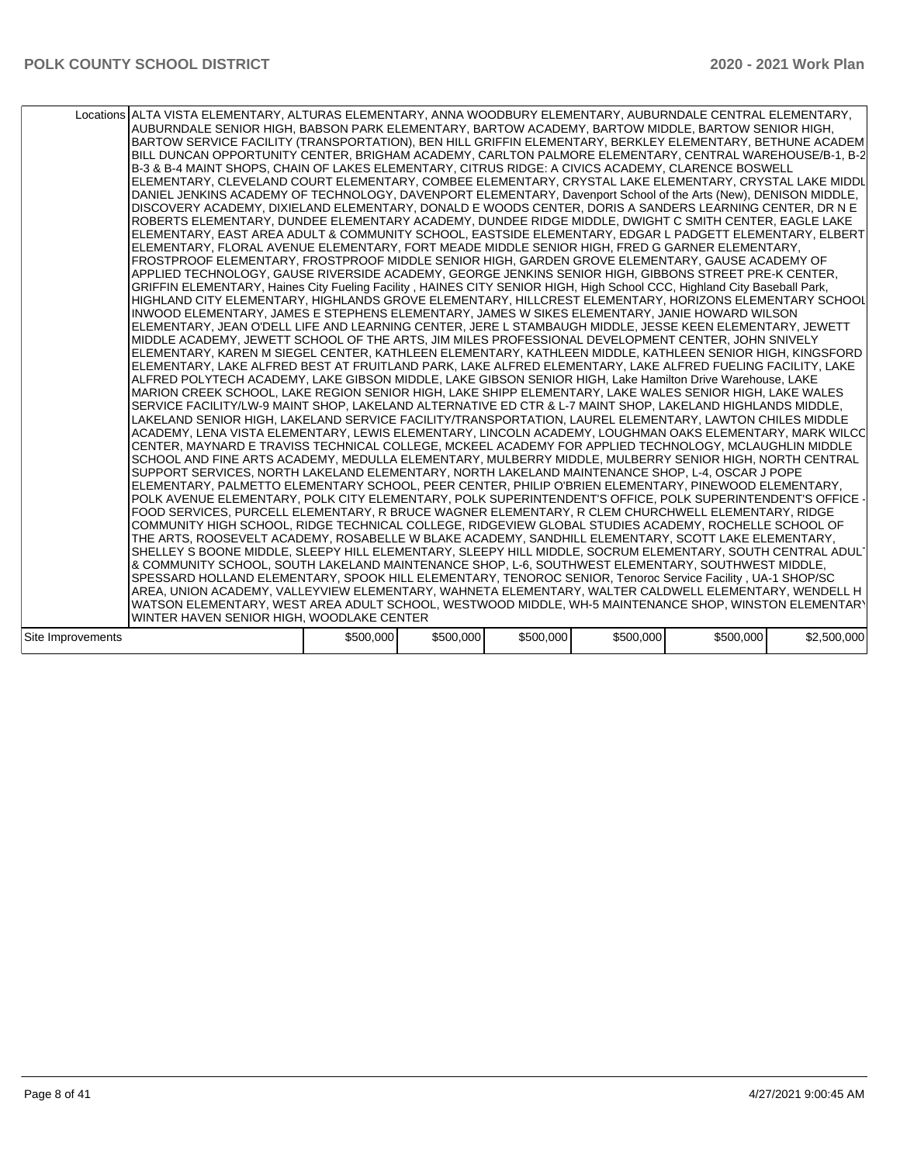|                   | Locations ALTA VISTA ELEMENTARY, ALTURAS ELEMENTARY, ANNA WOODBURY ELEMENTARY, AUBURNDALE CENTRAL ELEMENTARY,<br>AUBURNDALE SENIOR HIGH, BABSON PARK ELEMENTARY, BARTOW ACADEMY, BARTOW MIDDLE, BARTOW SENIOR HIGH,<br>BARTOW SERVICE FACILITY (TRANSPORTATION), BEN HILL GRIFFIN ELEMENTARY, BERKLEY ELEMENTARY, BETHUNE ACADEMI<br>BILL DUNCAN OPPORTUNITY CENTER, BRIGHAM ACADEMY, CARLTON PALMORE ELEMENTARY, CENTRAL WAREHOUSE/B-1, B-2<br>B-3 & B-4 MAINT SHOPS, CHAIN OF LAKES ELEMENTARY, CITRUS RIDGE: A CIVICS ACADEMY, CLARENCE BOSWELL<br>ELEMENTARY, CLEVELAND COURT ELEMENTARY, COMBEE ELEMENTARY, CRYSTAL LAKE ELEMENTARY, CRYSTAL LAKE MIDDL<br>DANIEL JENKINS ACADEMY OF TECHNOLOGY, DAVENPORT ELEMENTARY, Davenport School of the Arts (New), DENISON MIDDLE,<br>DISCOVERY ACADEMY, DIXIELAND ELEMENTARY, DONALD E WOODS CENTER, DORIS A SANDERS LEARNING CENTER, DR N E<br>ROBERTS ELEMENTARY, DUNDEE ELEMENTARY ACADEMY, DUNDEE RIDGE MIDDLE, DWIGHT C SMITH CENTER, EAGLE LAKE<br>ELEMENTARY, EAST AREA ADULT & COMMUNITY SCHOOL, EASTSIDE ELEMENTARY, EDGAR L PADGETT ELEMENTARY, ELBERT<br>ELEMENTARY, FLORAL AVENUE ELEMENTARY, FORT MEADE MIDDLE SENIOR HIGH, FRED G GARNER ELEMENTARY,<br>FROSTPROOF ELEMENTARY, FROSTPROOF MIDDLE SENIOR HIGH, GARDEN GROVE ELEMENTARY, GAUSE ACADEMY OF<br>APPLIED TECHNOLOGY, GAUSE RIVERSIDE ACADEMY, GEORGE JENKINS SENIOR HIGH, GIBBONS STREET PRE-K CENTER,<br>GRIFFIN ELEMENTARY, Haines City Fueling Facility, HAINES CITY SENIOR HIGH, High School CCC, Highland City Baseball Park,<br>HIGHLAND CITY ELEMENTARY, HIGHLANDS GROVE ELEMENTARY, HILLCREST ELEMENTARY, HORIZONS ELEMENTARY SCHOOL<br>INWOOD ELEMENTARY, JAMES E STEPHENS ELEMENTARY, JAMES W SIKES ELEMENTARY, JANIE HOWARD WILSON<br>ELEMENTARY, JEAN O'DELL LIFE AND LEARNING CENTER, JERE L STAMBAUGH MIDDLE, JESSE KEEN ELEMENTARY, JEWETT<br>MIDDLE ACADEMY, JEWETT SCHOOL OF THE ARTS, JIM MILES PROFESSIONAL DEVELOPMENT CENTER, JOHN SNIVELY<br>ELEMENTARY, KAREN M SIEGEL CENTER, KATHLEEN ELEMENTARY, KATHLEEN MIDDLE, KATHLEEN SENIOR HIGH, KINGSFORD<br>ELEMENTARY, LAKE ALFRED BEST AT FRUITLAND PARK, LAKE ALFRED ELEMENTARY, LAKE ALFRED FUELING FACILITY, LAKE<br>ALFRED POLYTECH ACADEMY, LAKE GIBSON MIDDLE, LAKE GIBSON SENIOR HIGH, Lake Hamilton Drive Warehouse, LAKE<br>MARION CREEK SCHOOL, LAKE REGION SENIOR HIGH, LAKE SHIPP ELEMENTARY, LAKE WALES SENIOR HIGH, LAKE WALES<br>SERVICE FACILITY/LW-9 MAINT SHOP, LAKELAND ALTERNATIVE ED CTR & L-7 MAINT SHOP, LAKELAND HIGHLANDS MIDDLE,<br>LAKELAND SENIOR HIGH, LAKELAND SERVICE FACILITY/TRANSPORTATION, LAUREL ELEMENTARY, LAWTON CHILES MIDDLE<br>ACADEMY, LENA VISTA ELEMENTARY, LEWIS ELEMENTARY, LINCOLN ACADEMY, LOUGHMAN OAKS ELEMENTARY, MARK WILCC<br>ICENTER. MAYNARD E TRAVISS TECHNICAL COLLEGE. MCKEEL ACADEMY FOR APPLIED TECHNOLOGY. MCLAUGHLIN MIDDLE<br>SCHOOL AND FINE ARTS ACADEMY, MEDULLA ELEMENTARY, MULBERRY MIDDLE, MULBERRY SENIOR HIGH, NORTH CENTRAL<br>SUPPORT SERVICES, NORTH LAKELAND ELEMENTARY, NORTH LAKELAND MAINTENANCE SHOP, L-4, OSCAR J POPE<br>ELEMENTARY, PALMETTO ELEMENTARY SCHOOL, PEER CENTER, PHILIP O'BRIEN ELEMENTARY, PINEWOOD ELEMENTARY,<br>POLK AVENUE ELEMENTARY, POLK CITY ELEMENTARY, POLK SUPERINTENDENT'S OFFICE, POLK SUPERINTENDENT'S OFFICE ·<br>FOOD SERVICES, PURCELL ELEMENTARY, R BRUCE WAGNER ELEMENTARY, R CLEM CHURCHWELL ELEMENTARY, RIDGE<br>COMMUNITY HIGH SCHOOL, RIDGE TECHNICAL COLLEGE, RIDGEVIEW GLOBAL STUDIES ACADEMY, ROCHELLE SCHOOL OF<br>THE ARTS, ROOSEVELT ACADEMY, ROSABELLE W BLAKE ACADEMY, SANDHILL ELEMENTARY, SCOTT LAKE ELEMENTARY,<br>SHELLEY S BOONE MIDDLE, SLEEPY HILL ELEMENTARY, SLEEPY HILL MIDDLE, SOCRUM ELEMENTARY, SOUTH CENTRAL ADUL'<br>& COMMUNITY SCHOOL, SOUTH LAKELAND MAINTENANCE SHOP, L-6, SOUTHWEST ELEMENTARY, SOUTHWEST MIDDLE,<br>SPESSARD HOLLAND ELEMENTARY, SPOOK HILL ELEMENTARY, TENOROC SENIOR, Tenoroc Service Facility, UA-1 SHOP/SC<br>AREA, UNION ACADEMY, VALLEYVIEW ELEMENTARY, WAHNETA ELEMENTARY, WALTER CALDWELL ELEMENTARY, WENDELL H <br>WATSON ELEMENTARY, WEST AREA ADULT SCHOOL, WESTWOOD MIDDLE, WH-5 MAINTENANCE SHOP, WINSTON ELEMENTARY<br>WINTER HAVEN SENIOR HIGH, WOODLAKE CENTER |           |           |           |           |           |             |
|-------------------|-----------------------------------------------------------------------------------------------------------------------------------------------------------------------------------------------------------------------------------------------------------------------------------------------------------------------------------------------------------------------------------------------------------------------------------------------------------------------------------------------------------------------------------------------------------------------------------------------------------------------------------------------------------------------------------------------------------------------------------------------------------------------------------------------------------------------------------------------------------------------------------------------------------------------------------------------------------------------------------------------------------------------------------------------------------------------------------------------------------------------------------------------------------------------------------------------------------------------------------------------------------------------------------------------------------------------------------------------------------------------------------------------------------------------------------------------------------------------------------------------------------------------------------------------------------------------------------------------------------------------------------------------------------------------------------------------------------------------------------------------------------------------------------------------------------------------------------------------------------------------------------------------------------------------------------------------------------------------------------------------------------------------------------------------------------------------------------------------------------------------------------------------------------------------------------------------------------------------------------------------------------------------------------------------------------------------------------------------------------------------------------------------------------------------------------------------------------------------------------------------------------------------------------------------------------------------------------------------------------------------------------------------------------------------------------------------------------------------------------------------------------------------------------------------------------------------------------------------------------------------------------------------------------------------------------------------------------------------------------------------------------------------------------------------------------------------------------------------------------------------------------------------------------------------------------------------------------------------------------------------------------------------------------------------------------------------------------------------------------------------------------------------------------------------------------------------------------------------------------------------------------------------------------------------------------------------------------------------------------------------------------------------------------------------------------------------------------------------------------------------------------------------------------------------------------------------------------------------------------------------------------------------------------------------------------------------------------------------------------------------------------------------------------------------------------------------------------------------------------------------------------------------------------------------------------------------------------------------------------------------|-----------|-----------|-----------|-----------|-----------|-------------|
| Site Improvements |                                                                                                                                                                                                                                                                                                                                                                                                                                                                                                                                                                                                                                                                                                                                                                                                                                                                                                                                                                                                                                                                                                                                                                                                                                                                                                                                                                                                                                                                                                                                                                                                                                                                                                                                                                                                                                                                                                                                                                                                                                                                                                                                                                                                                                                                                                                                                                                                                                                                                                                                                                                                                                                                                                                                                                                                                                                                                                                                                                                                                                                                                                                                                                                                                                                                                                                                                                                                                                                                                                                                                                                                                                                                                                                                                                                                                                                                                                                                                                                                                                                                                                                                                                                                                                               | \$500,000 | \$500,000 | \$500,000 | \$500,000 | \$500,000 | \$2,500,000 |
|                   |                                                                                                                                                                                                                                                                                                                                                                                                                                                                                                                                                                                                                                                                                                                                                                                                                                                                                                                                                                                                                                                                                                                                                                                                                                                                                                                                                                                                                                                                                                                                                                                                                                                                                                                                                                                                                                                                                                                                                                                                                                                                                                                                                                                                                                                                                                                                                                                                                                                                                                                                                                                                                                                                                                                                                                                                                                                                                                                                                                                                                                                                                                                                                                                                                                                                                                                                                                                                                                                                                                                                                                                                                                                                                                                                                                                                                                                                                                                                                                                                                                                                                                                                                                                                                                               |           |           |           |           |           |             |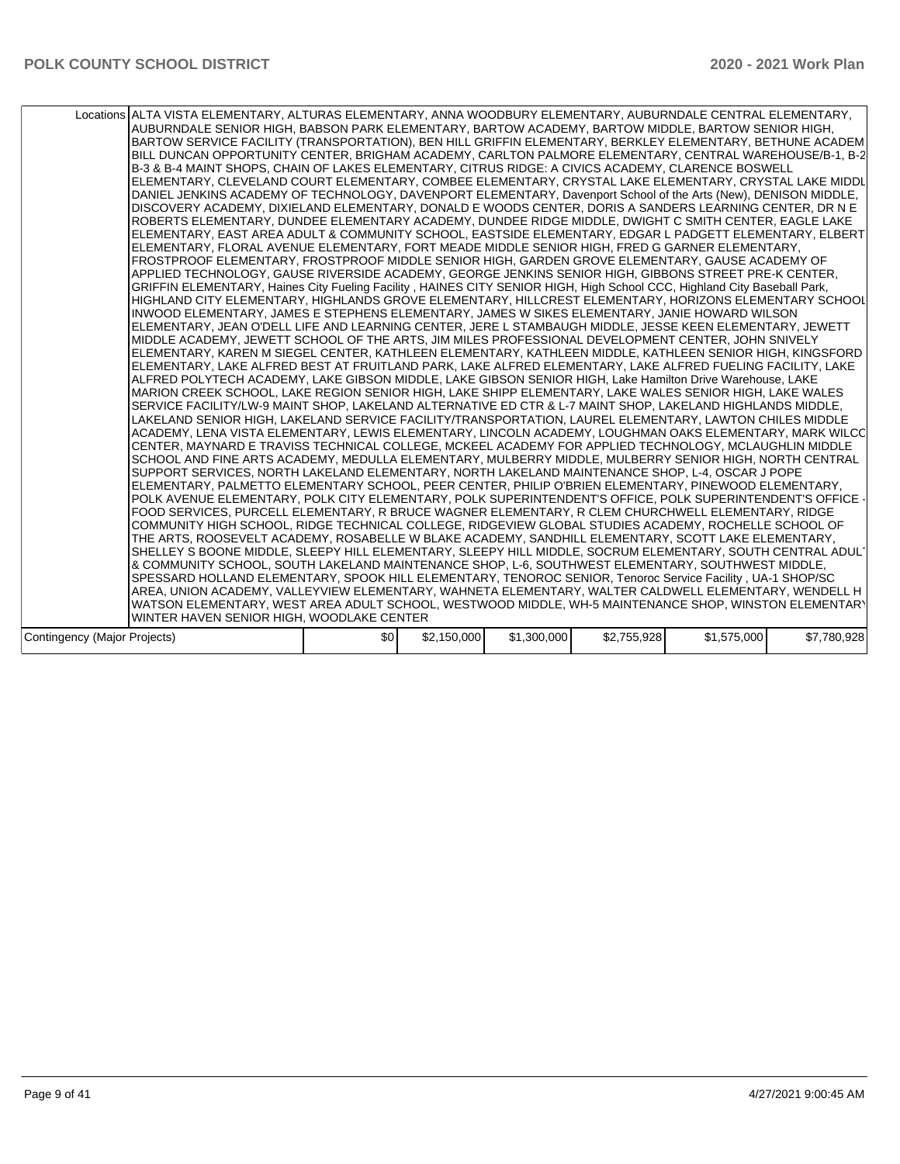| Locations ALTA VISTA ELEMENTARY, ALTURAS ELEMENTARY, ANNA WOODBURY ELEMENTARY, AUBURNDALE CENTRAL ELEMENTARY,<br>AUBURNDALE SENIOR HIGH, BABSON PARK ELEMENTARY, BARTOW ACADEMY, BARTOW MIDDLE, BARTOW SENIOR HIGH,<br>BARTOW SERVICE FACILITY (TRANSPORTATION), BEN HILL GRIFFIN ELEMENTARY, BERKLEY ELEMENTARY, BETHUNE ACADEM<br>BILL DUNCAN OPPORTUNITY CENTER, BRIGHAM ACADEMY, CARLTON PALMORE ELEMENTARY, CENTRAL WAREHOUSE/B-1, B-2<br>B-3 & B-4 MAINT SHOPS, CHAIN OF LAKES ELEMENTARY, CITRUS RIDGE: A CIVICS ACADEMY, CLARENCE BOSWELL<br>ELEMENTARY, CLEVELAND COURT ELEMENTARY, COMBEE ELEMENTARY, CRYSTAL LAKE ELEMENTARY, CRYSTAL LAKE MIDDL<br>DANIEL JENKINS ACADEMY OF TECHNOLOGY, DAVENPORT ELEMENTARY, Davenport School of the Arts (New), DENISON MIDDLE,<br>DISCOVERY ACADEMY, DIXIELAND ELEMENTARY, DONALD E WOODS CENTER, DORIS A SANDERS LEARNING CENTER, DR N E<br>ROBERTS ELEMENTARY, DUNDEE ELEMENTARY ACADEMY, DUNDEE RIDGE MIDDLE, DWIGHT C SMITH CENTER, EAGLE LAKE<br>ELEMENTARY, EAST AREA ADULT & COMMUNITY SCHOOL, EASTSIDE ELEMENTARY, EDGAR L PADGETT ELEMENTARY, ELBERT<br>ELEMENTARY, FLORAL AVENUE ELEMENTARY, FORT MEADE MIDDLE SENIOR HIGH, FRED G GARNER ELEMENTARY,<br>FROSTPROOF ELEMENTARY, FROSTPROOF MIDDLE SENIOR HIGH, GARDEN GROVE ELEMENTARY, GAUSE ACADEMY OF<br>APPLIED TECHNOLOGY, GAUSE RIVERSIDE ACADEMY, GEORGE JENKINS SENIOR HIGH, GIBBONS STREET PRE-K CENTER,<br>GRIFFIN ELEMENTARY, Haines City Fueling Facility, HAINES CITY SENIOR HIGH, High School CCC, Highland City Baseball Park,<br>HIGHLAND CITY ELEMENTARY, HIGHLANDS GROVE ELEMENTARY, HILLCREST ELEMENTARY, HORIZONS ELEMENTARY SCHOOL<br>INWOOD ELEMENTARY, JAMES E STEPHENS ELEMENTARY, JAMES W SIKES ELEMENTARY, JANIE HOWARD WILSON<br>ELEMENTARY, JEAN O'DELL LIFE AND LEARNING CENTER, JERE L STAMBAUGH MIDDLE, JESSE KEEN ELEMENTARY, JEWETT<br>MIDDLE ACADEMY, JEWETT SCHOOL OF THE ARTS, JIM MILES PROFESSIONAL DEVELOPMENT CENTER, JOHN SNIVELY<br>ELEMENTARY, KAREN M SIEGEL CENTER, KATHLEEN ELEMENTARY, KATHLEEN MIDDLE, KATHLEEN SENIOR HIGH, KINGSFORD<br>ELEMENTARY, LAKE ALFRED BEST AT FRUITLAND PARK, LAKE ALFRED ELEMENTARY, LAKE ALFRED FUELING FACILITY, LAKE<br>ALFRED POLYTECH ACADEMY, LAKE GIBSON MIDDLE, LAKE GIBSON SENIOR HIGH, Lake Hamilton Drive Warehouse, LAKE<br>MARION CREEK SCHOOL, LAKE REGION SENIOR HIGH, LAKE SHIPP ELEMENTARY, LAKE WALES SENIOR HIGH, LAKE WALES<br>ISERVICE FACILITY/LW-9 MAINT SHOP. LAKELAND ALTERNATIVE ED CTR & L-7 MAINT SHOP. LAKELAND HIGHLANDS MIDDLE.<br>LAKELAND SENIOR HIGH. LAKELAND SERVICE FACILITY/TRANSPORTATION. LAUREL ELEMENTARY. LAWTON CHILES MIDDLE<br>ACADEMY, LENA VISTA ELEMENTARY, LEWIS ELEMENTARY, LINCOLN ACADEMY, LOUGHMAN OAKS ELEMENTARY, MARK WILCC<br>CENTER, MAYNARD E TRAVISS TECHNICAL COLLEGE, MCKEEL ACADEMY FOR APPLIED TECHNOLOGY, MCLAUGHLIN MIDDLE<br>SCHOOL AND FINE ARTS ACADEMY, MEDULLA ELEMENTARY, MULBERRY MIDDLE, MULBERRY SENIOR HIGH, NORTH CENTRAL<br>SUPPORT SERVICES. NORTH LAKELAND ELEMENTARY. NORTH LAKELAND MAINTENANCE SHOP. L-4. OSCAR J POPE<br>ELEMENTARY, PALMETTO ELEMENTARY SCHOOL, PEER CENTER, PHILIP O'BRIEN ELEMENTARY, PINEWOOD ELEMENTARY,<br>POLK AVENUE ELEMENTARY, POLK CITY ELEMENTARY, POLK SUPERINTENDENT'S OFFICE, POLK SUPERINTENDENT'S OFFICE -<br>FOOD SERVICES, PURCELL ELEMENTARY, R BRUCE WAGNER ELEMENTARY, R CLEM CHURCHWELL ELEMENTARY, RIDGE<br>COMMUNITY HIGH SCHOOL, RIDGE TECHNICAL COLLEGE, RIDGEVIEW GLOBAL STUDIES ACADEMY, ROCHELLE SCHOOL OF<br>THE ARTS, ROOSEVELT ACADEMY, ROSABELLE W BLAKE ACADEMY, SANDHILL ELEMENTARY, SCOTT LAKE ELEMENTARY,<br>SHELLEY S BOONE MIDDLE, SLEEPY HILL ELEMENTARY, SLEEPY HILL MIDDLE, SOCRUM ELEMENTARY, SOUTH CENTRAL ADUL'<br>& COMMUNITY SCHOOL, SOUTH LAKELAND MAINTENANCE SHOP, L-6, SOUTHWEST ELEMENTARY, SOUTHWEST MIDDLE,<br>SPESSARD HOLLAND ELEMENTARY, SPOOK HILL ELEMENTARY, TENOROC SENIOR, Tenoroc Service Facility, UA-1 SHOP/SC<br>AREA, UNION ACADEMY, VALLEYVIEW ELEMENTARY, WAHNETA ELEMENTARY, WALTER CALDWELL ELEMENTARY, WENDELL H <br>WATSON ELEMENTARY, WEST AREA ADULT SCHOOL, WESTWOOD MIDDLE, WH-5 MAINTENANCE SHOP, WINSTON ELEMENTARY<br>WINTER HAVEN SENIOR HIGH, WOODLAKE CENTER |     |             |             |             |             |             |
|----------------------------------------------------------------------------------------------------------------------------------------------------------------------------------------------------------------------------------------------------------------------------------------------------------------------------------------------------------------------------------------------------------------------------------------------------------------------------------------------------------------------------------------------------------------------------------------------------------------------------------------------------------------------------------------------------------------------------------------------------------------------------------------------------------------------------------------------------------------------------------------------------------------------------------------------------------------------------------------------------------------------------------------------------------------------------------------------------------------------------------------------------------------------------------------------------------------------------------------------------------------------------------------------------------------------------------------------------------------------------------------------------------------------------------------------------------------------------------------------------------------------------------------------------------------------------------------------------------------------------------------------------------------------------------------------------------------------------------------------------------------------------------------------------------------------------------------------------------------------------------------------------------------------------------------------------------------------------------------------------------------------------------------------------------------------------------------------------------------------------------------------------------------------------------------------------------------------------------------------------------------------------------------------------------------------------------------------------------------------------------------------------------------------------------------------------------------------------------------------------------------------------------------------------------------------------------------------------------------------------------------------------------------------------------------------------------------------------------------------------------------------------------------------------------------------------------------------------------------------------------------------------------------------------------------------------------------------------------------------------------------------------------------------------------------------------------------------------------------------------------------------------------------------------------------------------------------------------------------------------------------------------------------------------------------------------------------------------------------------------------------------------------------------------------------------------------------------------------------------------------------------------------------------------------------------------------------------------------------------------------------------------------------------------------------------------------------------------------------------------------------------------------------------------------------------------------------------------------------------------------------------------------------------------------------------------------------------------------------------------------------------------------------------------------------------------------------------------------------------------------------------------------------------------------------------------------------------------------------------|-----|-------------|-------------|-------------|-------------|-------------|
| Contingency (Major Projects)                                                                                                                                                                                                                                                                                                                                                                                                                                                                                                                                                                                                                                                                                                                                                                                                                                                                                                                                                                                                                                                                                                                                                                                                                                                                                                                                                                                                                                                                                                                                                                                                                                                                                                                                                                                                                                                                                                                                                                                                                                                                                                                                                                                                                                                                                                                                                                                                                                                                                                                                                                                                                                                                                                                                                                                                                                                                                                                                                                                                                                                                                                                                                                                                                                                                                                                                                                                                                                                                                                                                                                                                                                                                                                                                                                                                                                                                                                                                                                                                                                                                                                                                                                                                                 | \$0 | \$2,150,000 | \$1,300,000 | \$2,755,928 | \$1,575,000 | \$7.780.928 |
|                                                                                                                                                                                                                                                                                                                                                                                                                                                                                                                                                                                                                                                                                                                                                                                                                                                                                                                                                                                                                                                                                                                                                                                                                                                                                                                                                                                                                                                                                                                                                                                                                                                                                                                                                                                                                                                                                                                                                                                                                                                                                                                                                                                                                                                                                                                                                                                                                                                                                                                                                                                                                                                                                                                                                                                                                                                                                                                                                                                                                                                                                                                                                                                                                                                                                                                                                                                                                                                                                                                                                                                                                                                                                                                                                                                                                                                                                                                                                                                                                                                                                                                                                                                                                                              |     |             |             |             |             |             |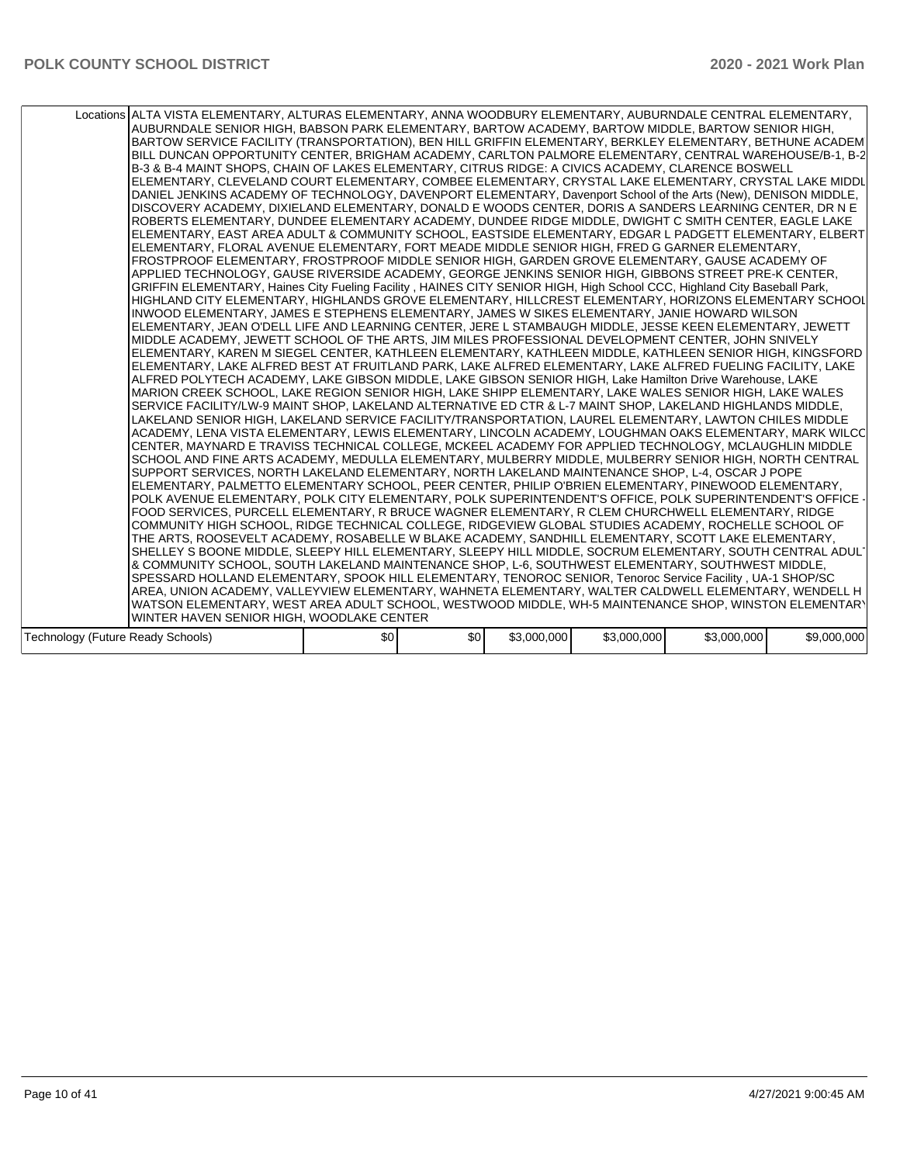| Locations ALTA VISTA ELEMENTARY, ALTURAS ELEMENTARY, ANNA WOODBURY ELEMENTARY, AUBURNDALE CENTRAL ELEMENTARY,<br>AUBURNDALE SENIOR HIGH, BABSON PARK ELEMENTARY, BARTOW ACADEMY, BARTOW MIDDLE, BARTOW SENIOR HIGH,<br>BARTOW SERVICE FACILITY (TRANSPORTATION), BEN HILL GRIFFIN ELEMENTARY, BERKLEY ELEMENTARY, BETHUNE ACADEMI<br>BILL DUNCAN OPPORTUNITY CENTER, BRIGHAM ACADEMY, CARLTON PALMORE ELEMENTARY, CENTRAL WAREHOUSE/B-1, B-2<br>B-3 & B-4 MAINT SHOPS, CHAIN OF LAKES ELEMENTARY, CITRUS RIDGE: A CIVICS ACADEMY, CLARENCE BOSWELL<br>ELEMENTARY, CLEVELAND COURT ELEMENTARY, COMBEE ELEMENTARY, CRYSTAL LAKE ELEMENTARY, CRYSTAL LAKE MIDDL<br>DANIEL JENKINS ACADEMY OF TECHNOLOGY, DAVENPORT ELEMENTARY, Davenport School of the Arts (New), DENISON MIDDLE,<br>DISCOVERY ACADEMY, DIXIELAND ELEMENTARY, DONALD E WOODS CENTER, DORIS A SANDERS LEARNING CENTER, DR N E<br>ROBERTS ELEMENTARY, DUNDEE ELEMENTARY ACADEMY, DUNDEE RIDGE MIDDLE, DWIGHT C SMITH CENTER, EAGLE LAKE<br>ELEMENTARY, EAST AREA ADULT & COMMUNITY SCHOOL, EASTSIDE ELEMENTARY, EDGAR L PADGETT ELEMENTARY, ELBERT<br>ELEMENTARY, FLORAL AVENUE ELEMENTARY, FORT MEADE MIDDLE SENIOR HIGH, FRED G GARNER ELEMENTARY,<br>FROSTPROOF ELEMENTARY, FROSTPROOF MIDDLE SENIOR HIGH, GARDEN GROVE ELEMENTARY, GAUSE ACADEMY OF<br>APPLIED TECHNOLOGY, GAUSE RIVERSIDE ACADEMY, GEORGE JENKINS SENIOR HIGH, GIBBONS STREET PRE-K CENTER,<br>GRIFFIN ELEMENTARY, Haines City Fueling Facility, HAINES CITY SENIOR HIGH, High School CCC, Highland City Baseball Park,<br>HIGHLAND CITY ELEMENTARY, HIGHLANDS GROVE ELEMENTARY, HILLCREST ELEMENTARY, HORIZONS ELEMENTARY SCHOOL<br>INWOOD ELEMENTARY, JAMES E STEPHENS ELEMENTARY, JAMES W SIKES ELEMENTARY, JANIE HOWARD WILSON<br>ELEMENTARY, JEAN O'DELL LIFE AND LEARNING CENTER, JERE L STAMBAUGH MIDDLE, JESSE KEEN ELEMENTARY, JEWETT<br>MIDDLE ACADEMY, JEWETT SCHOOL OF THE ARTS, JIM MILES PROFESSIONAL DEVELOPMENT CENTER, JOHN SNIVELY<br>ELEMENTARY, KAREN M SIEGEL CENTER, KATHLEEN ELEMENTARY, KATHLEEN MIDDLE, KATHLEEN SENIOR HIGH, KINGSFORD<br> ELEMENTARY, LAKE ALFRED BEST AT FRUITLAND PARK, LAKE ALFRED ELEMENTARY, LAKE ALFRED FUELING FACILITY, LAKE<br>ALFRED POLYTECH ACADEMY, LAKE GIBSON MIDDLE, LAKE GIBSON SENIOR HIGH, Lake Hamilton Drive Warehouse, LAKE<br>MARION CREEK SCHOOL, LAKE REGION SENIOR HIGH, LAKE SHIPP ELEMENTARY, LAKE WALES SENIOR HIGH, LAKE WALES<br>SERVICE FACILITY/LW-9 MAINT SHOP. LAKELAND ALTERNATIVE ED CTR & L-7 MAINT SHOP. LAKELAND HIGHLANDS MIDDLE.<br>LAKELAND SENIOR HIGH, LAKELAND SERVICE FACILITY/TRANSPORTATION, LAUREL ELEMENTARY, LAWTON CHILES MIDDLE<br>ACADEMY, LENA VISTA ELEMENTARY, LEWIS ELEMENTARY, LINCOLN ACADEMY, LOUGHMAN OAKS ELEMENTARY, MARK WILCC<br>CENTER, MAYNARD E TRAVISS TECHNICAL COLLEGE, MCKEEL ACADEMY FOR APPLIED TECHNOLOGY, MCLAUGHLIN MIDDLE<br>SCHOOL AND FINE ARTS ACADEMY, MEDULLA ELEMENTARY, MULBERRY MIDDLE, MULBERRY SENIOR HIGH, NORTH CENTRAL<br>SUPPORT SERVICES, NORTH LAKELAND ELEMENTARY, NORTH LAKELAND MAINTENANCE SHOP, L-4, OSCAR J POPE<br>ELEMENTARY, PALMETTO ELEMENTARY SCHOOL, PEER CENTER, PHILIP O'BRIEN ELEMENTARY, PINEWOOD ELEMENTARY,<br>POLK AVENUE ELEMENTARY, POLK CITY ELEMENTARY, POLK SUPERINTENDENT'S OFFICE, POLK SUPERINTENDENT'S OFFICE<br>FOOD SERVICES, PURCELL ELEMENTARY, R BRUCE WAGNER ELEMENTARY, R CLEM CHURCHWELL ELEMENTARY, RIDGE<br>COMMUNITY HIGH SCHOOL, RIDGE TECHNICAL COLLEGE, RIDGEVIEW GLOBAL STUDIES ACADEMY, ROCHELLE SCHOOL OF<br>THE ARTS, ROOSEVELT ACADEMY, ROSABELLE W BLAKE ACADEMY, SANDHILL ELEMENTARY, SCOTT LAKE ELEMENTARY,<br>SHELLEY S BOONE MIDDLE, SLEEPY HILL ELEMENTARY, SLEEPY HILL MIDDLE, SOCRUM ELEMENTARY, SOUTH CENTRAL ADUL'<br>& COMMUNITY SCHOOL, SOUTH LAKELAND MAINTENANCE SHOP, L-6, SOUTHWEST ELEMENTARY, SOUTHWEST MIDDLE,<br>SPESSARD HOLLAND ELEMENTARY, SPOOK HILL ELEMENTARY, TENOROC SENIOR, Tenoroc Service Facility, UA-1 SHOP/SC<br>AREA, UNION ACADEMY, VALLEYVIEW ELEMENTARY, WAHNETA ELEMENTARY, WALTER CALDWELL ELEMENTARY, WENDELL H<br>WATSON ELEMENTARY, WEST AREA ADULT SCHOOL, WESTWOOD MIDDLE, WH-5 MAINTENANCE SHOP, WINSTON ELEMENTARY<br>WINTER HAVEN SENIOR HIGH, WOODLAKE CENTER |  |     |     |             |             |             |             |
|--------------------------------------------------------------------------------------------------------------------------------------------------------------------------------------------------------------------------------------------------------------------------------------------------------------------------------------------------------------------------------------------------------------------------------------------------------------------------------------------------------------------------------------------------------------------------------------------------------------------------------------------------------------------------------------------------------------------------------------------------------------------------------------------------------------------------------------------------------------------------------------------------------------------------------------------------------------------------------------------------------------------------------------------------------------------------------------------------------------------------------------------------------------------------------------------------------------------------------------------------------------------------------------------------------------------------------------------------------------------------------------------------------------------------------------------------------------------------------------------------------------------------------------------------------------------------------------------------------------------------------------------------------------------------------------------------------------------------------------------------------------------------------------------------------------------------------------------------------------------------------------------------------------------------------------------------------------------------------------------------------------------------------------------------------------------------------------------------------------------------------------------------------------------------------------------------------------------------------------------------------------------------------------------------------------------------------------------------------------------------------------------------------------------------------------------------------------------------------------------------------------------------------------------------------------------------------------------------------------------------------------------------------------------------------------------------------------------------------------------------------------------------------------------------------------------------------------------------------------------------------------------------------------------------------------------------------------------------------------------------------------------------------------------------------------------------------------------------------------------------------------------------------------------------------------------------------------------------------------------------------------------------------------------------------------------------------------------------------------------------------------------------------------------------------------------------------------------------------------------------------------------------------------------------------------------------------------------------------------------------------------------------------------------------------------------------------------------------------------------------------------------------------------------------------------------------------------------------------------------------------------------------------------------------------------------------------------------------------------------------------------------------------------------------------------------------------------------------------------------------------------------------------------------------------------------------------------------------------------------|--|-----|-----|-------------|-------------|-------------|-------------|
|                                                                                                                                                                                                                                                                                                                                                                                                                                                                                                                                                                                                                                                                                                                                                                                                                                                                                                                                                                                                                                                                                                                                                                                                                                                                                                                                                                                                                                                                                                                                                                                                                                                                                                                                                                                                                                                                                                                                                                                                                                                                                                                                                                                                                                                                                                                                                                                                                                                                                                                                                                                                                                                                                                                                                                                                                                                                                                                                                                                                                                                                                                                                                                                                                                                                                                                                                                                                                                                                                                                                                                                                                                                                                                                                                                                                                                                                                                                                                                                                                                                                                                                                                                                                                                            |  |     |     |             |             |             |             |
| Technology (Future Ready Schools)                                                                                                                                                                                                                                                                                                                                                                                                                                                                                                                                                                                                                                                                                                                                                                                                                                                                                                                                                                                                                                                                                                                                                                                                                                                                                                                                                                                                                                                                                                                                                                                                                                                                                                                                                                                                                                                                                                                                                                                                                                                                                                                                                                                                                                                                                                                                                                                                                                                                                                                                                                                                                                                                                                                                                                                                                                                                                                                                                                                                                                                                                                                                                                                                                                                                                                                                                                                                                                                                                                                                                                                                                                                                                                                                                                                                                                                                                                                                                                                                                                                                                                                                                                                                          |  | \$0 | \$0 | \$3,000,000 | \$3,000,000 | \$3,000,000 | \$9,000,000 |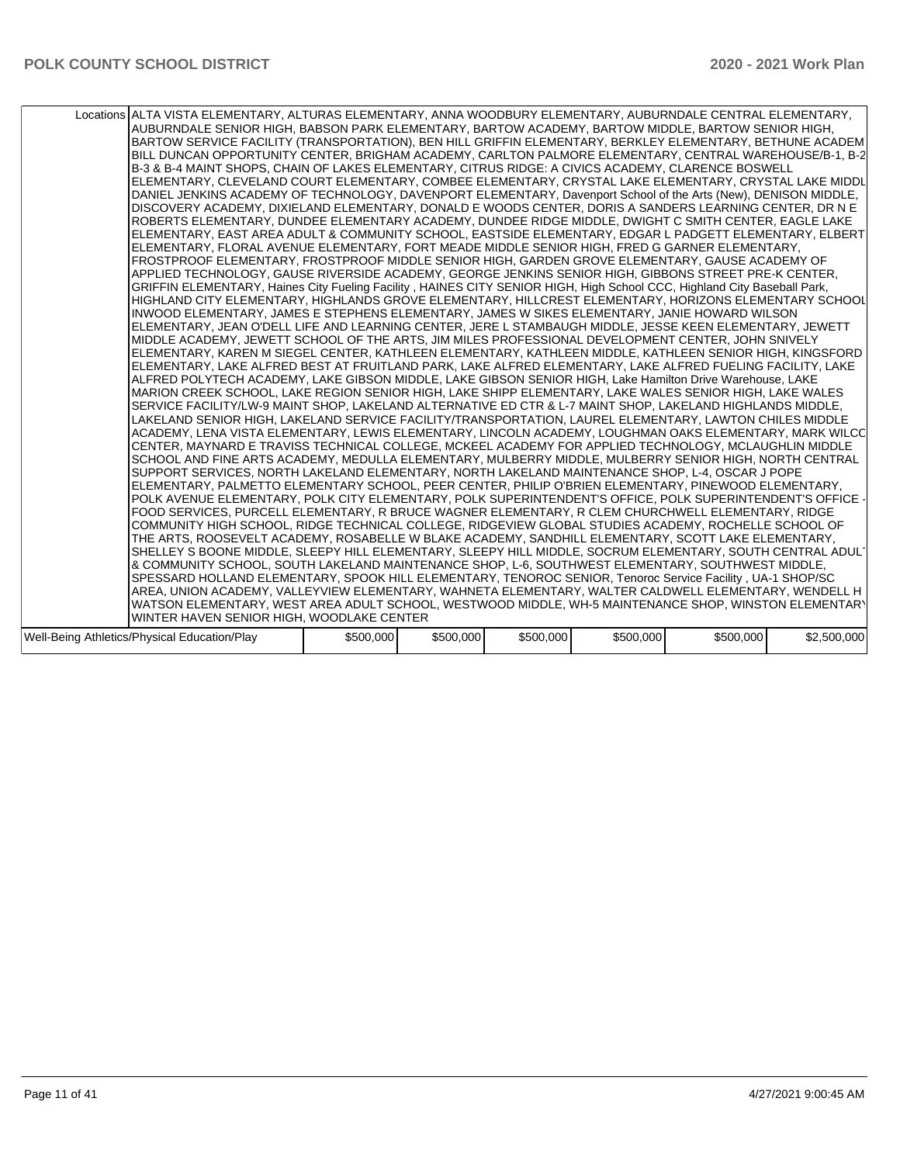| Locations ALTA VISTA ELEMENTARY, ALTURAS ELEMENTARY, ANNA WOODBURY ELEMENTARY, AUBURNDALE CENTRAL ELEMENTARY,<br>AUBURNDALE SENIOR HIGH, BABSON PARK ELEMENTARY, BARTOW ACADEMY, BARTOW MIDDLE, BARTOW SENIOR HIGH,<br>BARTOW SERVICE FACILITY (TRANSPORTATION), BEN HILL GRIFFIN ELEMENTARY, BERKLEY ELEMENTARY, BETHUNE ACADEMI<br>BILL DUNCAN OPPORTUNITY CENTER, BRIGHAM ACADEMY, CARLTON PALMORE ELEMENTARY, CENTRAL WAREHOUSE/B-1, B-2<br>B-3 & B-4 MAINT SHOPS, CHAIN OF LAKES ELEMENTARY, CITRUS RIDGE: A CIVICS ACADEMY, CLARENCE BOSWELL<br>ELEMENTARY, CLEVELAND COURT ELEMENTARY, COMBEE ELEMENTARY, CRYSTAL LAKE ELEMENTARY, CRYSTAL LAKE MIDDL<br>DANIEL JENKINS ACADEMY OF TECHNOLOGY, DAVENPORT ELEMENTARY, Davenport School of the Arts (New), DENISON MIDDLE,<br>DISCOVERY ACADEMY, DIXIELAND ELEMENTARY, DONALD E WOODS CENTER, DORIS A SANDERS LEARNING CENTER, DR N E<br>ROBERTS ELEMENTARY, DUNDEE ELEMENTARY ACADEMY, DUNDEE RIDGE MIDDLE, DWIGHT C SMITH CENTER, EAGLE LAKE<br>ELEMENTARY, EAST AREA ADULT & COMMUNITY SCHOOL, EASTSIDE ELEMENTARY, EDGAR L PADGETT ELEMENTARY, ELBERT<br>ELEMENTARY, FLORAL AVENUE ELEMENTARY, FORT MEADE MIDDLE SENIOR HIGH, FRED G GARNER ELEMENTARY,<br>FROSTPROOF ELEMENTARY, FROSTPROOF MIDDLE SENIOR HIGH, GARDEN GROVE ELEMENTARY, GAUSE ACADEMY OF<br>APPLIED TECHNOLOGY, GAUSE RIVERSIDE ACADEMY, GEORGE JENKINS SENIOR HIGH, GIBBONS STREET PRE-K CENTER,<br>GRIFFIN ELEMENTARY, Haines City Fueling Facility, HAINES CITY SENIOR HIGH, High School CCC, Highland City Baseball Park,<br>HIGHLAND CITY ELEMENTARY, HIGHLANDS GROVE ELEMENTARY, HILLCREST ELEMENTARY, HORIZONS ELEMENTARY SCHOOL<br>INWOOD ELEMENTARY, JAMES E STEPHENS ELEMENTARY, JAMES W SIKES ELEMENTARY, JANIE HOWARD WILSON<br>ELEMENTARY, JEAN O'DELL LIFE AND LEARNING CENTER, JERE L STAMBAUGH MIDDLE, JESSE KEEN ELEMENTARY, JEWETT<br>MIDDLE ACADEMY, JEWETT SCHOOL OF THE ARTS, JIM MILES PROFESSIONAL DEVELOPMENT CENTER, JOHN SNIVELY<br>ELEMENTARY, KAREN M SIEGEL CENTER, KATHLEEN ELEMENTARY, KATHLEEN MIDDLE, KATHLEEN SENIOR HIGH, KINGSFORD                                     |
|---------------------------------------------------------------------------------------------------------------------------------------------------------------------------------------------------------------------------------------------------------------------------------------------------------------------------------------------------------------------------------------------------------------------------------------------------------------------------------------------------------------------------------------------------------------------------------------------------------------------------------------------------------------------------------------------------------------------------------------------------------------------------------------------------------------------------------------------------------------------------------------------------------------------------------------------------------------------------------------------------------------------------------------------------------------------------------------------------------------------------------------------------------------------------------------------------------------------------------------------------------------------------------------------------------------------------------------------------------------------------------------------------------------------------------------------------------------------------------------------------------------------------------------------------------------------------------------------------------------------------------------------------------------------------------------------------------------------------------------------------------------------------------------------------------------------------------------------------------------------------------------------------------------------------------------------------------------------------------------------------------------------------------------------------------------------------------------------------------------------------------------|
| ELEMENTARY, LAKE ALFRED BEST AT FRUITLAND PARK, LAKE ALFRED ELEMENTARY, LAKE ALFRED FUELING FACILITY, LAKE<br>ALFRED POLYTECH ACADEMY, LAKE GIBSON MIDDLE, LAKE GIBSON SENIOR HIGH, Lake Hamilton Drive Warehouse, LAKE<br>MARION CREEK SCHOOL, LAKE REGION SENIOR HIGH, LAKE SHIPP ELEMENTARY, LAKE WALES SENIOR HIGH, LAKE WALES<br>SERVICE FACILITY/LW-9 MAINT SHOP, LAKELAND ALTERNATIVE ED CTR & L-7 MAINT SHOP, LAKELAND HIGHLANDS MIDDLE,<br>LAKELAND SENIOR HIGH, LAKELAND SERVICE FACILITY/TRANSPORTATION, LAUREL ELEMENTARY, LAWTON CHILES MIDDLE<br>ACADEMY, LENA VISTA ELEMENTARY, LEWIS ELEMENTARY, LINCOLN ACADEMY, LOUGHMAN OAKS ELEMENTARY, MARK WILCC<br>CENTER, MAYNARD E TRAVISS TECHNICAL COLLEGE, MCKEEL ACADEMY FOR APPLIED TECHNOLOGY, MCLAUGHLIN MIDDLE<br>SCHOOL AND FINE ARTS ACADEMY, MEDULLA ELEMENTARY, MULBERRY MIDDLE, MULBERRY SENIOR HIGH, NORTH CENTRAL<br>SUPPORT SERVICES, NORTH LAKELAND ELEMENTARY, NORTH LAKELAND MAINTENANCE SHOP, L-4, OSCAR J POPE<br>ELEMENTARY, PALMETTO ELEMENTARY SCHOOL, PEER CENTER, PHILIP O'BRIEN ELEMENTARY, PINEWOOD ELEMENTARY,<br>POLK AVENUE ELEMENTARY, POLK CITY ELEMENTARY, POLK SUPERINTENDENT'S OFFICE, POLK SUPERINTENDENT'S OFFICE<br>FOOD SERVICES, PURCELL ELEMENTARY, R BRUCE WAGNER ELEMENTARY, R CLEM CHURCHWELL ELEMENTARY, RIDGE<br>COMMUNITY HIGH SCHOOL, RIDGE TECHNICAL COLLEGE, RIDGEVIEW GLOBAL STUDIES ACADEMY, ROCHELLE SCHOOL OF<br>THE ARTS, ROOSEVELT ACADEMY, ROSABELLE W BLAKE ACADEMY, SANDHILL ELEMENTARY, SCOTT LAKE ELEMENTARY,<br>SHELLEY S BOONE MIDDLE, SLEEPY HILL ELEMENTARY, SLEEPY HILL MIDDLE, SOCRUM ELEMENTARY, SOUTH CENTRAL ADUL'<br>& COMMUNITY SCHOOL, SOUTH LAKELAND MAINTENANCE SHOP, L-6, SOUTHWEST ELEMENTARY, SOUTHWEST MIDDLE,<br>SPESSARD HOLLAND ELEMENTARY, SPOOK HILL ELEMENTARY, TENOROC SENIOR, Tenoroc Service Facility, UA-1 SHOP/SC<br>AREA, UNION ACADEMY, VALLEYVIEW ELEMENTARY, WAHNETA ELEMENTARY, WALTER CALDWELL ELEMENTARY, WENDELL H <br>WATSON ELEMENTARY, WEST AREA ADULT SCHOOL, WESTWOOD MIDDLE, WH-5 MAINTENANCE SHOP, WINSTON ELEMENTARY<br>WINTER HAVEN SENIOR HIGH, WOODLAKE CENTER |
| Well-Being Athletics/Physical Education/Play<br>\$500,000<br>\$500,000<br>\$500,000<br>\$500,000<br>\$500,000<br>\$2,500,000                                                                                                                                                                                                                                                                                                                                                                                                                                                                                                                                                                                                                                                                                                                                                                                                                                                                                                                                                                                                                                                                                                                                                                                                                                                                                                                                                                                                                                                                                                                                                                                                                                                                                                                                                                                                                                                                                                                                                                                                          |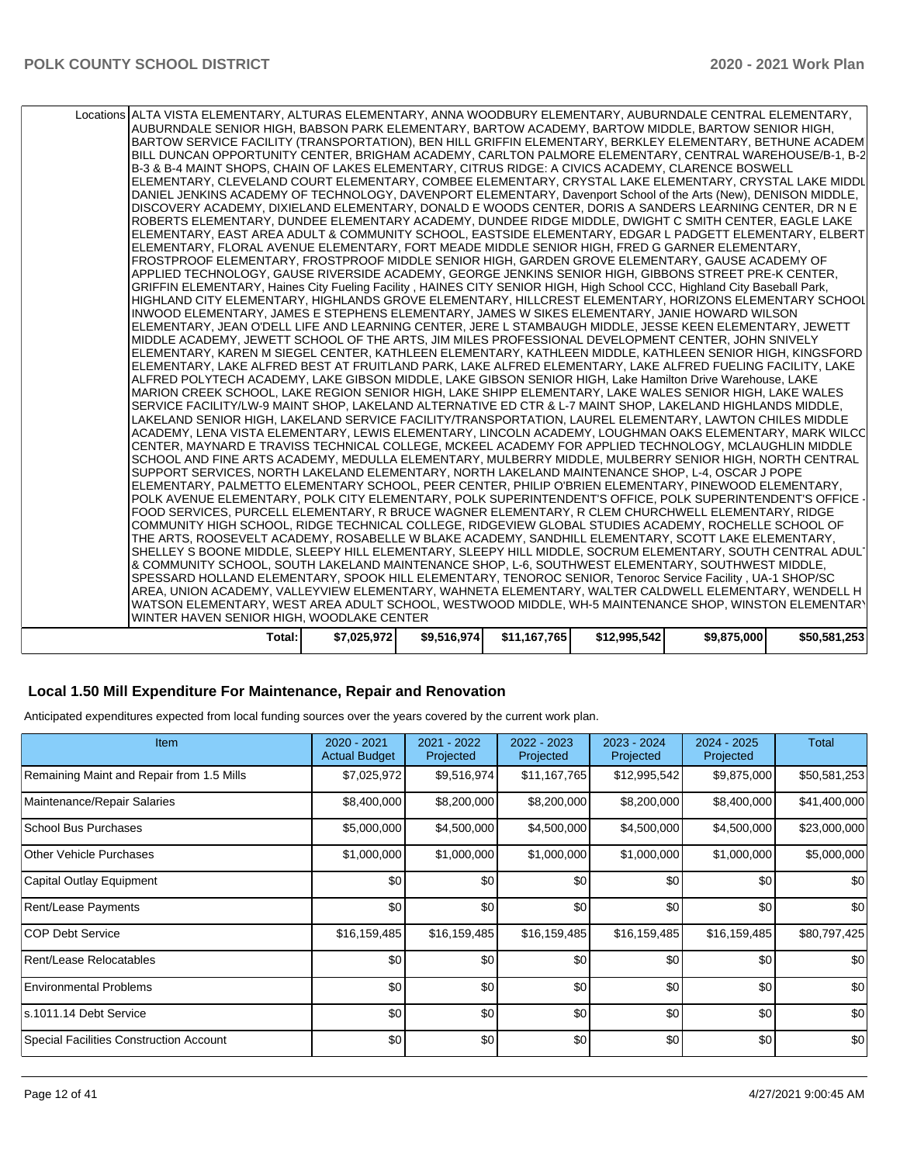| Locations ALTA VISTA ELEMENTARY, ALTURAS ELEMENTARY, ANNA WOODBURY ELEMENTARY, AUBURNDALE CENTRAL ELEMENTARY,<br>AUBURNDALE SENIOR HIGH, BABSON PARK ELEMENTARY, BARTOW ACADEMY, BARTOW MIDDLE, BARTOW SENIOR HIGH,<br>BARTOW SERVICE FACILITY (TRANSPORTATION), BEN HILL GRIFFIN ELEMENTARY, BERKLEY ELEMENTARY, BETHUNE ACADEM<br>BILL DUNCAN OPPORTUNITY CENTER, BRIGHAM ACADEMY, CARLTON PALMORE ELEMENTARY, CENTRAL WAREHOUSE/B-1, B-2<br>B-3 & B-4 MAINT SHOPS, CHAIN OF LAKES ELEMENTARY, CITRUS RIDGE: A CIVICS ACADEMY, CLARENCE BOSWELL<br>ELEMENTARY, CLEVELAND COURT ELEMENTARY, COMBEE ELEMENTARY, CRYSTAL LAKE ELEMENTARY, CRYSTAL LAKE MIDDL<br>DANIEL JENKINS ACADEMY OF TECHNOLOGY, DAVENPORT ELEMENTARY, Davenport School of the Arts (New), DENISON MIDDLE,<br>DISCOVERY ACADEMY, DIXIELAND ELEMENTARY, DONALD E WOODS CENTER, DORIS A SANDERS LEARNING CENTER, DR N E<br>ROBERTS ELEMENTARY, DUNDEE ELEMENTARY ACADEMY, DUNDEE RIDGE MIDDLE, DWIGHT C SMITH CENTER, EAGLE LAKE<br>ELEMENTARY, EAST AREA ADULT & COMMUNITY SCHOOL, EASTSIDE ELEMENTARY, EDGAR L PADGETT ELEMENTARY, ELBERT<br>ELEMENTARY, FLORAL AVENUE ELEMENTARY, FORT MEADE MIDDLE SENIOR HIGH, FRED G GARNER ELEMENTARY,<br>FROSTPROOF ELEMENTARY, FROSTPROOF MIDDLE SENIOR HIGH, GARDEN GROVE ELEMENTARY, GAUSE ACADEMY OF<br>APPLIED TECHNOLOGY, GAUSE RIVERSIDE ACADEMY, GEORGE JENKINS SENIOR HIGH, GIBBONS STREET PRE-K CENTER,<br>GRIFFIN ELEMENTARY, Haines City Fueling Facility, HAINES CITY SENIOR HIGH, High School CCC, Highland City Baseball Park,<br>HIGHLAND CITY ELEMENTARY, HIGHLANDS GROVE ELEMENTARY, HILLCREST ELEMENTARY, HORIZONS ELEMENTARY SCHOOL<br>INWOOD ELEMENTARY, JAMES E STEPHENS ELEMENTARY, JAMES W SIKES ELEMENTARY, JANIE HOWARD WILSON<br>ELEMENTARY, JEAN O'DELL LIFE AND LEARNING CENTER, JERE L STAMBAUGH MIDDLE, JESSE KEEN ELEMENTARY, JEWETT<br>MIDDLE ACADEMY, JEWETT SCHOOL OF THE ARTS, JIM MILES PROFESSIONAL DEVELOPMENT CENTER, JOHN SNIVELY<br>ELEMENTARY, KAREN M SIEGEL CENTER, KATHLEEN ELEMENTARY, KATHLEEN MIDDLE, KATHLEEN SENIOR HIGH, KINGSFORD<br> ELEMENTARY, LAKE ALFRED BEST AT FRUITLAND PARK, LAKE ALFRED ELEMENTARY, LAKE ALFRED FUELING FACILITY, LAKE<br>ALFRED POLYTECH ACADEMY, LAKE GIBSON MIDDLE, LAKE GIBSON SENIOR HIGH, Lake Hamilton Drive Warehouse, LAKE<br>MARION CREEK SCHOOL, LAKE REGION SENIOR HIGH, LAKE SHIPP ELEMENTARY, LAKE WALES SENIOR HIGH, LAKE WALES<br>SERVICE FACILITY/LW-9 MAINT SHOP, LAKELAND ALTERNATIVE ED CTR & L-7 MAINT SHOP, LAKELAND HIGHLANDS MIDDLE,<br>LAKELAND SENIOR HIGH, LAKELAND SERVICE FACILITY/TRANSPORTATION, LAUREL ELEMENTARY, LAWTON CHILES MIDDLE<br>ACADEMY, LENA VISTA ELEMENTARY, LEWIS ELEMENTARY, LINCOLN ACADEMY, LOUGHMAN OAKS ELEMENTARY, MARK WILCC<br>CENTER, MAYNARD E TRAVISS TECHNICAL COLLEGE, MCKEEL ACADEMY FOR APPLIED TECHNOLOGY, MCLAUGHLIN MIDDLE<br>SCHOOL AND FINE ARTS ACADEMY, MEDULLA ELEMENTARY, MULBERRY MIDDLE, MULBERRY SENIOR HIGH, NORTH CENTRAL<br>SUPPORT SERVICES, NORTH LAKELAND ELEMENTARY, NORTH LAKELAND MAINTENANCE SHOP, L-4, OSCAR J POPE<br>ELEMENTARY, PALMETTO ELEMENTARY SCHOOL, PEER CENTER, PHILIP O'BRIEN ELEMENTARY, PINEWOOD ELEMENTARY,<br>POLK AVENUE ELEMENTARY, POLK CITY ELEMENTARY, POLK SUPERINTENDENT'S OFFICE, POLK SUPERINTENDENT'S OFFICE ·<br>FOOD SERVICES, PURCELL ELEMENTARY, R BRUCE WAGNER ELEMENTARY, R CLEM CHURCHWELL ELEMENTARY, RIDGE<br>COMMUNITY HIGH SCHOOL, RIDGE TECHNICAL COLLEGE, RIDGEVIEW GLOBAL STUDIES ACADEMY, ROCHELLE SCHOOL OF<br>THE ARTS, ROOSEVELT ACADEMY, ROSABELLE W BLAKE ACADEMY, SANDHILL ELEMENTARY, SCOTT LAKE ELEMENTARY,<br>SHELLEY S BOONE MIDDLE, SLEEPY HILL ELEMENTARY, SLEEPY HILL MIDDLE, SOCRUM ELEMENTARY, SOUTH CENTRAL ADUL'<br>& COMMUNITY SCHOOL, SOUTH LAKELAND MAINTENANCE SHOP, L-6, SOUTHWEST ELEMENTARY, SOUTHWEST MIDDLE,<br>SPESSARD HOLLAND ELEMENTARY, SPOOK HILL ELEMENTARY, TENOROC SENIOR, Tenoroc Service Facility, UA-1 SHOP/SC<br>AREA, UNION ACADEMY, VALLEYVIEW ELEMENTARY, WAHNETA ELEMENTARY, WALTER CALDWELL ELEMENTARY, WENDELL H |             |             |              |              |             |              |
|---------------------------------------------------------------------------------------------------------------------------------------------------------------------------------------------------------------------------------------------------------------------------------------------------------------------------------------------------------------------------------------------------------------------------------------------------------------------------------------------------------------------------------------------------------------------------------------------------------------------------------------------------------------------------------------------------------------------------------------------------------------------------------------------------------------------------------------------------------------------------------------------------------------------------------------------------------------------------------------------------------------------------------------------------------------------------------------------------------------------------------------------------------------------------------------------------------------------------------------------------------------------------------------------------------------------------------------------------------------------------------------------------------------------------------------------------------------------------------------------------------------------------------------------------------------------------------------------------------------------------------------------------------------------------------------------------------------------------------------------------------------------------------------------------------------------------------------------------------------------------------------------------------------------------------------------------------------------------------------------------------------------------------------------------------------------------------------------------------------------------------------------------------------------------------------------------------------------------------------------------------------------------------------------------------------------------------------------------------------------------------------------------------------------------------------------------------------------------------------------------------------------------------------------------------------------------------------------------------------------------------------------------------------------------------------------------------------------------------------------------------------------------------------------------------------------------------------------------------------------------------------------------------------------------------------------------------------------------------------------------------------------------------------------------------------------------------------------------------------------------------------------------------------------------------------------------------------------------------------------------------------------------------------------------------------------------------------------------------------------------------------------------------------------------------------------------------------------------------------------------------------------------------------------------------------------------------------------------------------------------------------------------------------------------------------------------------------------------------------------------------------------------------------------------------------------------------------------------------------------------------------------------------------------------------------------------------------------------------------------------------------------------------------------------------------------------------------|-------------|-------------|--------------|--------------|-------------|--------------|
|                                                                                                                                                                                                                                                                                                                                                                                                                                                                                                                                                                                                                                                                                                                                                                                                                                                                                                                                                                                                                                                                                                                                                                                                                                                                                                                                                                                                                                                                                                                                                                                                                                                                                                                                                                                                                                                                                                                                                                                                                                                                                                                                                                                                                                                                                                                                                                                                                                                                                                                                                                                                                                                                                                                                                                                                                                                                                                                                                                                                                                                                                                                                                                                                                                                                                                                                                                                                                                                                                                                                                                                                                                                                                                                                                                                                                                                                                                                                                                                                                                                                                       |             |             |              |              |             |              |
|                                                                                                                                                                                                                                                                                                                                                                                                                                                                                                                                                                                                                                                                                                                                                                                                                                                                                                                                                                                                                                                                                                                                                                                                                                                                                                                                                                                                                                                                                                                                                                                                                                                                                                                                                                                                                                                                                                                                                                                                                                                                                                                                                                                                                                                                                                                                                                                                                                                                                                                                                                                                                                                                                                                                                                                                                                                                                                                                                                                                                                                                                                                                                                                                                                                                                                                                                                                                                                                                                                                                                                                                                                                                                                                                                                                                                                                                                                                                                                                                                                                                                       |             |             |              |              |             |              |
|                                                                                                                                                                                                                                                                                                                                                                                                                                                                                                                                                                                                                                                                                                                                                                                                                                                                                                                                                                                                                                                                                                                                                                                                                                                                                                                                                                                                                                                                                                                                                                                                                                                                                                                                                                                                                                                                                                                                                                                                                                                                                                                                                                                                                                                                                                                                                                                                                                                                                                                                                                                                                                                                                                                                                                                                                                                                                                                                                                                                                                                                                                                                                                                                                                                                                                                                                                                                                                                                                                                                                                                                                                                                                                                                                                                                                                                                                                                                                                                                                                                                                       |             |             |              |              |             |              |
|                                                                                                                                                                                                                                                                                                                                                                                                                                                                                                                                                                                                                                                                                                                                                                                                                                                                                                                                                                                                                                                                                                                                                                                                                                                                                                                                                                                                                                                                                                                                                                                                                                                                                                                                                                                                                                                                                                                                                                                                                                                                                                                                                                                                                                                                                                                                                                                                                                                                                                                                                                                                                                                                                                                                                                                                                                                                                                                                                                                                                                                                                                                                                                                                                                                                                                                                                                                                                                                                                                                                                                                                                                                                                                                                                                                                                                                                                                                                                                                                                                                                                       |             |             |              |              |             |              |
| WATSON ELEMENTARY, WEST AREA ADULT SCHOOL, WESTWOOD MIDDLE, WH-5 MAINTENANCE SHOP, WINSTON ELEMENTARY                                                                                                                                                                                                                                                                                                                                                                                                                                                                                                                                                                                                                                                                                                                                                                                                                                                                                                                                                                                                                                                                                                                                                                                                                                                                                                                                                                                                                                                                                                                                                                                                                                                                                                                                                                                                                                                                                                                                                                                                                                                                                                                                                                                                                                                                                                                                                                                                                                                                                                                                                                                                                                                                                                                                                                                                                                                                                                                                                                                                                                                                                                                                                                                                                                                                                                                                                                                                                                                                                                                                                                                                                                                                                                                                                                                                                                                                                                                                                                                 |             |             |              |              |             |              |
| WINTER HAVEN SENIOR HIGH, WOODLAKE CENTER                                                                                                                                                                                                                                                                                                                                                                                                                                                                                                                                                                                                                                                                                                                                                                                                                                                                                                                                                                                                                                                                                                                                                                                                                                                                                                                                                                                                                                                                                                                                                                                                                                                                                                                                                                                                                                                                                                                                                                                                                                                                                                                                                                                                                                                                                                                                                                                                                                                                                                                                                                                                                                                                                                                                                                                                                                                                                                                                                                                                                                                                                                                                                                                                                                                                                                                                                                                                                                                                                                                                                                                                                                                                                                                                                                                                                                                                                                                                                                                                                                             |             |             |              |              |             |              |
|                                                                                                                                                                                                                                                                                                                                                                                                                                                                                                                                                                                                                                                                                                                                                                                                                                                                                                                                                                                                                                                                                                                                                                                                                                                                                                                                                                                                                                                                                                                                                                                                                                                                                                                                                                                                                                                                                                                                                                                                                                                                                                                                                                                                                                                                                                                                                                                                                                                                                                                                                                                                                                                                                                                                                                                                                                                                                                                                                                                                                                                                                                                                                                                                                                                                                                                                                                                                                                                                                                                                                                                                                                                                                                                                                                                                                                                                                                                                                                                                                                                                                       |             |             |              |              |             |              |
| Total:                                                                                                                                                                                                                                                                                                                                                                                                                                                                                                                                                                                                                                                                                                                                                                                                                                                                                                                                                                                                                                                                                                                                                                                                                                                                                                                                                                                                                                                                                                                                                                                                                                                                                                                                                                                                                                                                                                                                                                                                                                                                                                                                                                                                                                                                                                                                                                                                                                                                                                                                                                                                                                                                                                                                                                                                                                                                                                                                                                                                                                                                                                                                                                                                                                                                                                                                                                                                                                                                                                                                                                                                                                                                                                                                                                                                                                                                                                                                                                                                                                                                                | \$7,025,972 | \$9,516,974 | \$11,167,765 | \$12,995,542 | \$9,875,000 | \$50,581,253 |

## **Local 1.50 Mill Expenditure For Maintenance, Repair and Renovation**

Anticipated expenditures expected from local funding sources over the years covered by the current work plan.

| <b>Item</b>                                    | $2020 - 2021$<br><b>Actual Budget</b> | 2021 - 2022<br>Projected | 2022 - 2023<br>Projected | 2023 - 2024<br>Projected | 2024 - 2025<br>Projected | Total        |
|------------------------------------------------|---------------------------------------|--------------------------|--------------------------|--------------------------|--------------------------|--------------|
| Remaining Maint and Repair from 1.5 Mills      | \$7,025,972                           | \$9,516,974              | \$11,167,765             | \$12,995,542             | \$9,875,000              | \$50,581,253 |
| Maintenance/Repair Salaries                    | \$8,400,000                           | \$8,200,000              | \$8,200,000              | \$8,200,000              | \$8,400,000              | \$41,400,000 |
| <b>School Bus Purchases</b>                    | \$5,000,000                           | \$4,500,000              | \$4,500,000              | \$4,500,000              | \$4,500,000              | \$23,000,000 |
| <b>Other Vehicle Purchases</b>                 | \$1,000,000                           | \$1,000,000              | \$1,000,000              | \$1,000,000              | \$1,000,000              | \$5,000,000  |
| Capital Outlay Equipment                       | \$0                                   | \$0                      | \$0                      | \$0                      | \$0                      | \$0          |
| Rent/Lease Payments                            | \$0                                   | \$0                      | \$0                      | \$0                      | \$0                      | \$0          |
| <b>COP Debt Service</b>                        | \$16,159,485                          | \$16,159,485             | \$16,159,485             | \$16,159,485             | \$16,159,485             | \$80,797,425 |
| Rent/Lease Relocatables                        | \$0                                   | \$0                      | \$0                      | \$0                      | \$0                      | \$0          |
| <b>Environmental Problems</b>                  | \$0                                   | \$0                      | \$0                      | \$0                      | \$0                      | \$0          |
| s.1011.14 Debt Service                         | \$0                                   | \$0                      | \$0                      | \$0                      | \$0                      | \$0          |
| <b>Special Facilities Construction Account</b> | \$0                                   | \$0                      | \$0                      | \$0                      | \$0                      | \$0          |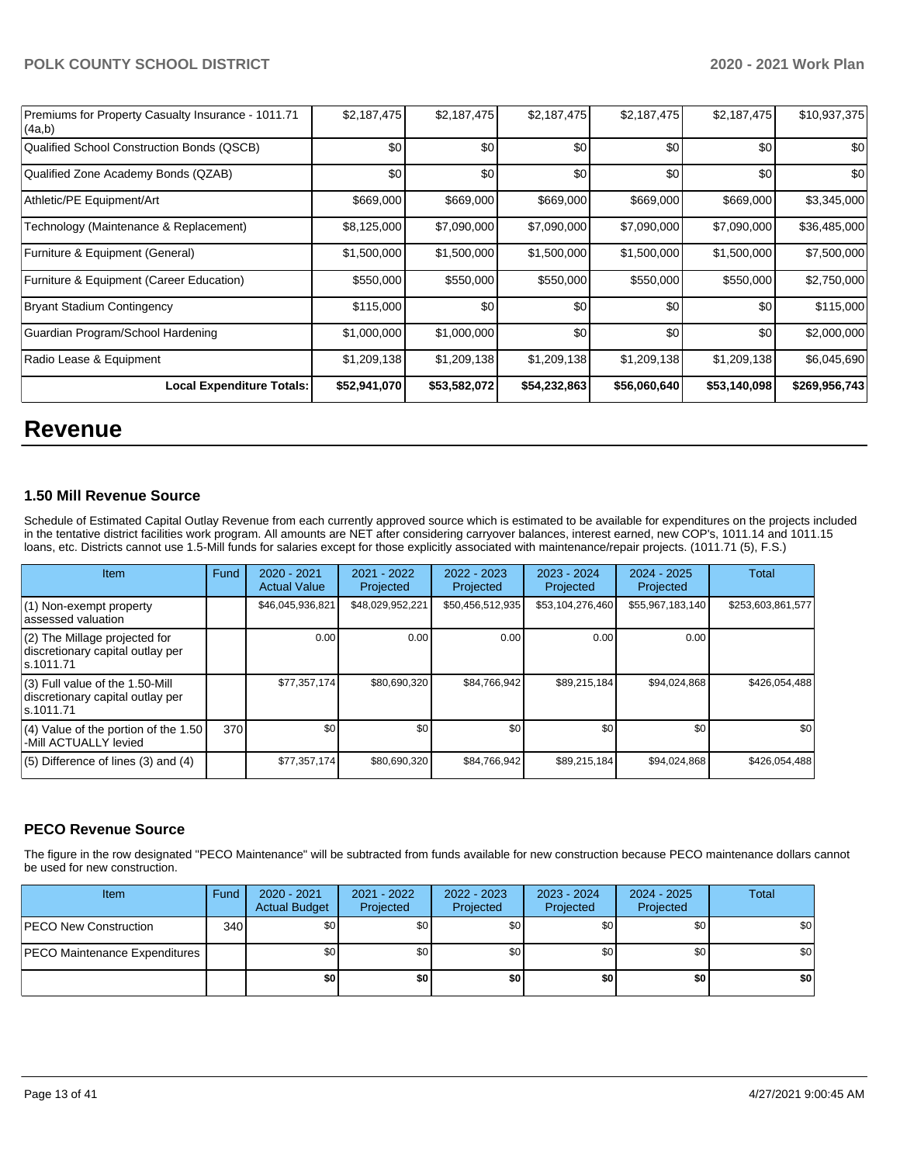| Premiums for Property Casualty Insurance - 1011.71<br>(4a,b) | \$2,187,475  | \$2,187,475  | \$2,187,475  | \$2,187,475  | \$2,187,475  | \$10,937,375  |
|--------------------------------------------------------------|--------------|--------------|--------------|--------------|--------------|---------------|
| Qualified School Construction Bonds (QSCB)                   | \$0          | \$0          | \$0          | \$0          | \$0          | \$0           |
| Qualified Zone Academy Bonds (QZAB)                          | \$0          | \$0          | \$0          | \$0          | \$0          | \$0           |
| Athletic/PE Equipment/Art                                    | \$669,000    | \$669,000    | \$669,000    | \$669,000    | \$669,000    | \$3,345,000   |
| Technology (Maintenance & Replacement)                       | \$8,125,000  | \$7,090,000  | \$7,090,000  | \$7,090,000  | \$7,090,000  | \$36,485,000  |
| Furniture & Equipment (General)                              | \$1,500,000  | \$1,500,000  | \$1,500,000  | \$1,500,000  | \$1,500,000  | \$7,500,000   |
| Furniture & Equipment (Career Education)                     | \$550,000    | \$550,000    | \$550,000    | \$550,000    | \$550,000    | \$2,750,000   |
| <b>Bryant Stadium Contingency</b>                            | \$115,000    | \$0          | \$0          | \$0          | \$0          | \$115,000     |
| Guardian Program/School Hardening                            | \$1,000,000  | \$1,000,000  | \$0          | \$0          | \$0          | \$2,000,000   |
| Radio Lease & Equipment                                      | \$1,209,138  | \$1,209,138  | \$1,209,138  | \$1,209,138  | \$1,209,138  | \$6,045,690   |
| <b>Local Expenditure Totals:</b>                             | \$52,941,070 | \$53,582,072 | \$54,232,863 | \$56,060,640 | \$53,140,098 | \$269,956,743 |

# **Revenue**

#### **1.50 Mill Revenue Source**

Schedule of Estimated Capital Outlay Revenue from each currently approved source which is estimated to be available for expenditures on the projects included in the tentative district facilities work program. All amounts are NET after considering carryover balances, interest earned, new COP's, 1011.14 and 1011.15 loans, etc. Districts cannot use 1.5-Mill funds for salaries except for those explicitly associated with maintenance/repair projects. (1011.71 (5), F.S.)

| Item                                                                                | <b>Fund</b> | $2020 - 2021$<br><b>Actual Value</b> | $2021 - 2022$<br>Projected | $2022 - 2023$<br>Projected | $2023 - 2024$<br>Projected | $2024 - 2025$<br>Projected | Total             |
|-------------------------------------------------------------------------------------|-------------|--------------------------------------|----------------------------|----------------------------|----------------------------|----------------------------|-------------------|
| (1) Non-exempt property<br>lassessed valuation                                      |             | \$46,045,936,821                     | \$48,029,952,221           | \$50,456,512,935           | \$53,104,276,460           | \$55,967,183,140           | \$253,603,861,577 |
| $(2)$ The Millage projected for<br>discretionary capital outlay per<br>ls.1011.71   |             | 0.00                                 | 0.00                       | 0.00                       | 0.00                       | 0.00                       |                   |
| $(3)$ Full value of the 1.50-Mill<br>discretionary capital outlay per<br>ls.1011.71 |             | \$77,357,174                         | \$80.690.320               | \$84,766,942               | \$89.215.184               | \$94,024,868               | \$426.054.488     |
| $(4)$ Value of the portion of the 1.50<br>-Mill ACTUALLY levied                     | 370         | \$0                                  | \$0                        | \$0                        | \$0                        | \$0 <sub>1</sub>           | \$0               |
| $(5)$ Difference of lines $(3)$ and $(4)$                                           |             | \$77,357,174                         | \$80,690,320               | \$84,766,942               | \$89,215,184               | \$94,024,868               | \$426,054,488     |

# **PECO Revenue Source**

The figure in the row designated "PECO Maintenance" will be subtracted from funds available for new construction because PECO maintenance dollars cannot be used for new construction.

| <b>Item</b>                          | Fund         | 2020 - 2021<br><b>Actual Budget</b> | 2021 - 2022<br>Projected | 2022 - 2023<br>Projected | 2023 - 2024<br>Projected | 2024 - 2025<br>Projected | Total            |
|--------------------------------------|--------------|-------------------------------------|--------------------------|--------------------------|--------------------------|--------------------------|------------------|
| <b>IPECO New Construction</b>        | 340 <b>I</b> | \$0                                 | \$0 <sub>1</sub>         | \$0                      | \$0 <sub>1</sub>         | \$0                      | \$0 <sub>1</sub> |
| <b>PECO Maintenance Expenditures</b> |              | \$0 <sub>1</sub>                    | \$0 <sub>1</sub>         | \$0                      | \$0 <sub>1</sub>         | \$0                      | \$0 <sub>1</sub> |
|                                      |              | \$0                                 | \$0                      | \$0                      | \$0                      | \$0                      | \$0              |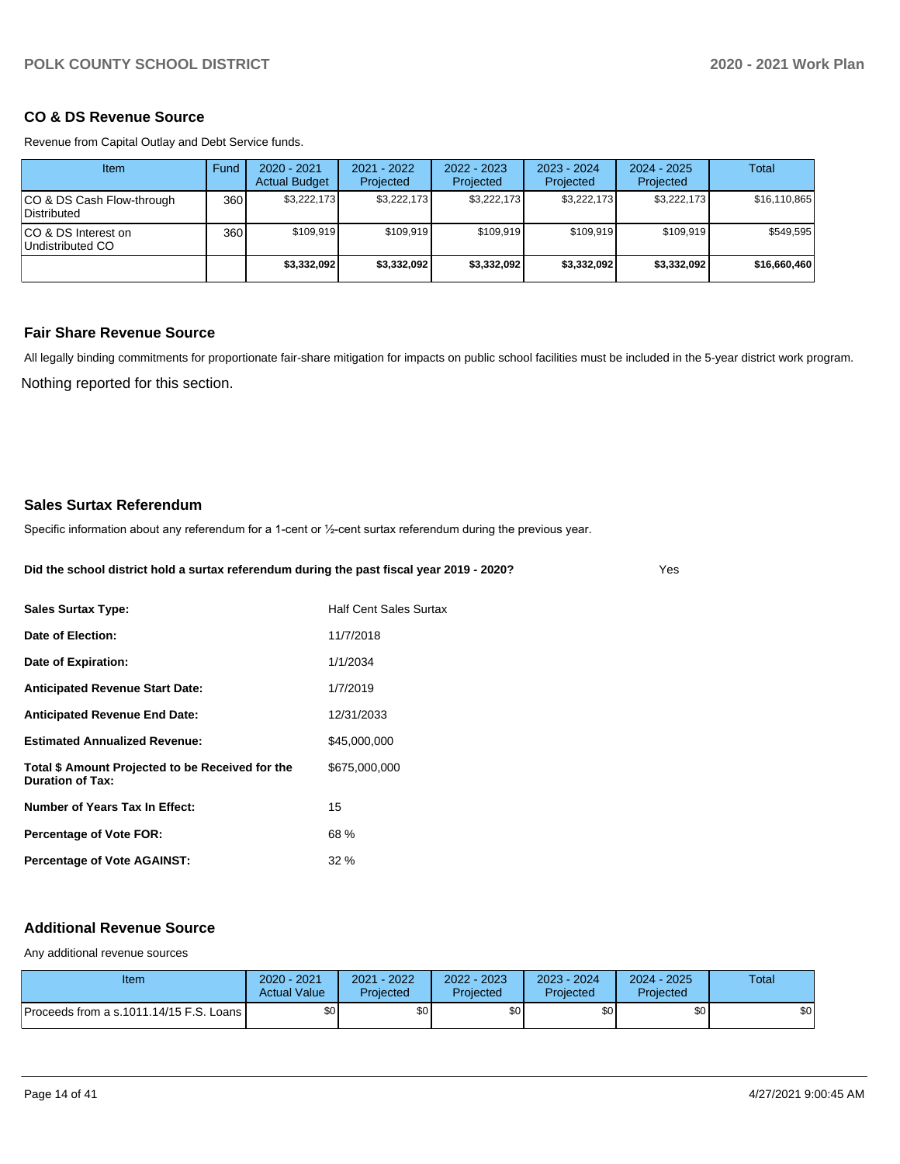## **CO & DS Revenue Source**

Revenue from Capital Outlay and Debt Service funds.

| <b>Item</b>                               | Fund | $2020 - 2021$<br><b>Actual Budget</b> | $2021 - 2022$<br>Projected | 2022 - 2023<br>Projected | $2023 - 2024$<br>Projected | $2024 - 2025$<br>Projected | Total        |
|-------------------------------------------|------|---------------------------------------|----------------------------|--------------------------|----------------------------|----------------------------|--------------|
| ICO & DS Cash Flow-through<br>Distributed | 360  | \$3.222.173                           | \$3,222,173                | \$3.222.173              | \$3.222.173                | \$3,222,173                | \$16,110,865 |
| ICO & DS Interest on<br>Undistributed CO  | 360  | \$109.919                             | \$109.919                  | \$109.919                | \$109.919                  | \$109.919                  | \$549,595    |
|                                           |      | \$3,332,092                           | \$3,332,092                | \$3.332.092              | \$3,332,092                | \$3,332,092                | \$16,660,460 |

# **Fair Share Revenue Source**

Nothing reported for this section. All legally binding commitments for proportionate fair-share mitigation for impacts on public school facilities must be included in the 5-year district work program.

#### **Sales Surtax Referendum**

Specific information about any referendum for a 1-cent or 1/2-cent surtax referendum during the previous year.

**Did the school district hold a surtax referendum during the past fiscal year 2019 - 2020?**

Yes

| <b>Sales Surtax Type:</b>                                                   | Half Cent Sales Surtax |
|-----------------------------------------------------------------------------|------------------------|
| Date of Election:                                                           | 11/7/2018              |
| Date of Expiration:                                                         | 1/1/2034               |
| <b>Anticipated Revenue Start Date:</b>                                      | 1/7/2019               |
| <b>Anticipated Revenue End Date:</b>                                        | 12/31/2033             |
| <b>Estimated Annualized Revenue:</b>                                        | \$45,000,000           |
| Total \$ Amount Projected to be Received for the<br><b>Duration of Tax:</b> | \$675,000,000          |
| Number of Years Tax In Effect:                                              | 15                     |
| <b>Percentage of Vote FOR:</b>                                              | 68 %                   |
| <b>Percentage of Vote AGAINST:</b>                                          | $32\%$                 |

#### **Additional Revenue Source**

Any additional revenue sources

| Item                                      | 2020 - 2021<br><b>Actual Value</b> | 2021 - 2022<br>Projected | 2022 - 2023<br><b>Projected</b> | 2023 - 2024<br>Projected | 2024 - 2025<br>Projected | <b>Total</b> |
|-------------------------------------------|------------------------------------|--------------------------|---------------------------------|--------------------------|--------------------------|--------------|
| Proceeds from a s.1011.14/15 F.S. Loans I | \$0 <sub>1</sub>                   | \$0                      | \$0                             | \$0 <sub>1</sub>         | \$0                      | \$0          |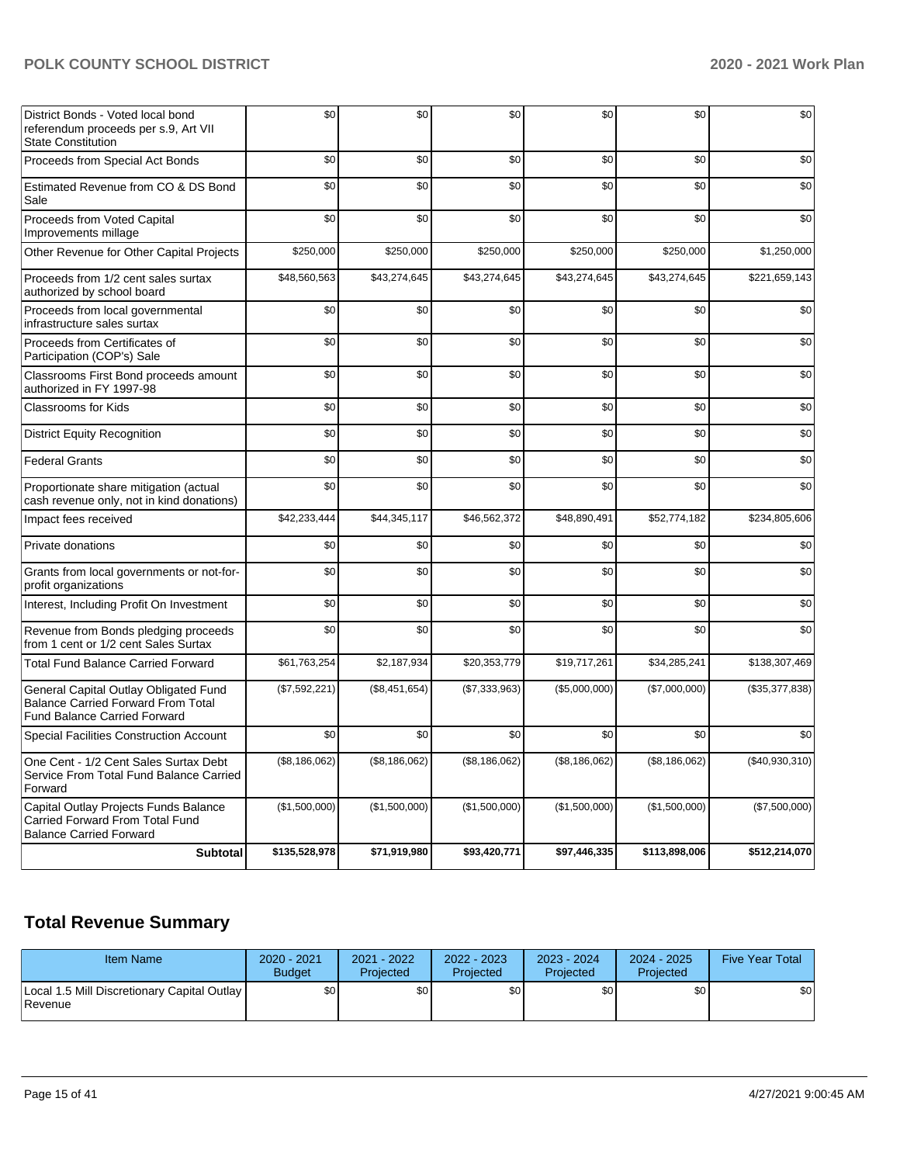| <b>Subtotal</b>                                                                                                           | \$135,528,978 | \$71,919,980  | \$93,420,771  | \$97,446,335  | \$113,898,006 | \$512,214,070  |
|---------------------------------------------------------------------------------------------------------------------------|---------------|---------------|---------------|---------------|---------------|----------------|
| Capital Outlay Projects Funds Balance<br>Carried Forward From Total Fund<br><b>Balance Carried Forward</b>                | (\$1,500,000) | (\$1,500,000) | (\$1,500,000) | (\$1,500,000) | (\$1,500,000) | (\$7,500,000)  |
| One Cent - 1/2 Cent Sales Surtax Debt<br>Service From Total Fund Balance Carried<br>Forward                               | (\$8,186,062) | (\$8,186,062) | (\$8,186,062) | (\$8,186,062) | (\$8,186,062) | (\$40,930,310) |
| <b>Special Facilities Construction Account</b>                                                                            | \$0           | \$0           | \$0           | \$0           | \$0           | \$0            |
| General Capital Outlay Obligated Fund<br><b>Balance Carried Forward From Total</b><br><b>Fund Balance Carried Forward</b> | (\$7,592,221) | (\$8,451,654) | (\$7,333,963) | (\$5,000,000) | (\$7,000,000) | (\$35,377,838) |
| Total Fund Balance Carried Forward                                                                                        | \$61,763,254  | \$2,187,934   | \$20,353,779  | \$19,717,261  | \$34,285,241  | \$138,307,469  |
| Revenue from Bonds pledging proceeds<br>from 1 cent or 1/2 cent Sales Surtax                                              | \$0           | \$0           | \$0           | \$0           | \$0           | \$0            |
| Interest, Including Profit On Investment                                                                                  | \$0           | \$0           | \$0           | \$0           | \$0           | \$0            |
| Grants from local governments or not-for-<br>profit organizations                                                         | \$0           | \$0           | \$0           | \$0           | \$0           | \$0            |
| Private donations                                                                                                         | \$0           | \$0           | \$0           | \$0           | \$0           | \$0            |
| Impact fees received                                                                                                      | \$42,233,444  | \$44,345,117  | \$46,562,372  | \$48,890,491  | \$52,774,182  | \$234,805,606  |
| Proportionate share mitigation (actual<br>cash revenue only, not in kind donations)                                       | \$0           | \$0           | \$0           | \$0           | \$0           | \$0            |
| <b>Federal Grants</b>                                                                                                     | \$0           | \$0           | \$0           | \$0           | \$0           | \$0            |
| <b>District Equity Recognition</b>                                                                                        | \$0           | \$0           | \$0           | \$0           | \$0           | \$0            |
| <b>Classrooms for Kids</b>                                                                                                | \$0           | \$0           | \$0           | \$0           | \$0           | \$0            |
| Classrooms First Bond proceeds amount<br>authorized in FY 1997-98                                                         | \$0           | \$0           | \$0           | \$0           | \$0           | \$0            |
| Proceeds from Certificates of<br>Participation (COP's) Sale                                                               | \$0           | \$0           | \$0           | \$0           | \$0           | \$0            |
| Proceeds from local governmental<br>infrastructure sales surtax                                                           | \$0           | \$0           | \$0           | \$0           | \$0           | \$0            |
| Proceeds from 1/2 cent sales surtax<br>authorized by school board                                                         | \$48,560,563  | \$43,274,645  | \$43,274,645  | \$43,274,645  | \$43,274,645  | \$221,659,143  |
| Other Revenue for Other Capital Projects                                                                                  | \$250,000     | \$250,000     | \$250,000     | \$250,000     | \$250,000     | \$1,250,000    |
| Proceeds from Voted Capital<br>Improvements millage                                                                       | \$0           | \$0           | \$0           | \$0           | \$0           | \$0            |
| Estimated Revenue from CO & DS Bond<br>Sale                                                                               | \$0           | \$0           | \$0           | \$0           | \$0           | \$0            |
| Proceeds from Special Act Bonds                                                                                           | \$0           | \$0           | \$0           | \$0           | \$0           | \$0            |
| District Bonds - Voted local bond<br>referendum proceeds per s.9, Art VII<br><b>State Constitution</b>                    | \$0           | \$0           | \$0           | \$0           | \$0           | \$0            |

# **Total Revenue Summary**

| <b>Item Name</b>                                              | 2020 - 2021<br><b>Budget</b> | 2021 - 2022<br>Projected | $2022 - 2023$<br>Projected | 2023 - 2024<br>Projected | $2024 - 2025$<br>Projected | <b>Five Year Total</b> |
|---------------------------------------------------------------|------------------------------|--------------------------|----------------------------|--------------------------|----------------------------|------------------------|
| Local 1.5 Mill Discretionary Capital Outlay<br><b>Revenue</b> | \$0 I                        | \$0 <sub>1</sub>         | \$0                        | \$0                      | \$0                        | \$0                    |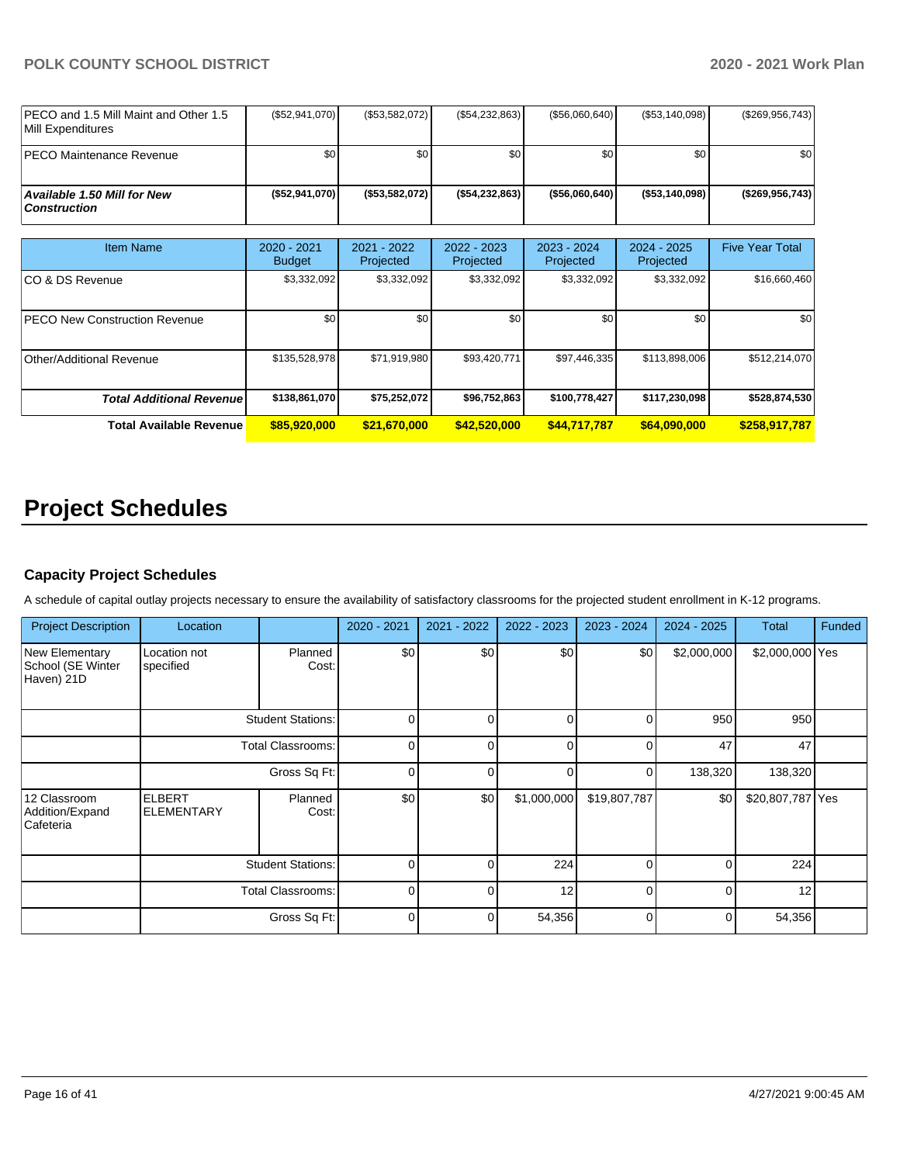| IPECO and 1.5 Mill Maint and Other 1.5<br><b>IMill Expenditures</b> | (\$52,941,070) | (\$53,582,072) | $(\$54,232,863)$  | (S56,060,640)     | (\$53,140,098) | (\$269,956,743)    |
|---------------------------------------------------------------------|----------------|----------------|-------------------|-------------------|----------------|--------------------|
| <b>IPECO Maintenance Revenue</b>                                    | ا S0           | ا 30           | \$0               | \$0               | \$0            | \$0                |
| Available 1.50 Mill for New \,<br>  Construction                    | (\$52,941,070) | (\$53,582,072) | ( \$54, 232, 863) | $($ \$56,060,640) | (\$53.140.098) | $($ \$269,956,743) |

| Item Name                             | $2020 - 2021$ | $2021 - 2022$ | $2022 - 2023$ | $2023 - 2024$ | $2024 - 2025$ | <b>Five Year Total</b> |
|---------------------------------------|---------------|---------------|---------------|---------------|---------------|------------------------|
|                                       | <b>Budget</b> | Projected     | Projected     | Projected     | Projected     |                        |
| ICO & DS Revenue                      | \$3,332,092   | \$3,332,092   | \$3,332,092   | \$3,332,092   | \$3,332,092   | \$16,660,460           |
|                                       |               |               |               |               |               |                        |
| <b>IPECO New Construction Revenue</b> | \$0           | \$0           | \$0           | \$0           | \$0           | \$0                    |
|                                       |               |               |               |               |               |                        |
| Other/Additional Revenue              | \$135,528,978 | \$71,919,980  | \$93,420,771  | \$97,446,335  | \$113,898,006 | \$512,214,070          |
|                                       |               |               |               |               |               |                        |
| <b>Total Additional Revenuel</b>      | \$138,861,070 | \$75,252,072  | \$96,752,863  | \$100,778,427 | \$117,230,098 | \$528,874,530          |
| <b>Total Available Revenue</b>        | \$85,920,000  | \$21,670,000  | \$42,520,000  | \$44,717,787  | \$64,090,000  | \$258,917,787          |

# **Project Schedules**

# **Capacity Project Schedules**

A schedule of capital outlay projects necessary to ensure the availability of satisfactory classrooms for the projected student enrollment in K-12 programs.

| <b>Project Description</b>                               | Location                           |                          | 2020 - 2021 | 2021 - 2022              | 2022 - 2023 | 2023 - 2024  | $2024 - 2025$ | <b>Total</b>     | Funded |    |  |
|----------------------------------------------------------|------------------------------------|--------------------------|-------------|--------------------------|-------------|--------------|---------------|------------------|--------|----|--|
| <b>New Elementary</b><br>School (SE Winter<br>Haven) 21D | Location not<br>specified          | Planned<br>Cost:         | \$0         | \$0                      | \$0         | \$0          | \$2,000,000   | \$2,000,000 Yes  |        |    |  |
|                                                          |                                    | <b>Student Stations:</b> | $\Omega$    | $\Omega$                 | $\Omega$    | 0            | 950           | 950              |        |    |  |
|                                                          |                                    |                          |             | <b>Total Classrooms:</b> |             | $\Omega$     | $\Omega$      | $\Omega$         | 47     | 47 |  |
|                                                          |                                    | Gross Sq Ft:             | $\Omega$    | ∩                        | $\Omega$    | $\Omega$     | 138,320       | 138,320          |        |    |  |
| 12 Classroom<br>Addition/Expand<br>Cafeteria             | <b>ELBERT</b><br><b>ELEMENTARY</b> | Planned<br>Cost:         | \$0         | \$0                      | \$1,000,000 | \$19,807,787 | \$0           | \$20,807,787 Yes |        |    |  |
|                                                          | <b>Student Stations:</b>           |                          | $\Omega$    | $\Omega$                 | 224         | $\Omega$     | $\Omega$      | 224              |        |    |  |
|                                                          | <b>Total Classrooms:</b>           |                          | $\Omega$    | ∩                        | 12          | $\Omega$     | $\Omega$      | 12               |        |    |  |
|                                                          |                                    | Gross Sq Ft:             | $\Omega$    | $\Omega$                 | 54,356      | $\Omega$     | $\Omega$      | 54,356           |        |    |  |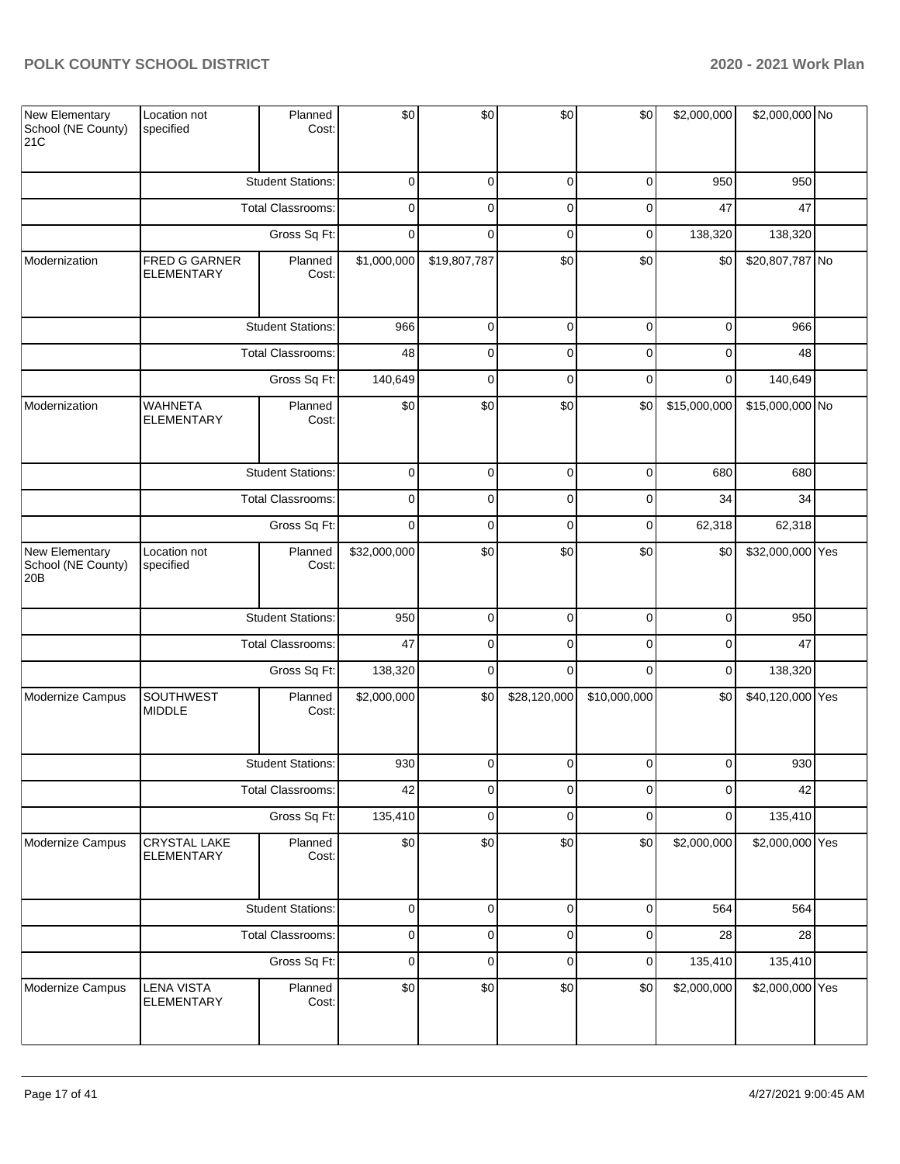| New Elementary<br>School (NE County)<br>21C             | Location not<br>specified                | Planned<br>Cost:         | \$0          | \$0            | \$0            | \$0            | \$2,000,000    | \$2,000,000 No   |  |
|---------------------------------------------------------|------------------------------------------|--------------------------|--------------|----------------|----------------|----------------|----------------|------------------|--|
|                                                         |                                          | <b>Student Stations:</b> | 0            | 0              | 0              | 0              | 950            | 950              |  |
|                                                         |                                          | Total Classrooms:        | 0            | 0              | 0              | 0              | 47             | 47               |  |
|                                                         |                                          | Gross Sq Ft:             | 0            | 0              | $\mathbf 0$    | 0              | 138,320        | 138,320          |  |
| Modernization                                           | FRED G GARNER<br><b>ELEMENTARY</b>       | Planned<br>Cost:         | \$1,000,000  | \$19,807,787   | \$0            | \$0            | \$0            | \$20,807,787 No  |  |
|                                                         |                                          | <b>Student Stations:</b> | 966          | $\mathbf 0$    | $\mathbf 0$    | 0              | $\mathbf 0$    | 966              |  |
|                                                         |                                          | Total Classrooms:        | 48           | 0              | $\overline{0}$ | 0              | $\mathbf 0$    | 48               |  |
|                                                         |                                          | Gross Sq Ft:             | 140,649      | $\mathbf 0$    | $\mathbf 0$    | 0              | $\mathbf 0$    | 140,649          |  |
| Modernization                                           | <b>WAHNETA</b><br><b>ELEMENTARY</b>      | Planned<br>Cost:         | \$0          | \$0            | \$0            | \$0            | \$15,000,000   | \$15,000,000 No  |  |
|                                                         |                                          | <b>Student Stations:</b> | 0            | 0              | 0              | 0              | 680            | 680              |  |
|                                                         |                                          | <b>Total Classrooms:</b> | 0            | 0              | 0              | 0              | 34             | 34               |  |
|                                                         |                                          | Gross Sq Ft:             | 0            | 0              | 0              | 0              | 62,318         | 62,318           |  |
| New Elementary<br>School (NE County)<br>20 <sub>B</sub> | Location not<br>specified                | Planned<br>Cost:         | \$32,000,000 | \$0            | \$0            | \$0            | \$0            | \$32,000,000 Yes |  |
|                                                         |                                          | <b>Student Stations:</b> | 950          | $\overline{0}$ | $\mathbf 0$    | $\mathbf 0$    | $\mathbf 0$    | 950              |  |
|                                                         |                                          | <b>Total Classrooms:</b> | 47           | 0              | $\mathbf 0$    | 0              | $\mathbf 0$    | 47               |  |
|                                                         |                                          | Gross Sq Ft:             | 138,320      | $\mathbf 0$    | $\mathbf 0$    | $\mathbf 0$    | $\mathbf 0$    | 138,320          |  |
| Modernize Campus                                        | <b>SOUTHWEST</b><br><b>MIDDLE</b>        | Planned<br>Cost:         | \$2,000,000  | \$0            | \$28,120,000   | \$10,000,000   | \$0            | \$40,120,000 Yes |  |
|                                                         |                                          | <b>Student Stations:</b> | 930          | $\mathbf 0$    | $\overline{0}$ | $\overline{0}$ | $\overline{0}$ | 930              |  |
|                                                         |                                          | <b>Total Classrooms:</b> | 42           | 0              | 0              | 0              | 0              | 42               |  |
|                                                         |                                          | Gross Sq Ft:             | 135,410      | 0              | 0              | 0              | 0              | 135,410          |  |
| Modernize Campus                                        | <b>CRYSTAL LAKE</b><br><b>ELEMENTARY</b> | Planned<br>Cost:         | \$0          | \$0            | \$0            | \$0            | \$2,000,000    | \$2,000,000 Yes  |  |
|                                                         |                                          | <b>Student Stations:</b> | $\mathsf 0$  | $\overline{0}$ | $\pmb{0}$      | $\mathbf 0$    | 564            | 564              |  |
|                                                         |                                          | Total Classrooms:        | $\mathsf 0$  | $\overline{0}$ | $\pmb{0}$      | $\mathsf 0$    | 28             | 28               |  |
|                                                         |                                          | Gross Sq Ft:             | $\mathsf 0$  | $\overline{0}$ | $\mathbf 0$    | $\mathbf 0$    | 135,410        | 135,410          |  |
| Modernize Campus                                        | <b>LENA VISTA</b><br><b>ELEMENTARY</b>   | Planned<br>Cost:         | \$0          | \$0            | \$0            | \$0            | \$2,000,000    | \$2,000,000 Yes  |  |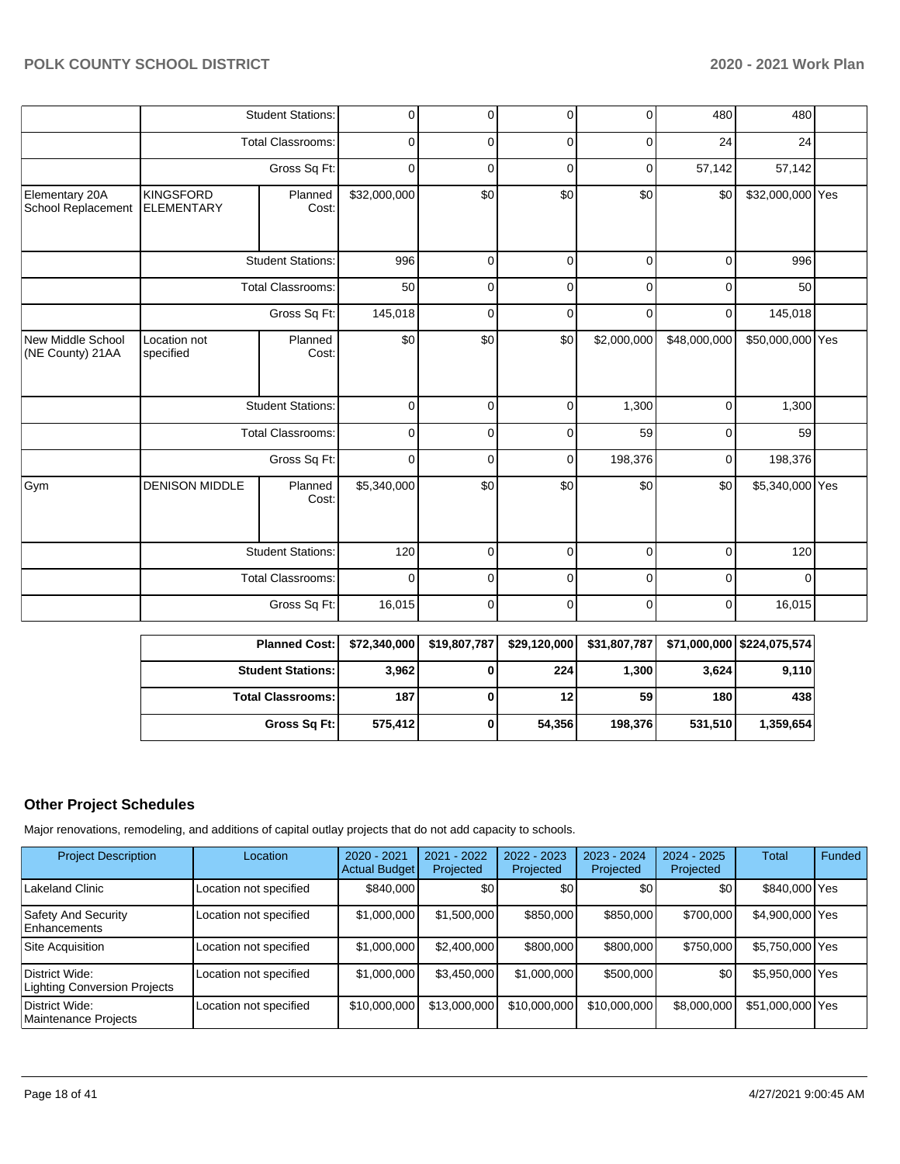|                                       |                                       | <b>Student Stations:</b> | 0            | 0   | 0           | 0           | 480          | 480              |  |
|---------------------------------------|---------------------------------------|--------------------------|--------------|-----|-------------|-------------|--------------|------------------|--|
|                                       |                                       | <b>Total Classrooms:</b> | $\mathbf 0$  | 0   | $\mathbf 0$ | 0           | 24           | 24               |  |
|                                       |                                       | Gross Sq Ft:             | $\mathbf 0$  | 0   | 0           | 0           | 57,142       | 57,142           |  |
| Elementary 20A<br>School Replacement  | <b>KINGSFORD</b><br><b>ELEMENTARY</b> | Planned<br>Cost:         | \$32,000,000 | \$0 | \$0         | \$0         | \$0          | \$32,000,000 Yes |  |
|                                       |                                       | <b>Student Stations:</b> | 996          | 0   | 0           | 0           | 0            | 996              |  |
|                                       |                                       | Total Classrooms:        | 50           | 0   | 0           | 0           | 0            | 50               |  |
|                                       |                                       | Gross Sq Ft:             | 145,018      | 0   | $\mathbf 0$ | 0           | 0            | 145,018          |  |
| New Middle School<br>(NE County) 21AA | Location not<br>specified             | Planned<br>Cost:         | \$0          | \$0 | \$0         | \$2,000,000 | \$48,000,000 | \$50,000,000 Yes |  |
|                                       |                                       | <b>Student Stations:</b> | $\mathbf 0$  | 0   | 0           | 1,300       | $\mathbf 0$  | 1,300            |  |
|                                       |                                       | <b>Total Classrooms:</b> | 0            | 0   | 0           | 59          | 0            | 59               |  |
|                                       |                                       | Gross Sq Ft:             | 0            | 0   | 0           | 198,376     | 0            | 198,376          |  |
| Gym                                   | <b>DENISON MIDDLE</b>                 | Planned<br>Cost:         | \$5,340,000  | \$0 | \$0         | \$0         | \$0          | \$5,340,000 Yes  |  |
|                                       |                                       | <b>Student Stations:</b> | 120          | 0   | $\Omega$    | $\Omega$    | $\Omega$     | 120              |  |
|                                       |                                       | <b>Total Classrooms:</b> | $\Omega$     | 0   | $\Omega$    | $\Omega$    | $\Omega$     | 0                |  |
|                                       |                                       | Gross Sq Ft:             | 16,015       | 0   | 0           | 0           | 0            | 16,015           |  |

| <b>Planned Cost:</b>       | \$72,340,000 | \$19,807,787 | \$29,120,000 |         |         | $$31,807,787$ $$71,000,000$ $$224,075,574$ |
|----------------------------|--------------|--------------|--------------|---------|---------|--------------------------------------------|
| <b>Student Stations: I</b> | 3,962        |              | 224          | 1,300   | 3,624   | 9,110                                      |
| <b>Total Classrooms: I</b> | 187          |              | 12           | 59      | 180     | 438                                        |
| Gross Sq Ft:               | 575,412      |              | 54,356       | 198,376 | 531.510 | 1,359,654                                  |

# **Other Project Schedules**

Major renovations, remodeling, and additions of capital outlay projects that do not add capacity to schools.

| <b>Project Description</b>                     | Location               | 2020 - 2021<br><b>Actual Budget</b> | 2021 - 2022<br>Projected | 2022 - 2023<br>Projected | 2023 - 2024<br>Projected | $2024 - 2025$<br>Projected | Total            | Funded |
|------------------------------------------------|------------------------|-------------------------------------|--------------------------|--------------------------|--------------------------|----------------------------|------------------|--------|
| Lakeland Clinic                                | Location not specified | \$840,000                           | \$0                      | \$0                      | \$0                      | \$0 <sub>1</sub>           | \$840,000 Yes    |        |
| Safety And Security<br><b>Enhancements</b>     | Location not specified | \$1,000,000                         | \$1,500,000              | \$850,000                | \$850,000                | \$700,000                  | \$4,900,000 Yes  |        |
| Site Acquisition                               | Location not specified | \$1,000,000                         | \$2,400,000              | \$800,000                | \$800,000                | \$750,000                  | \$5,750,000 Yes  |        |
| District Wide:<br>Lighting Conversion Projects | Location not specified | \$1,000,000                         | \$3,450,000              | \$1,000,000              | \$500,000                | \$0                        | \$5,950,000 Yes  |        |
| District Wide:<br>Maintenance Projects         | Location not specified | \$10,000,000                        | \$13,000,000             | \$10,000,000             | \$10,000,000             | \$8,000,000                | \$51,000,000 Yes |        |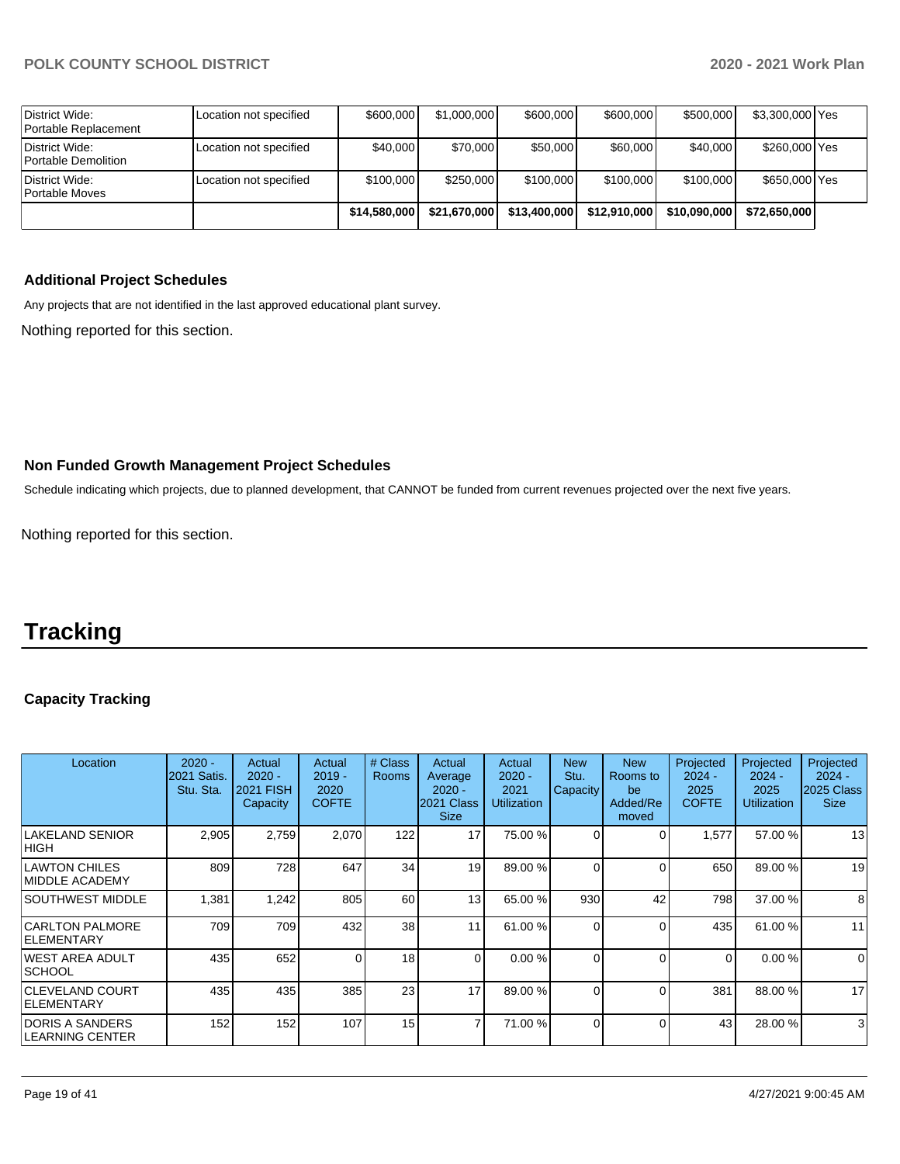| District Wide:<br>Portable Replacement | Location not specified | \$600,000    | \$1,000,000  | \$600,000    | \$600,000    | \$500,000    | \$3,300,000 Yes |  |
|----------------------------------------|------------------------|--------------|--------------|--------------|--------------|--------------|-----------------|--|
| District Wide:<br>Portable Demolition  | Location not specified | \$40,000     | \$70,000     | \$50,000     | \$60,000     | \$40,000     | \$260,000 Yes   |  |
| District Wide:<br>Portable Moves       | Location not specified | \$100,000    | \$250,000    | \$100,000    | \$100,000    | \$100,000    | \$650,000 Yes   |  |
|                                        |                        | \$14,580,000 | \$21,670,000 | \$13,400,000 | \$12,910,000 | \$10,090,000 | \$72.650.000    |  |

# **Additional Project Schedules**

Any projects that are not identified in the last approved educational plant survey.

Nothing reported for this section.

## **Non Funded Growth Management Project Schedules**

Schedule indicating which projects, due to planned development, that CANNOT be funded from current revenues projected over the next five years.

Nothing reported for this section.

# **Tracking**

# **Capacity Tracking**

| Location                                      | $2020 -$<br><b>2021 Satis.</b><br>Stu. Sta. | Actual<br>$2020 -$<br>2021 FISH<br>Capacity | Actual<br>$2019 -$<br>2020<br><b>COFTE</b> | # Class<br><b>Rooms</b> | Actual<br>Average<br>$2020 -$<br>2021 Class<br><b>Size</b> | Actual<br>$2020 -$<br>2021<br><b>Utilization</b> | <b>New</b><br>Stu.<br>Capacity | <b>New</b><br>Rooms to<br>be<br>Added/Re<br>moved | Projected<br>$2024 -$<br>2025<br><b>COFTE</b> | Projected<br>$2024 -$<br>2025<br>Utilization | Projected<br>$2024 -$<br>2025 Class<br><b>Size</b> |
|-----------------------------------------------|---------------------------------------------|---------------------------------------------|--------------------------------------------|-------------------------|------------------------------------------------------------|--------------------------------------------------|--------------------------------|---------------------------------------------------|-----------------------------------------------|----------------------------------------------|----------------------------------------------------|
| <b>LAKELAND SENIOR</b><br>IHIGH.              | 2,905                                       | 2,759                                       | 2,070                                      | 122                     | 17                                                         | 75.00 %                                          | $\Omega$                       | ∩                                                 | 1,577                                         | 57.00 %                                      | 13                                                 |
| <b>LAWTON CHILES</b><br><b>MIDDLE ACADEMY</b> | 809                                         | 728                                         | 647                                        | 34 <sub>l</sub>         | 19 <sup>1</sup>                                            | 89.00 %                                          | $\Omega$                       | ∩                                                 | 650                                           | 89.00 %                                      | 19                                                 |
| <b>SOUTHWEST MIDDLE</b>                       | 1,381                                       | 1,242                                       | 805                                        | 60                      | 13 <sup>1</sup>                                            | 65.00 %                                          | 930                            | 42                                                | 798                                           | 37.00 %                                      | 8                                                  |
| <b>CARLTON PALMORE</b><br><b>IELEMENTARY</b>  | 709                                         | 709                                         | 432                                        | 38                      | 11                                                         | 61.00 %                                          | $\Omega$                       | $\Omega$                                          | 435                                           | 61.00 %                                      | 11                                                 |
| IWEST AREA ADULT<br><b>SCHOOL</b>             | 435                                         | 652                                         | $\Omega$                                   | 18                      | $\Omega$                                                   | 0.00%                                            | $\Omega$                       | $\Omega$                                          | $\Omega$                                      | 0.00%                                        | $\Omega$                                           |
| <b>CLEVELAND COURT</b><br><b>IELEMENTARY</b>  | 435                                         | 435                                         | 385                                        | 23                      | 17                                                         | 89.00 %                                          | $\Omega$                       | $\Omega$                                          | 381                                           | 88.00 %                                      | 17                                                 |
| IDORIS A SANDERS<br>ILEARNING CENTER          | 152                                         | 152                                         | 107                                        | 15                      | 7                                                          | 71.00 %                                          | $\Omega$                       | 0                                                 | 43                                            | 28.00 %                                      | 3                                                  |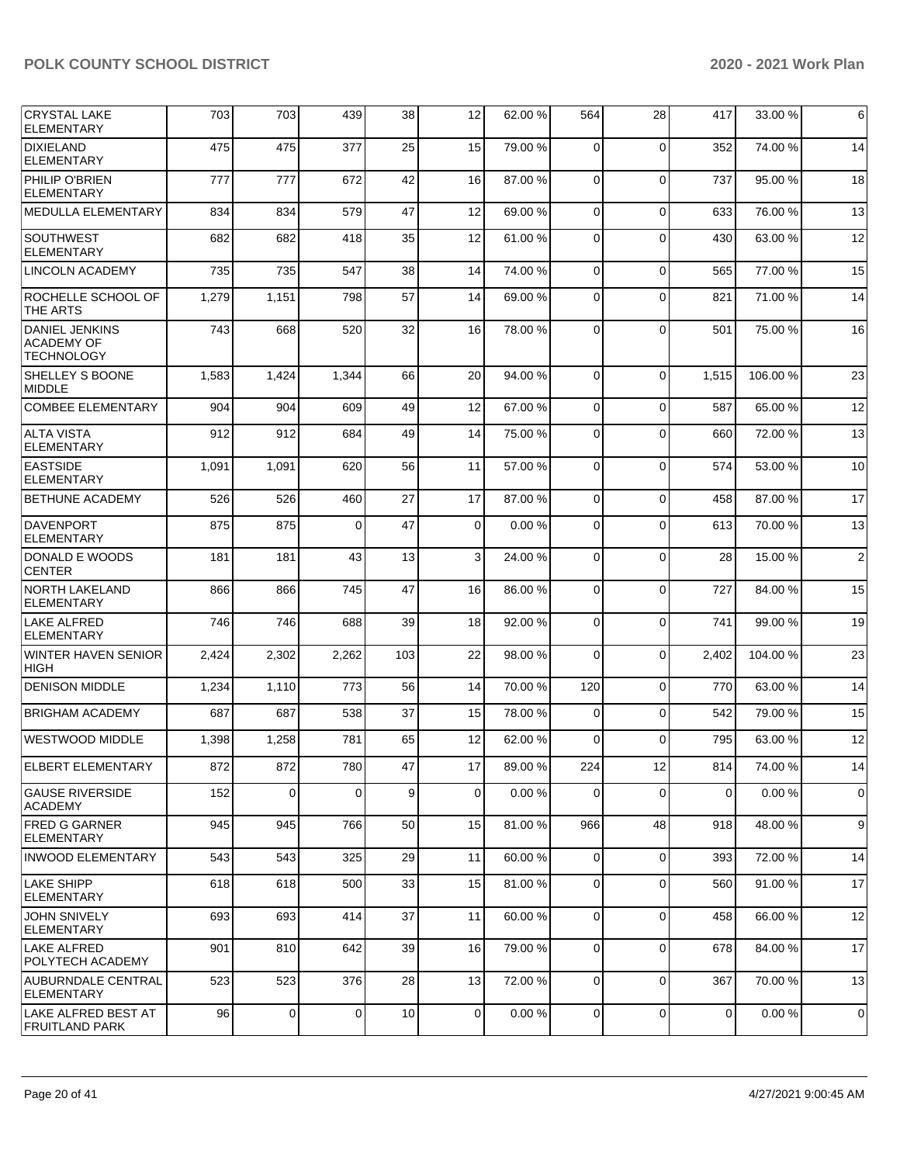| <b>CRYSTAL LAKE</b>                                             | 703   | 703            | 439      | 38  | 12          | 62.00%  | 564            | 28          | 417   | 33.00 %  | 6              |
|-----------------------------------------------------------------|-------|----------------|----------|-----|-------------|---------|----------------|-------------|-------|----------|----------------|
| <b>ELEMENTARY</b>                                               |       |                |          |     |             |         |                |             |       |          |                |
| DIXIELAND<br><b>ELEMENTARY</b>                                  | 475   | 475            | 377      | 25  | 15          | 79.00 % | 0              | $\Omega$    | 352   | 74.00 %  | 14             |
| <b>PHILIP O'BRIEN</b><br><b>ELEMENTARY</b>                      | 777   | 777            | 672      | 42  | 16          | 87.00 % | 0              | $\Omega$    | 737   | 95.00 %  | 18             |
| MEDULLA ELEMENTARY                                              | 834   | 834            | 579      | 47  | 12          | 69.00 % | $\Omega$       | $\Omega$    | 633   | 76.00 %  | 13             |
| <b>SOUTHWEST</b><br><b>ELEMENTARY</b>                           | 682   | 682            | 418      | 35  | 12          | 61.00%  | $\Omega$       | $\Omega$    | 430   | 63.00 %  | 12             |
| <b>LINCOLN ACADEMY</b>                                          | 735   | 735            | 547      | 38  | 14          | 74.00 % | $\mathbf 0$    | $\Omega$    | 565   | 77.00 %  | 15             |
| ROCHELLE SCHOOL OF<br>THE ARTS                                  | 1,279 | 1,151          | 798      | 57  | 14          | 69.00 % | 0              | $\Omega$    | 821   | 71.00 %  | 14             |
| <b>DANIEL JENKINS</b><br><b>ACADEMY OF</b><br><b>TECHNOLOGY</b> | 743   | 668            | 520      | 32  | 16          | 78.00 % | 0              | $\Omega$    | 501   | 75.00 %  | 16             |
| SHELLEY S BOONE<br><b>MIDDLE</b>                                | 1,583 | 1,424          | 1,344    | 66  | 20          | 94.00 % | $\Omega$       | $\Omega$    | 1,515 | 106.00%  | 23             |
| <b>COMBEE ELEMENTARY</b>                                        | 904   | 904            | 609      | 49  | 12          | 67.00 % | 0              | $\Omega$    | 587   | 65.00 %  | 12             |
| <b>ALTA VISTA</b><br><b>ELEMENTARY</b>                          | 912   | 912            | 684      | 49  | 14          | 75.00 % | 0              | $\Omega$    | 660   | 72.00 %  | 13             |
| <b>EASTSIDE</b><br><b>ELEMENTARY</b>                            | 1,091 | 1,091          | 620      | 56  | 11          | 57.00 % | $\mathbf 0$    | $\Omega$    | 574   | 53.00 %  | 10             |
| <b>BETHUNE ACADEMY</b>                                          | 526   | 526            | 460      | 27  | 17          | 87.00 % | $\Omega$       | $\Omega$    | 458   | 87.00 %  | 17             |
| <b>DAVENPORT</b><br><b>ELEMENTARY</b>                           | 875   | 875            | $\Omega$ | 47  | $\mathbf 0$ | 0.00%   | $\Omega$       | $\Omega$    | 613   | 70.00 %  | 13             |
| DONALD E WOODS<br><b>CENTER</b>                                 | 181   | 181            | 43       | 13  | 3           | 24.00 % | 0              | $\Omega$    | 28    | 15.00 %  | $\overline{2}$ |
| <b>NORTH LAKELAND</b><br>ELEMENTARY                             | 866   | 866            | 745      | 47  | 16          | 86.00 % | $\mathbf 0$    | $\Omega$    | 727   | 84.00 %  | 15             |
| LAKE ALFRED<br><b>ELEMENTARY</b>                                | 746   | 746            | 688      | 39  | 18          | 92.00 % | $\mathbf 0$    | $\Omega$    | 741   | 99.00 %  | 19             |
| WINTER HAVEN SENIOR<br><b>HIGH</b>                              | 2,424 | 2,302          | 2,262    | 103 | 22          | 98.00 % | 0              | $\Omega$    | 2,402 | 104.00 % | 23             |
| <b>DENISON MIDDLE</b>                                           | 1,234 | 1,110          | 773      | 56  | 14          | 70.00 % | 120            | $\mathbf 0$ | 770   | 63.00 %  | 14             |
| <b>BRIGHAM ACADEMY</b>                                          | 687   | 687            | 538      | 37  | 15          | 78.00 % | $\mathbf 0$    | $\Omega$    | 542   | 79.00 %  | 15             |
| WESTWOOD MIDDLE                                                 | 1,398 | 1,258          | 781      | 65  | 12          | 62.00 % | $\Omega$       | $\Omega$    | 795   | 63.00 %  | 12             |
| ELBERT ELEMENTARY                                               | 872   | 872            | 780      | 47  | 17          | 89.00 % | 224            | 12          | 814   | 74.00 %  | 14             |
| <b>GAUSE RIVERSIDE</b><br><b>ACADEMY</b>                        | 152   | $\mathbf 0$    | 0        | 9   | $\mathbf 0$ | 0.00%   | 0              | $\Omega$    | 0     | 0.00%    | $\mathbf 0$    |
| <b>FRED G GARNER</b><br><b>ELEMENTARY</b>                       | 945   | 945            | 766      | 50  | 15          | 81.00 % | 966            | 48          | 918   | 48.00%   | 9              |
| <b>INWOOD ELEMENTARY</b>                                        | 543   | 543            | 325      | 29  | 11          | 60.00 % | 0              | $\Omega$    | 393   | 72.00 %  | 14             |
| <b>LAKE SHIPP</b><br><b>ELEMENTARY</b>                          | 618   | 618            | 500      | 33  | 15          | 81.00%  | 0              | $\Omega$    | 560   | 91.00 %  | 17             |
| <b>JOHN SNIVELY</b><br>ELEMENTARY                               | 693   | 693            | 414      | 37  | 11          | 60.00 % | 0              | $\Omega$    | 458   | 66.00 %  | 12             |
| LAKE ALFRED<br>POLYTECH ACADEMY                                 | 901   | 810            | 642      | 39  | 16          | 79.00 % | $\overline{0}$ | $\Omega$    | 678   | 84.00 %  | 17             |
| AUBURNDALE CENTRAL<br><b>ELEMENTARY</b>                         | 523   | 523            | 376      | 28  | 13          | 72.00 % | 0              | $\mathbf 0$ | 367   | 70.00 %  | 13             |
| LAKE ALFRED BEST AT<br><b>FRUITLAND PARK</b>                    | 96    | $\overline{0}$ | 0        | 10  | $\mathbf 0$ | 0.00%   | $\overline{0}$ | $\mathbf 0$ | 0     | 0.00%    | $\mathbf 0$    |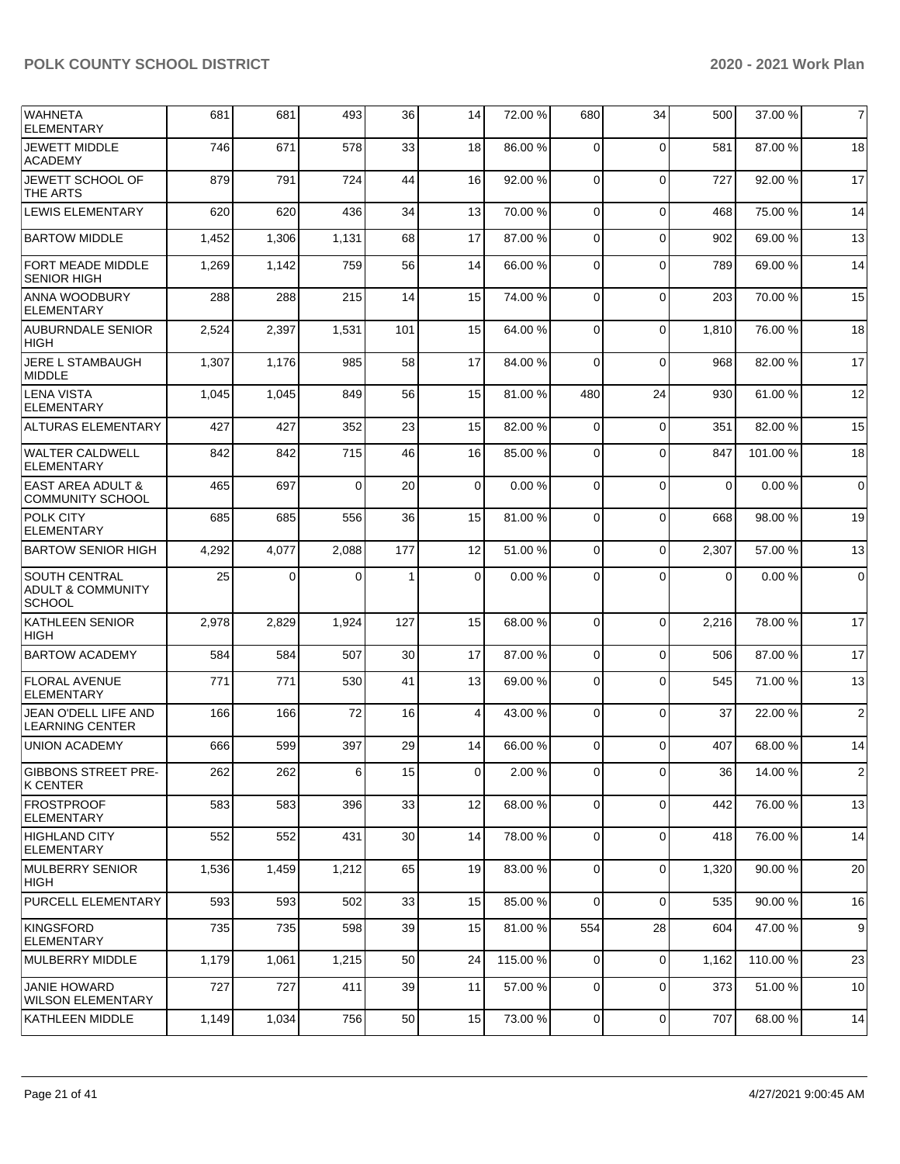| <b>WAHNETA</b><br><b>ELEMENTARY</b>                                   | 681   | 681   | 493      | 36  | 14             | 72.00 %  | 680            | 34             | 500      | 37.00 % | $\overline{7}$ |
|-----------------------------------------------------------------------|-------|-------|----------|-----|----------------|----------|----------------|----------------|----------|---------|----------------|
| <b>JEWETT MIDDLE</b><br><b>ACADEMY</b>                                | 746   | 671   | 578      | 33  | 18             | 86.00 %  | $\Omega$       | $\Omega$       | 581      | 87.00 % | 18             |
| JEWETT SCHOOL OF<br>THE ARTS                                          | 879   | 791   | 724      | 44  | 16             | 92.00 %  | $\Omega$       | $\Omega$       | 727      | 92.00 % | 17             |
| LEWIS ELEMENTARY                                                      | 620   | 620   | 436      | 34  | 13             | 70.00 %  | $\overline{0}$ | $\Omega$       | 468      | 75.00 % | 14             |
| <b>BARTOW MIDDLE</b>                                                  | 1,452 | 1,306 | 1,131    | 68  | 17             | 87.00 %  | 0              | $\Omega$       | 902      | 69.00%  | 13             |
| FORT MEADE MIDDLE<br><b>SENIOR HIGH</b>                               | 1,269 | 1,142 | 759      | 56  | 14             | 66.00 %  | 0              | $\Omega$       | 789      | 69.00 % | 14             |
| ANNA WOODBURY<br><b>ELEMENTARY</b>                                    | 288   | 288   | 215      | 14  | 15             | 74.00 %  | $\mathbf 0$    | $\Omega$       | 203      | 70.00%  | 15             |
| <b>AUBURNDALE SENIOR</b><br><b>HIGH</b>                               | 2,524 | 2,397 | 1,531    | 101 | 15             | 64.00 %  | 0              | $\Omega$       | 1,810    | 76.00 % | 18             |
| JERE L STAMBAUGH<br><b>MIDDLE</b>                                     | 1,307 | 1,176 | 985      | 58  | 17             | 84.00 %  | 0              | $\Omega$       | 968      | 82.00 % | 17             |
| LENA VISTA<br><b>ELEMENTARY</b>                                       | 1,045 | 1,045 | 849      | 56  | 15             | 81.00%   | 480            | 24             | 930      | 61.00 % | 12             |
| <b>ALTURAS ELEMENTARY</b>                                             | 427   | 427   | 352      | 23  | 15             | 82.00 %  | $\Omega$       | $\Omega$       | 351      | 82.00 % | 15             |
| <b>WALTER CALDWELL</b><br><b>ELEMENTARY</b>                           | 842   | 842   | 715      | 46  | 16             | 85.00 %  | $\Omega$       | $\Omega$       | 847      | 101.00% | 18             |
| <b>EAST AREA ADULT &amp;</b><br><b>COMMUNITY SCHOOL</b>               | 465   | 697   | $\Omega$ | 20  | $\mathbf 0$    | 0.00%    | $\mathbf 0$    | $\Omega$       | $\Omega$ | 0.00%   | $\mathbf 0$    |
| <b>POLK CITY</b><br><b>ELEMENTARY</b>                                 | 685   | 685   | 556      | 36  | 15             | 81.00%   | $\mathbf 0$    | $\Omega$       | 668      | 98.00 % | 19             |
| <b>BARTOW SENIOR HIGH</b>                                             | 4,292 | 4,077 | 2,088    | 177 | 12             | 51.00 %  | $\Omega$       | $\Omega$       | 2,307    | 57.00 % | 13             |
| <b>SOUTH CENTRAL</b><br><b>ADULT &amp; COMMUNITY</b><br><b>SCHOOL</b> | 25    | 0     | 0        | 1   | 0              | 0.00%    | 0              | $\Omega$       | 0        | 0.00%   | $\mathbf 0$    |
| <b>KATHLEEN SENIOR</b><br><b>HIGH</b>                                 | 2,978 | 2,829 | 1,924    | 127 | 15             | 68.00 %  | $\mathbf 0$    | $\Omega$       | 2,216    | 78.00 % | 17             |
| <b>BARTOW ACADEMY</b>                                                 | 584   | 584   | 507      | 30  | 17             | 87.00 %  | $\mathbf 0$    | $\Omega$       | 506      | 87.00 % | 17             |
| <b>FLORAL AVENUE</b><br><b>ELEMENTARY</b>                             | 771   | 771   | 530      | 41  | 13             | 69.00 %  | 0              | $\Omega$       | 545      | 71.00 % | 13             |
| JEAN O'DELL LIFE AND<br><b>LEARNING CENTER</b>                        | 166   | 166   | 72       | 16  | 4              | 43.00%   | $\mathbf 0$    | $\Omega$       | 37       | 22.00 % | $\overline{2}$ |
| <b>UNION ACADEMY</b>                                                  | 666   | 599   | 397      | 29  | 14             | 66.00 %  | 0              | $\Omega$       | 407      | 68.00 % | 14             |
| <b>GIBBONS STREET PRE-</b><br>K CENTER                                | 262   | 262   | 6        | 15  | $\overline{0}$ | 2.00 %   | $\overline{0}$ | $\overline{0}$ | 36       | 14.00 % | 2              |
| <b>FROSTPROOF</b><br><b>ELEMENTARY</b>                                | 583   | 583   | 396      | 33  | 12             | 68.00 %  | 0              | $\Omega$       | 442      | 76.00 % | 13             |
| HIGHLAND CITY<br><b>ELEMENTARY</b>                                    | 552   | 552   | 431      | 30  | 14             | 78.00 %  | $\mathbf 0$    | $\Omega$       | 418      | 76.00 % | 14             |
| MULBERRY SENIOR<br>HIGH                                               | 1,536 | 1,459 | 1,212    | 65  | 19             | 83.00 %  | $\mathbf 0$    | $\Omega$       | 1,320    | 90.00 % | 20             |
| PURCELL ELEMENTARY                                                    | 593   | 593   | 502      | 33  | 15             | 85.00 %  | $\overline{0}$ | $\Omega$       | 535      | 90.00 % | 16             |
| KINGSFORD<br><b>ELEMENTARY</b>                                        | 735   | 735   | 598      | 39  | 15             | 81.00 %  | 554            | 28             | 604      | 47.00 % | 9              |
| MULBERRY MIDDLE                                                       | 1,179 | 1,061 | 1,215    | 50  | 24             | 115.00 % | 0              | $\mathbf 0$    | 1,162    | 110.00% | 23             |
| <b>JANIE HOWARD</b><br><b>WILSON ELEMENTARY</b>                       | 727   | 727   | 411      | 39  | 11             | 57.00 %  | $\mathbf 0$    | $\mathbf 0$    | 373      | 51.00 % | 10             |
| <b>KATHLEEN MIDDLE</b>                                                | 1,149 | 1,034 | 756      | 50  | 15             | 73.00 %  | $\mathbf 0$    | $\mathbf 0$    | 707      | 68.00 % | 14             |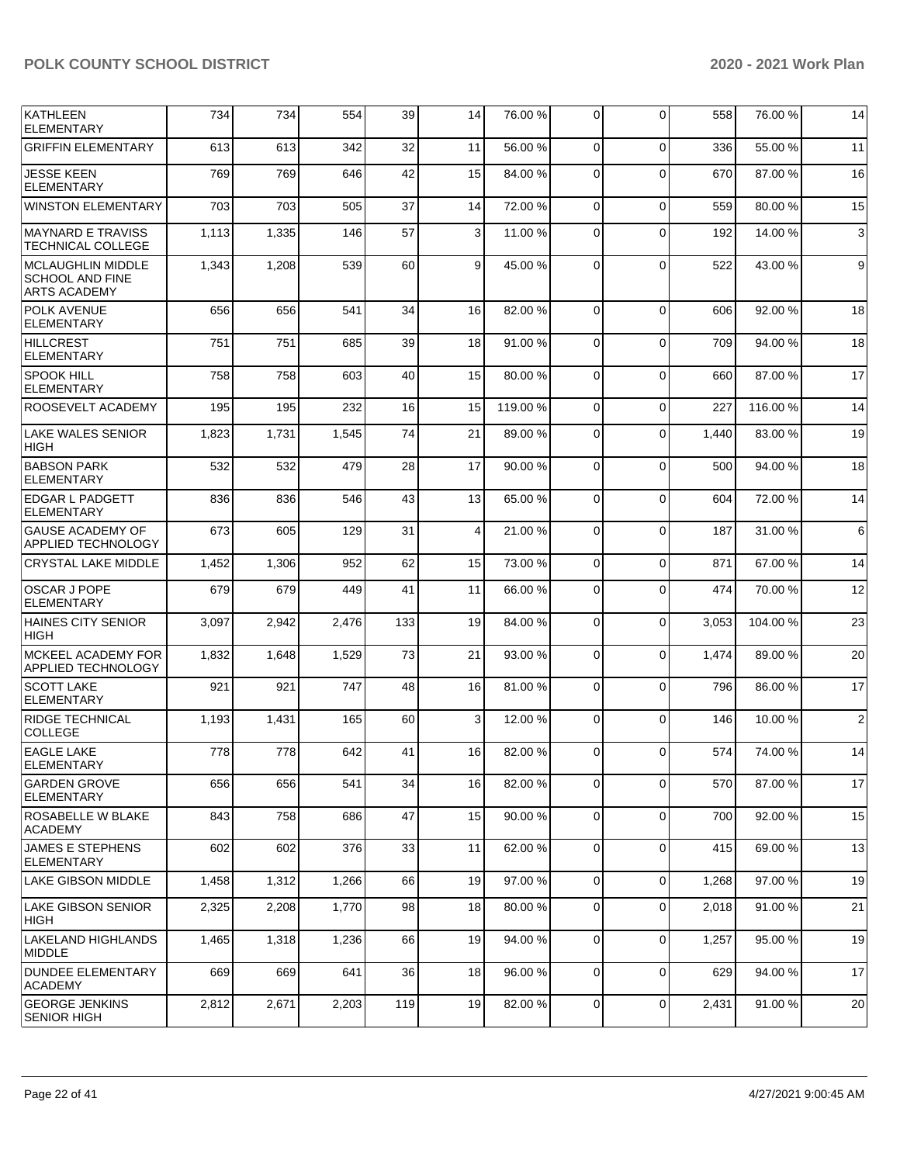| <b>KATHLEEN</b><br><b>ELEMENTARY</b>                                      | 734   | 734   | 554   | 39  | 14 | 76.00 % | $\Omega$       | $\Omega$       | 558   | 76.00 % | 14             |
|---------------------------------------------------------------------------|-------|-------|-------|-----|----|---------|----------------|----------------|-------|---------|----------------|
| <b>GRIFFIN ELEMENTARY</b>                                                 | 613   | 613   | 342   | 32  | 11 | 56.00 % | $\Omega$       | $\Omega$       | 336   | 55.00 % | 11             |
| <b>JESSE KEEN</b><br><b>ELEMENTARY</b>                                    | 769   | 769   | 646   | 42  | 15 | 84.00 % | $\Omega$       | $\Omega$       | 670   | 87.00 % | 16             |
| WINSTON ELEMENTARY                                                        | 703   | 703   | 505   | 37  | 14 | 72.00 % | $\mathbf 0$    | $\Omega$       | 559   | 80.00 % | 15             |
| <b>MAYNARD E TRAVISS</b><br>TECHNICAL COLLEGE                             | 1,113 | 1,335 | 146   | 57  | 3  | 11.00 % | $\Omega$       | $\Omega$       | 192   | 14.00 % | 3              |
| <b>MCLAUGHLIN MIDDLE</b><br><b>SCHOOL AND FINE</b><br><b>ARTS ACADEMY</b> | 1,343 | 1,208 | 539   | 60  | 9  | 45.00 % | $\Omega$       | $\Omega$       | 522   | 43.00 % | 9              |
| POLK AVENUE<br><b>ELEMENTARY</b>                                          | 656   | 656   | 541   | 34  | 16 | 82.00 % | $\Omega$       | $\Omega$       | 606   | 92.00 % | 18             |
| <b>HILLCREST</b><br><b>ELEMENTARY</b>                                     | 751   | 751   | 685   | 39  | 18 | 91.00 % | $\Omega$       | $\Omega$       | 709   | 94.00 % | 18             |
| SPOOK HILL<br><b>ELEMENTARY</b>                                           | 758   | 758   | 603   | 40  | 15 | 80.00 % | $\Omega$       | $\Omega$       | 660   | 87.00 % | 17             |
| ROOSEVELT ACADEMY                                                         | 195   | 195   | 232   | 16  | 15 | 119.00% | $\Omega$       | $\Omega$       | 227   | 116.00% | 14             |
| <b>LAKE WALES SENIOR</b><br><b>HIGH</b>                                   | 1,823 | 1,731 | 1,545 | 74  | 21 | 89.00 % | $\Omega$       | $\Omega$       | 1,440 | 83.00 % | 19             |
| <b>BABSON PARK</b><br><b>ELEMENTARY</b>                                   | 532   | 532   | 479   | 28  | 17 | 90.00 % | $\mathbf 0$    | $\Omega$       | 500   | 94.00 % | 18             |
| <b>EDGAR L PADGETT</b><br><b>ELEMENTARY</b>                               | 836   | 836   | 546   | 43  | 13 | 65.00 % | $\Omega$       | $\Omega$       | 604   | 72.00 % | 14             |
| <b>GAUSE ACADEMY OF</b><br><b>APPLIED TECHNOLOGY</b>                      | 673   | 605   | 129   | 31  | 4  | 21.00%  | $\Omega$       | $\Omega$       | 187   | 31.00 % | 6              |
| <b>CRYSTAL LAKE MIDDLE</b>                                                | 1,452 | 1,306 | 952   | 62  | 15 | 73.00 % | $\mathbf 0$    | $\Omega$       | 871   | 67.00 % | 14             |
| <b>OSCAR J POPE</b><br><b>ELEMENTARY</b>                                  | 679   | 679   | 449   | 41  | 11 | 66.00 % | $\Omega$       | $\Omega$       | 474   | 70.00 % | 12             |
| <b>HAINES CITY SENIOR</b><br><b>HIGH</b>                                  | 3,097 | 2,942 | 2,476 | 133 | 19 | 84.00 % | $\Omega$       | $\Omega$       | 3,053 | 104.00% | 23             |
| MCKEEL ACADEMY FOR<br><b>APPLIED TECHNOLOGY</b>                           | 1,832 | 1,648 | 1,529 | 73  | 21 | 93.00 % | $\Omega$       | $\Omega$       | 1,474 | 89.00 % | 20             |
| <b>SCOTT LAKE</b><br><b>ELEMENTARY</b>                                    | 921   | 921   | 747   | 48  | 16 | 81.00 % | $\Omega$       | $\Omega$       | 796   | 86.00 % | 17             |
| <b>RIDGE TECHNICAL</b><br><b>COLLEGE</b>                                  | 1,193 | 1,431 | 165   | 60  | 3  | 12.00 % | $\Omega$       | $\Omega$       | 146   | 10.00 % | $\overline{2}$ |
| <b>EAGLE LAKE</b><br><b>ELEMENTARY</b>                                    | 778   | 778   | 642   | 41  | 16 | 82.00 % | $\Omega$       | $\Omega$       | 574   | 74.00 % | 14             |
| <b>GARDEN GROVE</b><br><b>ELEMENTARY</b>                                  | 656   | 656   | 541   | 34  | 16 | 82.00 % | $\mathbf 0$    | $\overline{0}$ | 570   | 87.00 % | 17             |
| ROSABELLE W BLAKE<br><b>ACADEMY</b>                                       | 843   | 758   | 686   | 47  | 15 | 90.00 % | $\overline{0}$ | $\Omega$       | 700   | 92.00 % | 15             |
| <b>JAMES E STEPHENS</b><br><b>ELEMENTARY</b>                              | 602   | 602   | 376   | 33  | 11 | 62.00 % | $\mathbf 0$    | $\Omega$       | 415   | 69.00%  | 13             |
| LAKE GIBSON MIDDLE                                                        | 1,458 | 1,312 | 1,266 | 66  | 19 | 97.00 % | $\overline{0}$ | $\overline{0}$ | 1,268 | 97.00 % | 19             |
| LAKE GIBSON SENIOR<br><b>HIGH</b>                                         | 2,325 | 2,208 | 1,770 | 98  | 18 | 80.00 % | $\mathbf 0$    | $\Omega$       | 2.018 | 91.00%  | 21             |
| LAKELAND HIGHLANDS<br><b>MIDDLE</b>                                       | 1,465 | 1,318 | 1,236 | 66  | 19 | 94.00 % | $\mathbf 0$    | $\Omega$       | 1,257 | 95.00 % | 19             |
| <b>DUNDEE ELEMENTARY</b><br><b>ACADEMY</b>                                | 669   | 669   | 641   | 36  | 18 | 96.00 % | $\mathbf 0$    | $\Omega$       | 629   | 94.00%  | 17             |
| <b>GEORGE JENKINS</b><br><b>SENIOR HIGH</b>                               | 2,812 | 2,671 | 2,203 | 119 | 19 | 82.00 % | $\mathbf 0$    | $\overline{0}$ | 2,431 | 91.00%  | 20             |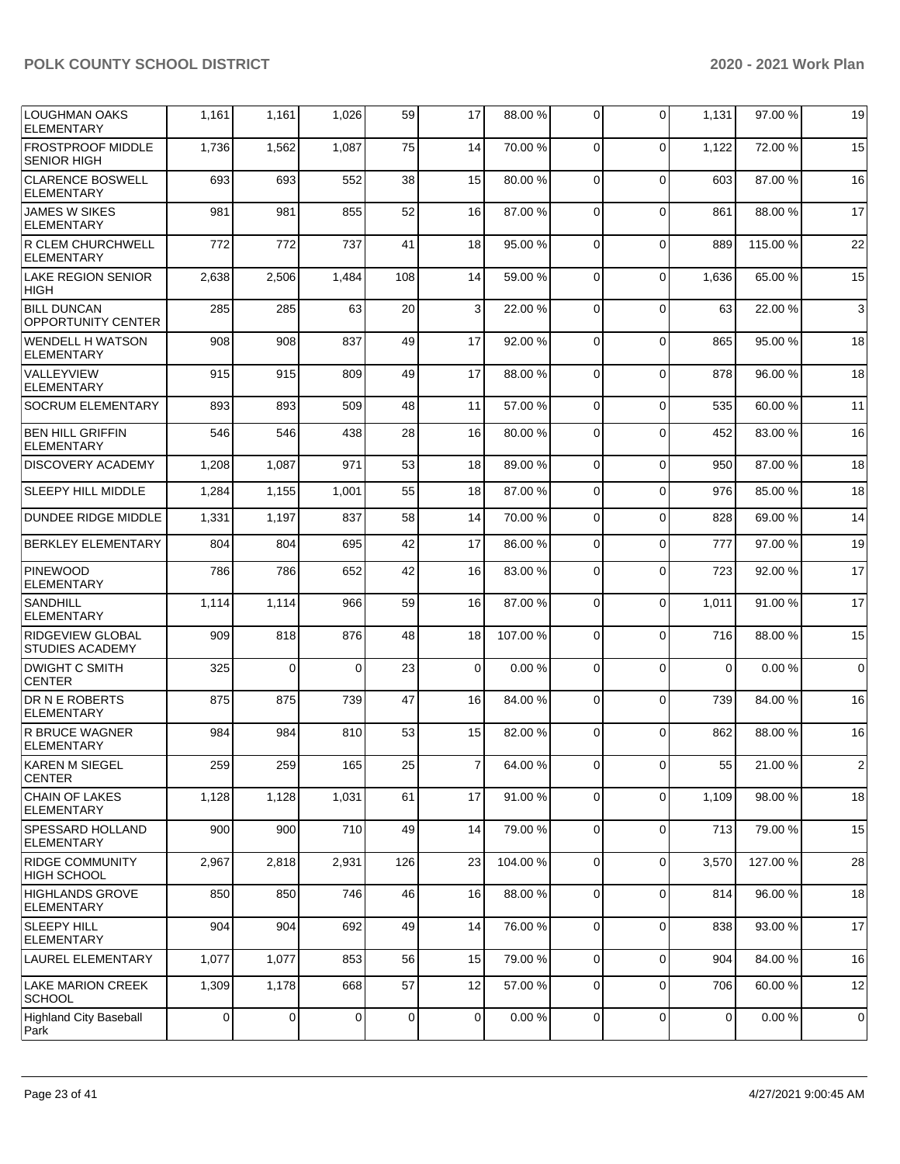| LOUGHMAN OAKS<br><b>ELEMENTARY</b>                | 1,161       | 1,161       | 1,026          | 59  | 17                      | 88.00 % | 0              | $\Omega$    | 1,131       | 97.00 %  | 19          |
|---------------------------------------------------|-------------|-------------|----------------|-----|-------------------------|---------|----------------|-------------|-------------|----------|-------------|
| <b>FROSTPROOF MIDDLE</b><br><b>SENIOR HIGH</b>    | 1,736       | 1,562       | 1,087          | 75  | 14                      | 70.00 % | $\mathbf 0$    | $\Omega$    | 1,122       | 72.00 %  | 15          |
| <b>CLARENCE BOSWELL</b><br><b>ELEMENTARY</b>      | 693         | 693         | 552            | 38  | 15                      | 80.00 % | $\mathbf 0$    | $\Omega$    | 603         | 87.00 %  | 16          |
| <b>JAMES W SIKES</b><br><b>ELEMENTARY</b>         | 981         | 981         | 855            | 52  | 16                      | 87.00 % | 0              | $\Omega$    | 861         | 88.00 %  | 17          |
| R CLEM CHURCHWELL<br><b>ELEMENTARY</b>            | 772         | 772         | 737            | 41  | 18                      | 95.00 % | $\mathbf 0$    | $\Omega$    | 889         | 115.00 % | 22          |
| <b>LAKE REGION SENIOR</b><br><b>HIGH</b>          | 2,638       | 2,506       | 1,484          | 108 | 14                      | 59.00 % | $\mathbf 0$    | $\Omega$    | 1,636       | 65.00 %  | 15          |
| <b>BILL DUNCAN</b><br><b>OPPORTUNITY CENTER</b>   | 285         | 285         | 63             | 20  | 3                       | 22.00 % | 0              | $\Omega$    | 63          | 22.00 %  | 3           |
| <b>WENDELL H WATSON</b><br><b>ELEMENTARY</b>      | 908         | 908         | 837            | 49  | 17                      | 92.00 % | $\mathbf 0$    | $\Omega$    | 865         | 95.00 %  | 18          |
| <b>VALLEYVIEW</b><br><b>ELEMENTARY</b>            | 915         | 915         | 809            | 49  | 17                      | 88.00 % | $\mathbf 0$    | $\Omega$    | 878         | 96.00 %  | 18          |
| <b>SOCRUM ELEMENTARY</b>                          | 893         | 893         | 509            | 48  | 11                      | 57.00 % | 0              | $\Omega$    | 535         | 60.00 %  | 11          |
| <b>BEN HILL GRIFFIN</b><br><b>ELEMENTARY</b>      | 546         | 546         | 438            | 28  | 16                      | 80.00%  | 0              | $\Omega$    | 452         | 83.00 %  | 16          |
| <b>DISCOVERY ACADEMY</b>                          | 1,208       | 1,087       | 971            | 53  | 18                      | 89.00 % | 0              | $\mathbf 0$ | 950         | 87.00 %  | 18          |
| <b>SLEEPY HILL MIDDLE</b>                         | 1,284       | 1,155       | 1,001          | 55  | 18                      | 87.00 % | $\mathbf 0$    | $\mathbf 0$ | 976         | 85.00 %  | 18          |
| <b>DUNDEE RIDGE MIDDLE</b>                        | 1,331       | 1,197       | 837            | 58  | 14                      | 70.00 % | 0              | $\mathbf 0$ | 828         | 69.00 %  | 14          |
| <b>BERKLEY ELEMENTARY</b>                         | 804         | 804         | 695            | 42  | 17                      | 86.00 % | 0              | $\mathbf 0$ | 777         | 97.00 %  | 19          |
| <b>PINEWOOD</b><br><b>ELEMENTARY</b>              | 786         | 786         | 652            | 42  | 16                      | 83.00 % | 0              | $\Omega$    | 723         | 92.00 %  | 17          |
| <b>SANDHILL</b><br><b>ELEMENTARY</b>              | 1,114       | 1,114       | 966            | 59  | 16                      | 87.00 % | $\mathbf 0$    | $\Omega$    | 1,011       | 91.00 %  | 17          |
| <b>RIDGEVIEW GLOBAL</b><br><b>STUDIES ACADEMY</b> | 909         | 818         | 876            | 48  | 18                      | 107.00% | 0              | $\Omega$    | 716         | 88.00 %  | 15          |
| <b>DWIGHT C SMITH</b><br><b>CENTER</b>            | 325         | $\Omega$    | $\Omega$       | 23  | $\mathbf 0$             | 0.00%   | $\mathbf 0$    | $\Omega$    | $\mathbf 0$ | 0.00%    | $\mathbf 0$ |
| <b>DR N E ROBERTS</b><br><b>ELEMENTARY</b>        | 875         | 875         | 739            | 47  | 16                      | 84.00%  | $\Omega$       | $\Omega$    | 739         | 84.00%   | 16          |
| <b>R BRUCE WAGNER</b><br>ELEMENTARY               | 984         | 984         | 810            | 53  | 15                      | 82.00 % | 0              | $\Omega$    | 862         | 88.00 %  | 16          |
| KAREN M SIEGEL<br><b>CENTER</b>                   | 259         | 259         | 165            | 25  | $\overline{\mathbf{7}}$ | 64.00%  | $\overline{0}$ | $\mathbf 0$ | 55          | 21.00%   | $\sqrt{2}$  |
| CHAIN OF LAKES<br>ELEMENTARY                      | 1,128       | 1,128       | 1,031          | 61  | 17                      | 91.00 % | $\overline{0}$ | $\Omega$    | 1,109       | 98.00 %  | 18          |
| SPESSARD HOLLAND<br><b>ELEMENTARY</b>             | 900         | 900         | 710            | 49  | 14                      | 79.00 % | 0              | $\mathbf 0$ | 713         | 79.00 %  | 15          |
| <b>RIDGE COMMUNITY</b><br>HIGH SCHOOL             | 2,967       | 2,818       | 2,931          | 126 | 23                      | 104.00% | 0              | $\mathbf 0$ | 3,570       | 127.00%  | 28          |
| <b>HIGHLANDS GROVE</b><br>ELEMENTARY              | 850         | 850         | 746            | 46  | 16                      | 88.00 % | $\mathbf 0$    | $\mathbf 0$ | 814         | 96.00 %  | 18          |
| <b>SLEEPY HILL</b><br><b>ELEMENTARY</b>           | 904         | 904         | 692            | 49  | 14                      | 76.00 % | 0              | $\mathbf 0$ | 838         | 93.00 %  | 17          |
| LAUREL ELEMENTARY                                 | 1,077       | 1,077       | 853            | 56  | 15                      | 79.00 % | $\overline{0}$ | $\mathbf 0$ | 904         | 84.00 %  | 16          |
| <b>LAKE MARION CREEK</b><br><b>SCHOOL</b>         | 1,309       | 1,178       | 668            | 57  | 12                      | 57.00 % | 0              | $\mathbf 0$ | 706         | 60.00 %  | 12          |
| Highland City Baseball<br>Park                    | $\mathbf 0$ | $\mathbf 0$ | $\overline{0}$ | 0   | $\mathbf 0$             | 0.00%   | $\mathbf 0$    | 0           | 0           | 0.00%    | 0           |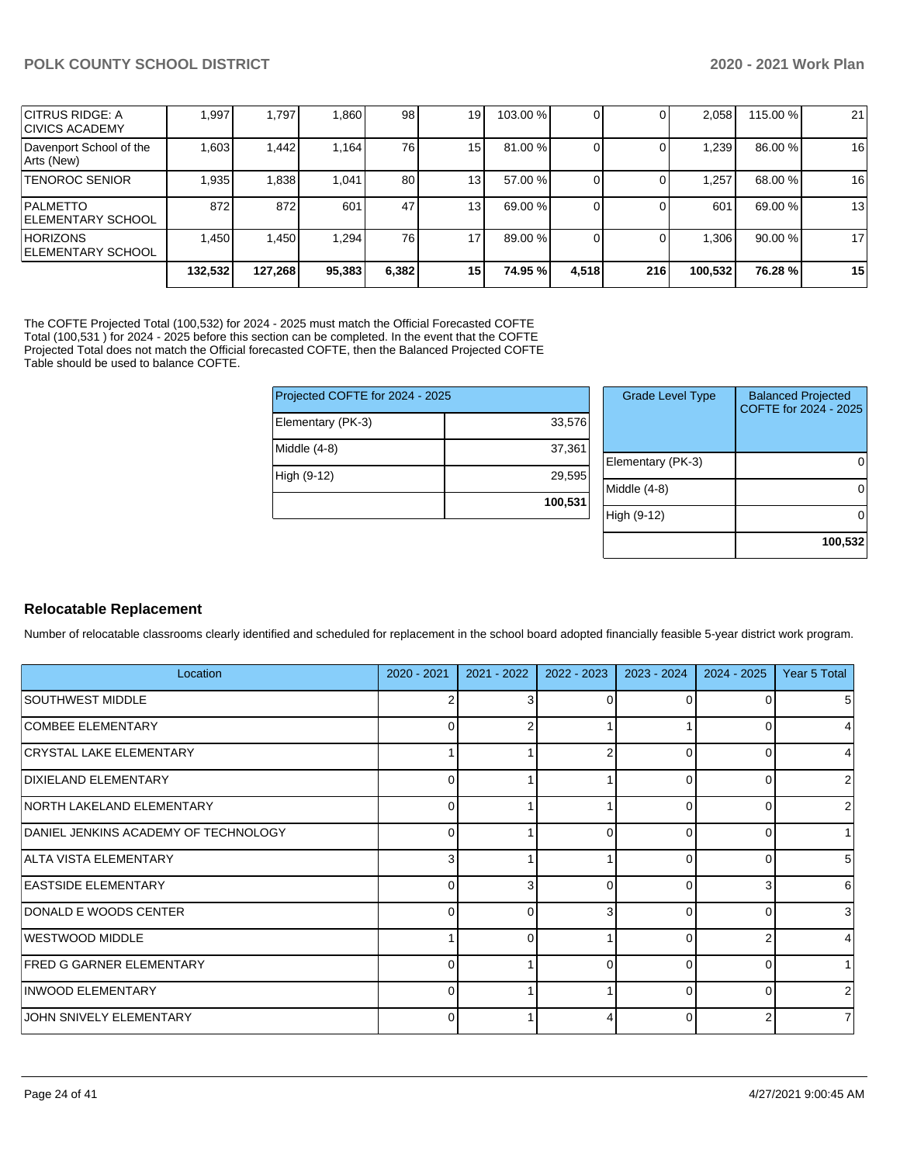|                                              | 132,532 | 127,268 | 95,383 | 6,382 | 15 I            | 74.95 %  | 4.518 | 216 | 100,532 | 76.28 %  | 15 |
|----------------------------------------------|---------|---------|--------|-------|-----------------|----------|-------|-----|---------|----------|----|
| <b>HORIZONS</b><br><b>IELEMENTARY SCHOOL</b> | 1.450   | 1,450   | 1.294  | 76 l  | 17              | 89.00 %  |       |     | 1,306   | 90.00 %  | 17 |
| <b>PALMETTO</b><br><b>IELEMENTARY SCHOOL</b> | 872     | 872     | 601    | 47    | 13 <sub>1</sub> | 69.00 %  |       |     | 601     | 69.00 %  | 13 |
| <b>TENOROC SENIOR</b>                        | 1.935   | 1,838   | 1.041  | 80    | 13 <sub>l</sub> | 57.00 %  |       |     | .257    | 68.00 %  | 16 |
| Davenport School of the<br>Arts (New)        | 1,603   | 1.442   | 1.164  | 76 l  | 15              | 81.00 %  |       |     | 1.239   | 86.00 %  | 16 |
| ICITRUS RIDGE: A<br><b>ICIVICS ACADEMY</b>   | 1.997   | 1.797   | 1,860  | 98    | 19              | 103.00 % |       |     | 2.058   | 115.00 % | 21 |

The COFTE Projected Total (100,532) for 2024 - 2025 must match the Official Forecasted COFTE Total (100,531 ) for 2024 - 2025 before this section can be completed. In the event that the COFTE Projected Total does not match the Official forecasted COFTE, then the Balanced Projected COFTE Table should be used to balance COFTE.

| Projected COFTE for 2024 - 2025 |         |  |  |  |  |  |
|---------------------------------|---------|--|--|--|--|--|
| Elementary (PK-3)               | 33,576  |  |  |  |  |  |
| Middle (4-8)                    | 37,361  |  |  |  |  |  |
| High (9-12)                     | 29,595  |  |  |  |  |  |
|                                 | 100,531 |  |  |  |  |  |

| <b>Grade Level Type</b> | <b>Balanced Projected</b><br>COFTE for 2024 - 2025 |
|-------------------------|----------------------------------------------------|
| Elementary (PK-3)       |                                                    |
| Middle (4-8)            |                                                    |
| High (9-12)             |                                                    |
|                         | 100,532                                            |

#### **Relocatable Replacement**

Number of relocatable classrooms clearly identified and scheduled for replacement in the school board adopted financially feasible 5-year district work program.

| Location                             | 2020 - 2021    | 2021 - 2022 | 2022 - 2023 | $2023 - 2024$ | $2024 - 2025$ | Year 5 Total |
|--------------------------------------|----------------|-------------|-------------|---------------|---------------|--------------|
| SOUTHWEST MIDDLE                     | 2              | 3           | $\Omega$    | 0             | 0             | 5            |
| <b>COMBEE ELEMENTARY</b>             | $\Omega$       |             |             |               | 0             | 4            |
| <b>CRYSTAL LAKE ELEMENTARY</b>       | 1              |             |             | 0             | 0             | 4            |
| DIXIELAND ELEMENTARY                 | 0              |             |             | 0             | 0             | 2            |
| <b>NORTH LAKELAND ELEMENTARY</b>     | $\mathbf 0$    |             |             | 0             | 0             | 2            |
| DANIEL JENKINS ACADEMY OF TECHNOLOGY | 0              |             | $\Omega$    | $\Omega$      | 0             | 1            |
| ALTA VISTA ELEMENTARY                | 3 <sup>1</sup> |             |             | $\Omega$      | 0             | 5            |
| <b>EASTSIDE ELEMENTARY</b>           | 0              | 3           | $\Omega$    | 0             | 3             | 6            |
| DONALD E WOODS CENTER                | $\Omega$       | $\Omega$    | 3           | 0             | $\Omega$      | 3            |
| WESTWOOD MIDDLE                      | 1              | $\Omega$    |             | $\Omega$      | 2             | 4            |
| <b>FRED G GARNER ELEMENTARY</b>      | $\Omega$       |             | $\Omega$    | $\Omega$      | 0             |              |
| INWOOD ELEMENTARY                    | $\mathbf 0$    |             |             | $\Omega$      | $\Omega$      | 2            |
| JOHN SNIVELY ELEMENTARY              | 0              |             |             | 0             |               | 7            |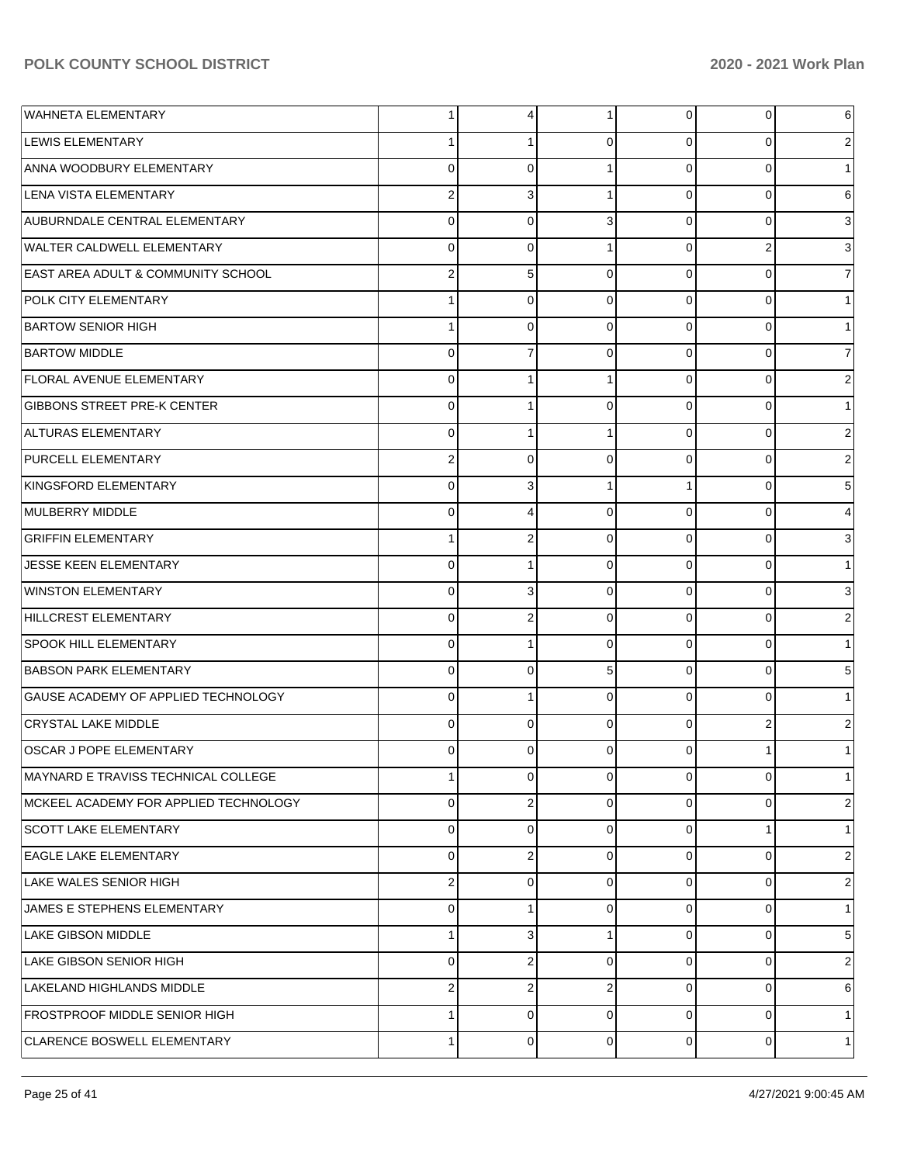| <b>WAHNETA ELEMENTARY</b>                     | 1              | 4              | 1              | $\overline{0}$ | $\overline{0}$ | 6              |
|-----------------------------------------------|----------------|----------------|----------------|----------------|----------------|----------------|
| <b>LEWIS ELEMENTARY</b>                       |                | 1              | $\Omega$       | $\Omega$       | 0              | 2              |
| ANNA WOODBURY ELEMENTARY                      | $\Omega$       | $\Omega$       |                | $\Omega$       | $\Omega$       | 1              |
| LENA VISTA ELEMENTARY                         | $\overline{2}$ | 3              |                | $\Omega$       | $\Omega$       | 6              |
| AUBURNDALE CENTRAL ELEMENTARY                 | 0              | $\Omega$       | 3              | $\Omega$       | $\Omega$       | 3              |
| <b>WALTER CALDWELL ELEMENTARY</b>             | 0              | $\mathbf 0$    |                | $\Omega$       | 2              | 3              |
| <b>EAST AREA ADULT &amp; COMMUNITY SCHOOL</b> | $\overline{2}$ | 5              | $\Omega$       | $\Omega$       | $\Omega$       | $\overline{7}$ |
| <b>POLK CITY ELEMENTARY</b>                   |                | $\mathbf 0$    | $\Omega$       | $\Omega$       | $\Omega$       |                |
| <b>BARTOW SENIOR HIGH</b>                     | 1              | $\Omega$       | $\Omega$       | $\Omega$       | $\Omega$       |                |
| <b>BARTOW MIDDLE</b>                          | 0              | $\overline{7}$ | $\Omega$       | $\Omega$       | $\Omega$       | 7              |
| <b>FLORAL AVENUE ELEMENTARY</b>               | 0              |                |                | $\Omega$       | $\Omega$       | $\overline{2}$ |
| <b>GIBBONS STREET PRE-K CENTER</b>            | 0              | 1              | $\Omega$       | $\Omega$       | $\Omega$       | 1              |
| <b>ALTURAS ELEMENTARY</b>                     | 0              |                |                | $\Omega$       | $\Omega$       | $\overline{2}$ |
| PURCELL ELEMENTARY                            | $\overline{2}$ | $\mathbf 0$    | $\Omega$       | $\Omega$       | $\Omega$       | $\overline{2}$ |
| KINGSFORD ELEMENTARY                          | $\Omega$       | 3              |                |                | $\Omega$       | 5              |
| MULBERRY MIDDLE                               | 0              | 4              | $\Omega$       | $\Omega$       | $\Omega$       | 4              |
| <b>GRIFFIN ELEMENTARY</b>                     | 1              | $\overline{2}$ | $\Omega$       | $\Omega$       | $\Omega$       | 3              |
| JESSE KEEN ELEMENTARY                         | 0              | 1              | $\Omega$       | $\Omega$       | $\Omega$       | 1              |
| <b>WINSTON ELEMENTARY</b>                     | $\Omega$       | 3              | $\Omega$       | $\Omega$       | $\Omega$       | 3              |
| HILLCREST ELEMENTARY                          | 0              | 2              | $\Omega$       | $\Omega$       | $\Omega$       | 2              |
| <b>SPOOK HILL ELEMENTARY</b>                  | 0              | 1              | $\Omega$       | $\Omega$       | $\Omega$       |                |
| <b>BABSON PARK ELEMENTARY</b>                 | 0              | $\Omega$       | 5              | $\Omega$       | $\Omega$       | 5              |
| GAUSE ACADEMY OF APPLIED TECHNOLOGY           | $\Omega$       | 1              | $\Omega$       | $\Omega$       | $\Omega$       |                |
| <b>CRYSTAL LAKE MIDDLE</b>                    | 0              | $\Omega$       | $\Omega$       | $\Omega$       | 2              | 2              |
| <b>OSCAR J POPE ELEMENTARY</b>                | 0              | $\Omega$       | $\Omega$       | $\Omega$       |                |                |
| MAYNARD E TRAVISS TECHNICAL COLLEGE           | 1              | $\overline{0}$ | $\overline{0}$ | $\overline{0}$ | $\overline{0}$ | $\mathbf{1}$   |
| MCKEEL ACADEMY FOR APPLIED TECHNOLOGY         | 0              | 2              | $\Omega$       | $\overline{0}$ | 0              | 2              |
| <b>SCOTT LAKE ELEMENTARY</b>                  | 0              | $\overline{0}$ | $\Omega$       | $\Omega$       |                | 1              |
| <b>EAGLE LAKE ELEMENTARY</b>                  | 0              | 2              | $\Omega$       | $\Omega$       | $\Omega$       | 2              |
| LAKE WALES SENIOR HIGH                        | 2              | $\Omega$       | $\Omega$       | $\Omega$       | $\Omega$       | 2              |
| JAMES E STEPHENS ELEMENTARY                   | 0              | 1              | $\Omega$       | $\Omega$       | $\Omega$       | 1              |
| LAKE GIBSON MIDDLE                            | 1              | 3              |                | $\Omega$       | $\Omega$       | 5              |
| LAKE GIBSON SENIOR HIGH                       | 0              | 2              | $\Omega$       | $\Omega$       | $\Omega$       | 2              |
| LAKELAND HIGHLANDS MIDDLE                     | $\overline{2}$ | 2              | $\overline{2}$ | $\Omega$       | $\Omega$       | 6              |
| <b>FROSTPROOF MIDDLE SENIOR HIGH</b>          | 1              | 0              | $\Omega$       | $\Omega$       | $\Omega$       | $\mathbf{1}$   |
| CLARENCE BOSWELL ELEMENTARY                   | 1              | 0              | $\Omega$       | $\overline{0}$ | $\Omega$       | 1              |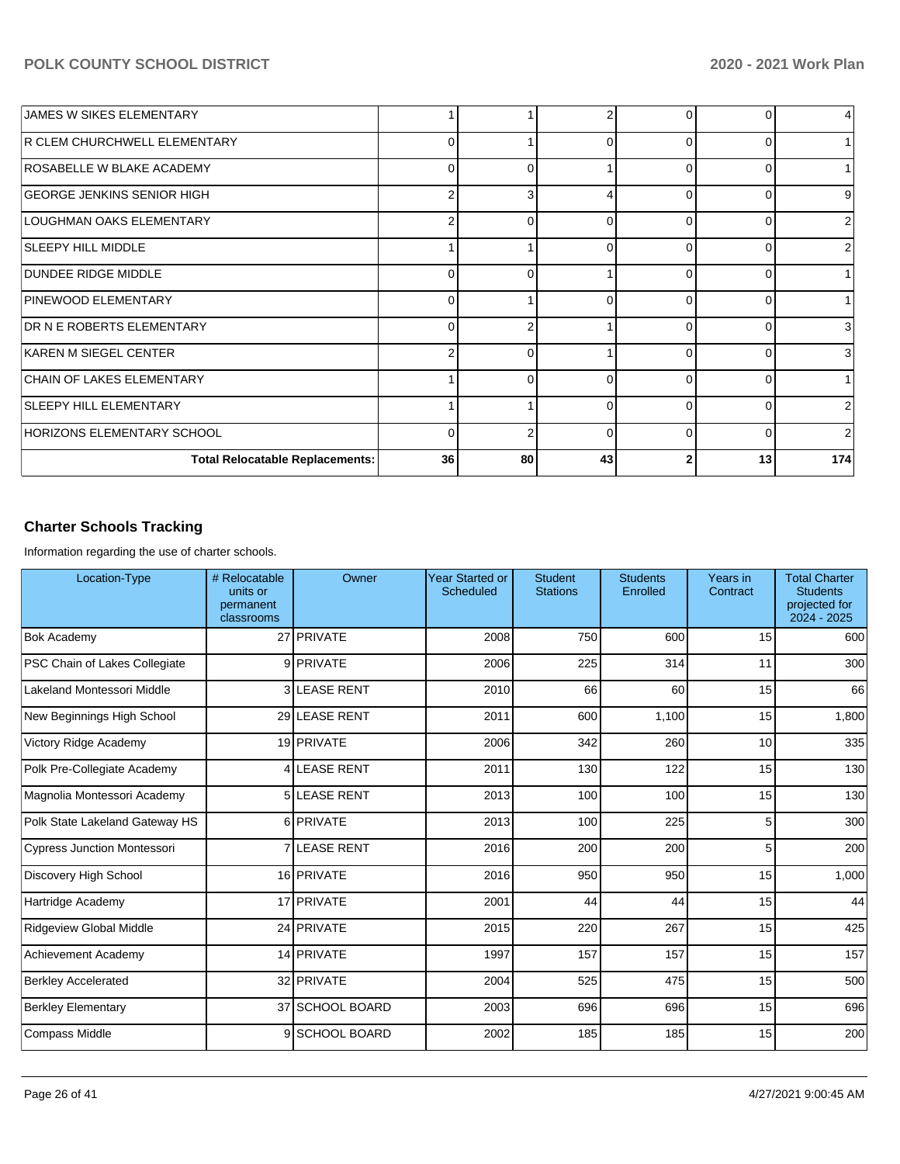| JAMES W SIKES ELEMENTARY               |                |              |          | 0        |    | 4 <sub>1</sub> |
|----------------------------------------|----------------|--------------|----------|----------|----|----------------|
| R CLEM CHURCHWELL ELEMENTARY           | 0              |              | ∩        | 0        |    |                |
| ROSABELLE W BLAKE ACADEMY              | $\Omega$       | <sup>0</sup> |          | $\Omega$ |    |                |
| GEORGE JENKINS SENIOR HIGH             | 2              | 3            |          | $\Omega$ |    | 9              |
| LOUGHMAN OAKS ELEMENTARY               | $\overline{2}$ | ∩            | ∩        | O        |    | $\overline{2}$ |
| <b>SLEEPY HILL MIDDLE</b>              |                |              | $\Omega$ | $\Omega$ |    | 2              |
| DUNDEE RIDGE MIDDLE                    | 0              | 0            |          | $\Omega$ |    |                |
| PINEWOOD ELEMENTARY                    | 0              |              | $\Omega$ | $\Omega$ |    |                |
| <b>DR N E ROBERTS ELEMENTARY</b>       | $\Omega$       | ◠            |          | $\Omega$ |    | 3              |
| KAREN M SIEGEL CENTER                  | 2              | 0            |          | $\Omega$ |    | 3              |
| <b>CHAIN OF LAKES ELEMENTARY</b>       |                |              | $\Omega$ | $\Omega$ |    |                |
| <b>SLEEPY HILL ELEMENTARY</b>          |                |              | $\Omega$ | $\Omega$ |    | $\overline{2}$ |
| HORIZONS ELEMENTARY SCHOOL             | 0              |              | $\Omega$ | 0        |    | $\overline{2}$ |
| <b>Total Relocatable Replacements:</b> | 36             | 80           | 43       |          | 13 | 174            |

# **Charter Schools Tracking**

Information regarding the use of charter schools.

| Location-Type                  | # Relocatable<br>units or<br>permanent<br>classrooms | Owner                | <b>Year Started or</b><br>Scheduled | <b>Student</b><br><b>Stations</b> | <b>Students</b><br>Enrolled | Years in<br>Contract | <b>Total Charter</b><br><b>Students</b><br>projected for<br>2024 - 2025 |
|--------------------------------|------------------------------------------------------|----------------------|-------------------------------------|-----------------------------------|-----------------------------|----------------------|-------------------------------------------------------------------------|
| <b>Bok Academy</b>             |                                                      | 27 PRIVATE           | 2008                                | 750                               | 600                         | 15                   | 600                                                                     |
| PSC Chain of Lakes Collegiate  |                                                      | 9 PRIVATE            | 2006                                | 225                               | 314                         | 11                   | 300                                                                     |
| Lakeland Montessori Middle     |                                                      | 3 LEASE RENT         | 2010                                | 66                                | 60                          | 15                   | 66                                                                      |
| New Beginnings High School     |                                                      | 29 LEASE RENT        | 2011                                | 600                               | 1,100                       | 15                   | 1,800                                                                   |
| Victory Ridge Academy          |                                                      | 19 PRIVATE           | 2006                                | 342                               | 260                         | 10                   | 335                                                                     |
| Polk Pre-Collegiate Academy    |                                                      | <b>4 LEASE RENT</b>  | 2011                                | 130                               | 122                         | 15                   | 130                                                                     |
| Magnolia Montessori Academy    |                                                      | 5 LEASE RENT         | 2013                                | 100                               | 100                         | 15                   | 130                                                                     |
| Polk State Lakeland Gateway HS |                                                      | 6 PRIVATE            | 2013                                | 100                               | 225                         | 5                    | 300                                                                     |
| Cypress Junction Montessori    |                                                      | <b>7 ILEASE RENT</b> | 2016                                | 200                               | 200                         | 5                    | 200                                                                     |
| Discovery High School          |                                                      | 16 PRIVATE           | 2016                                | 950                               | 950                         | 15                   | 1,000                                                                   |
| Hartridge Academy              |                                                      | 17 PRIVATE           | 2001                                | 44                                | 44                          | 15                   | 44                                                                      |
| Ridgeview Global Middle        |                                                      | 24 PRIVATE           | 2015                                | 220                               | 267                         | 15                   | 425                                                                     |
| Achievement Academy            |                                                      | 14 PRIVATE           | 1997                                | 157                               | 157                         | 15                   | 157                                                                     |
| <b>Berkley Accelerated</b>     |                                                      | 32 PRIVATE           | 2004                                | 525                               | 475                         | 15                   | 500                                                                     |
| <b>Berkley Elementary</b>      |                                                      | 37 SCHOOL BOARD      | 2003                                | 696                               | 696                         | 15                   | 696                                                                     |
| <b>Compass Middle</b>          |                                                      | 9 SCHOOL BOARD       | 2002                                | 185                               | 185                         | 15                   | 200                                                                     |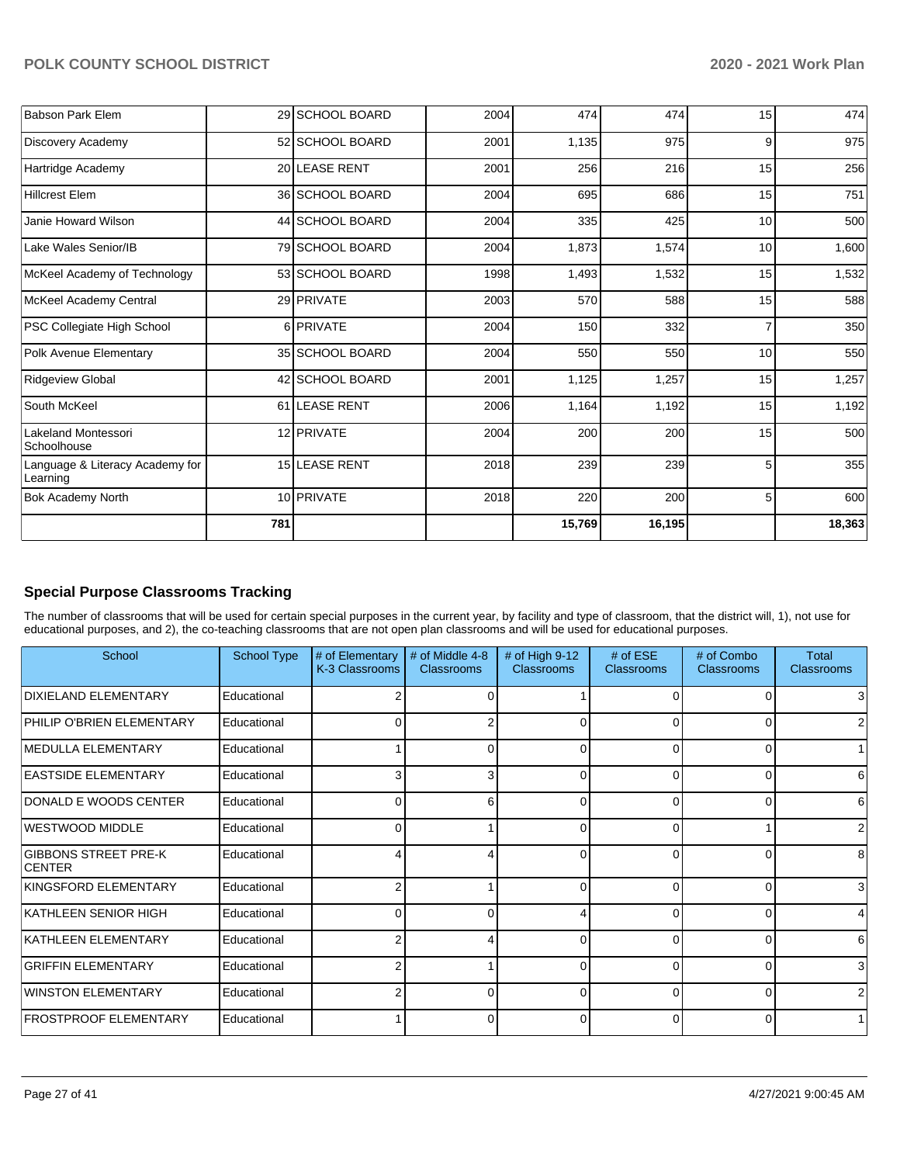| <b>Babson Park Elem</b>                     |     | 29 SCHOOL BOARD | 2004 | 474    | 474    | 15 | 474    |
|---------------------------------------------|-----|-----------------|------|--------|--------|----|--------|
| Discovery Academy                           |     | 52 SCHOOL BOARD | 2001 | 1,135  | 975    | 9  | 975    |
| Hartridge Academy                           |     | 20 LEASE RENT   | 2001 | 256    | 216    | 15 | 256    |
| <b>Hillcrest Elem</b>                       |     | 36 SCHOOL BOARD | 2004 | 695    | 686    | 15 | 751    |
| Janie Howard Wilson                         |     | 44 SCHOOL BOARD | 2004 | 335    | 425    | 10 | 500    |
| Lake Wales Senior/IB                        |     | 79 SCHOOL BOARD | 2004 | 1,873  | 1,574  | 10 | 1,600  |
| McKeel Academy of Technology                |     | 53 SCHOOL BOARD | 1998 | 1,493  | 1,532  | 15 | 1,532  |
| McKeel Academy Central                      |     | 29 PRIVATE      | 2003 | 570    | 588    | 15 | 588    |
| PSC Collegiate High School                  |     | 6 PRIVATE       | 2004 | 150    | 332    |    | 350    |
| Polk Avenue Elementary                      |     | 35 SCHOOL BOARD | 2004 | 550    | 550    | 10 | 550    |
| <b>Ridgeview Global</b>                     |     | 42 SCHOOL BOARD | 2001 | 1,125  | 1,257  | 15 | 1,257  |
| South McKeel                                |     | 61 LEASE RENT   | 2006 | 1,164  | 1,192  | 15 | 1,192  |
| Lakeland Montessori<br>Schoolhouse          |     | 12 PRIVATE      | 2004 | 200    | 200    | 15 | 500    |
| Language & Literacy Academy for<br>Learning |     | 15 LEASE RENT   | 2018 | 239    | 239    | 5  | 355    |
| <b>Bok Academy North</b>                    |     | 10 PRIVATE      | 2018 | 220    | 200    | 5  | 600    |
|                                             | 781 |                 |      | 15,769 | 16,195 |    | 18,363 |

# **Special Purpose Classrooms Tracking**

The number of classrooms that will be used for certain special purposes in the current year, by facility and type of classroom, that the district will, 1), not use for educational purposes, and 2), the co-teaching classrooms that are not open plan classrooms and will be used for educational purposes.

| School                                | <b>School Type</b> | # of Elementary<br>K-3 Classrooms | # of Middle 4-8<br><b>Classrooms</b> | # of High $9-12$<br><b>Classrooms</b> | # of $ESE$<br>Classrooms | # of Combo<br><b>Classrooms</b> | Total<br><b>Classrooms</b> |
|---------------------------------------|--------------------|-----------------------------------|--------------------------------------|---------------------------------------|--------------------------|---------------------------------|----------------------------|
| DIXIELAND ELEMENTARY                  | Educational        |                                   |                                      |                                       | 0                        |                                 | 3                          |
| PHILIP O'BRIEN ELEMENTARY             | Educational        | 0                                 |                                      | 0                                     | $\Omega$                 | n                               | 2                          |
| <b>IMEDULLA ELEMENTARY</b>            | Educational        |                                   | ი                                    | 0                                     | $\overline{0}$           |                                 | 1                          |
| <b>EASTSIDE ELEMENTARY</b>            | Educational        |                                   | 3                                    | <sup>0</sup>                          | $\Omega$                 | ∩                               | 6                          |
| DONALD E WOODS CENTER                 | Educational        | 0                                 | 6                                    | 0                                     | $\Omega$                 | 0                               | 6                          |
| WESTWOOD MIDDLE                       | Educational        |                                   |                                      | ∩                                     | $\Omega$                 |                                 | 2                          |
| GIBBONS STREET PRE-K<br><b>CENTER</b> | Educational        |                                   |                                      | 0                                     | 0                        |                                 | 8                          |
| KINGSFORD ELEMENTARY                  | Educational        | 2                                 |                                      | 0                                     | 0                        | 0                               | 3                          |
| KATHLEEN SENIOR HIGH                  | Educational        | 0                                 |                                      |                                       | $\Omega$                 |                                 | 4                          |
| KATHLEEN ELEMENTARY                   | Educational        | 2                                 |                                      | 0                                     | $\Omega$                 | O                               | 6                          |
| <b>GRIFFIN ELEMENTARY</b>             | Educational        | c                                 |                                      | <sup>0</sup>                          | $\Omega$                 |                                 | 3                          |
| WINSTON ELEMENTARY                    | Educational        | 2                                 | n                                    | 0                                     | $\Omega$                 | $\Omega$                        | 2 <sub>1</sub>             |
| <b>IFROSTPROOF ELEMENTARY</b>         | Educational        |                                   | ი                                    | 0                                     | 0                        |                                 |                            |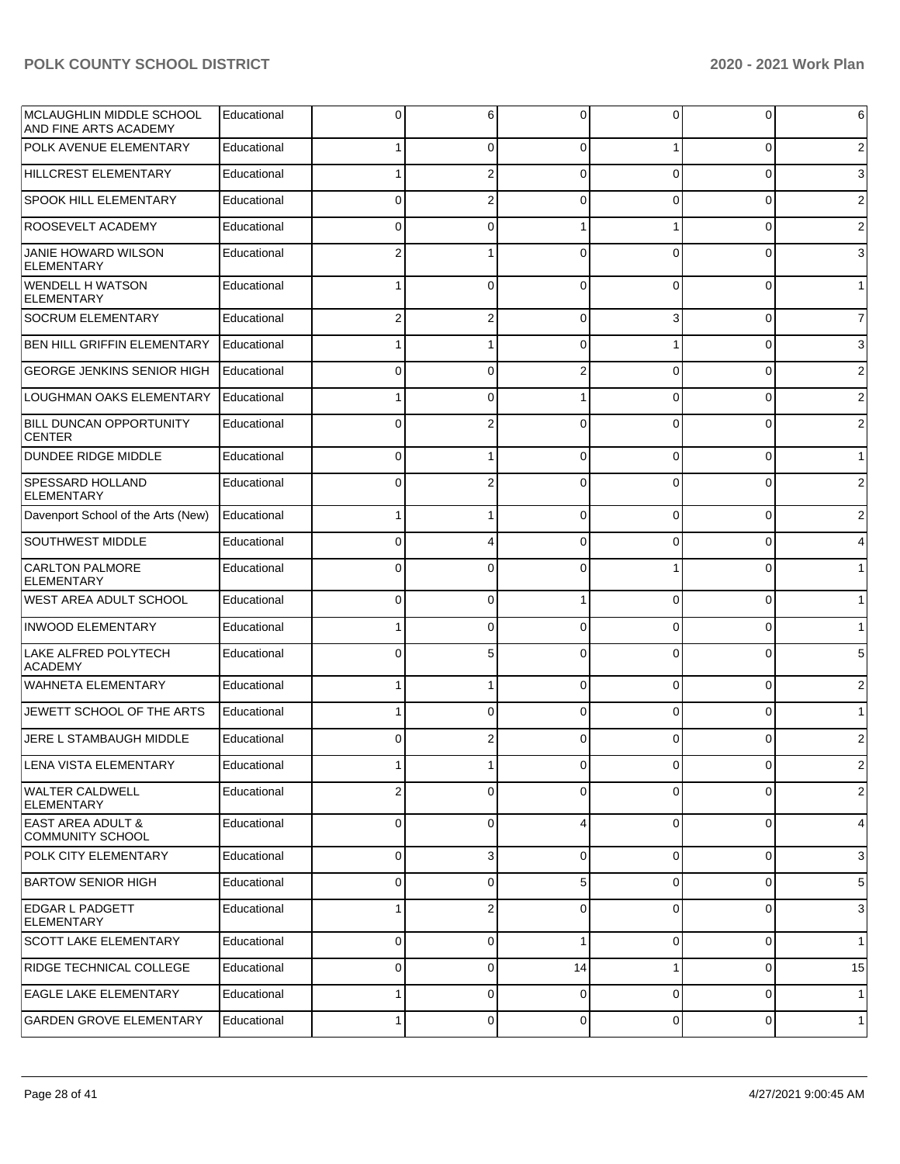| IMCLAUGHLIN MIDDLE SCHOOL<br>AND FINE ARTS ACADEMY | Educational | 0           | 6              | 0              | 0           | 0        | 6              |
|----------------------------------------------------|-------------|-------------|----------------|----------------|-------------|----------|----------------|
| <b>POLK AVENUE ELEMENTARY</b>                      | Educational |             | $\overline{0}$ | $\Omega$       | 1           | 0        | $\overline{c}$ |
| HILLCREST ELEMENTARY                               | Educational |             | $\overline{2}$ | $\Omega$       | 0           | 0        | 3              |
| <b>SPOOK HILL ELEMENTARY</b>                       | Educational | $\Omega$    | $\overline{2}$ | $\Omega$       | 0           | 0        | $\overline{c}$ |
| <b>ROOSEVELT ACADEMY</b>                           | Educational | $\Omega$    | $\mathbf 0$    |                |             | 0        | $\overline{c}$ |
| JANIE HOWARD WILSON<br><b>ELEMENTARY</b>           | Educational | 2           | 1              | $\Omega$       | 0           | 0        | 3              |
| WENDELL H WATSON<br><b>ELEMENTARY</b>              | Educational |             | 0              | $\Omega$       | 0           | 0        | $\mathbf{1}$   |
| <b>SOCRUM ELEMENTARY</b>                           | Educational | 2           | 2              | $\Omega$       | 3           | 0        | $\overline{7}$ |
| <b>BEN HILL GRIFFIN ELEMENTARY</b>                 | Educational |             | 1              | $\Omega$       |             | 0        | 3              |
| <b>GEORGE JENKINS SENIOR HIGH</b>                  | Educational | $\Omega$    | 0              | $\overline{2}$ | 0           | 0        | $\overline{c}$ |
| LOUGHMAN OAKS ELEMENTARY                           | Educational |             | 0              |                | 0           | 0        | $\overline{2}$ |
| <b>BILL DUNCAN OPPORTUNITY</b><br><b>CENTER</b>    | Educational | $\Omega$    | $\overline{2}$ | $\Omega$       | 0           | 0        | $\overline{2}$ |
| <b>DUNDEE RIDGE MIDDLE</b>                         | Educational | $\Omega$    | 1              | $\Omega$       | 0           | 0        | $\mathbf{1}$   |
| <b>SPESSARD HOLLAND</b><br><b>ELEMENTARY</b>       | Educational | $\Omega$    | 2              | $\Omega$       | 0           | 0        | $\overline{2}$ |
| Davenport School of the Arts (New)                 | Educational |             | 1              | $\Omega$       | 0           | 0        | 2              |
| SOUTHWEST MIDDLE                                   | Educational | 0           | 4              | $\Omega$       | 0           | 0        | 4              |
| CARLTON PALMORE<br><b>ELEMENTARY</b>               | Educational | 0           | 0              | $\Omega$       |             | ŋ        | $\mathbf{1}$   |
| WEST AREA ADULT SCHOOL                             | Educational | 0           | 0              |                | 0           | 0        | $\mathbf{1}$   |
| INWOOD ELEMENTARY                                  | Educational |             | 0              | $\Omega$       | 0           | 0        | $\mathbf{1}$   |
| LAKE ALFRED POLYTECH<br>ACADEMY                    | Educational | $\Omega$    | 5              | $\Omega$       | 0           | 0        | 5              |
| <b>WAHNETA ELEMENTARY</b>                          | Educational |             | 1              | $\Omega$       | $\Omega$    | 0        | $\overline{2}$ |
| JEWETT SCHOOL OF THE ARTS                          | Educational |             | 0              | $\Omega$       | 0           | 0        | $\mathbf{1}$   |
| JERE L STAMBAUGH MIDDLE                            | Educational | $\Omega$    | $\overline{2}$ | $\Omega$       | $\Omega$    | $\Omega$ | $\overline{2}$ |
| LENA VISTA ELEMENTARY                              | Educational |             |                | U              |             | ∩        | $\mathcal{P}$  |
| <b>WALTER CALDWELL</b><br><b>ELEMENTARY</b>        | Educational | 2           | 0              | $\Omega$       | 0           | 0        | $\overline{2}$ |
| EAST AREA ADULT &<br><b>COMMUNITY SCHOOL</b>       | Educational | 0           | 0              | 4              | 0           | 0        | 4              |
| <b>POLK CITY ELEMENTARY</b>                        | Educational | $\mathbf 0$ | 3              | $\mathbf 0$    | 0           | 0        | 3              |
| BARTOW SENIOR HIGH                                 | Educational | 0           | 0              | 5              | 0           | 0        | 5              |
| EDGAR L PADGETT<br><b>ELEMENTARY</b>               | Educational | 1           | $\overline{2}$ | $\mathbf 0$    | 0           | 0        | 3              |
| <b>SCOTT LAKE ELEMENTARY</b>                       | Educational | $\Omega$    | $\overline{0}$ | 1              | $\mathbf 0$ | 0        | $\mathbf{1}$   |
| RIDGE TECHNICAL COLLEGE                            | Educational | $\Omega$    | $\overline{0}$ | 14             | 1           | 0        | 15             |
| <b>EAGLE LAKE ELEMENTARY</b>                       | Educational |             | $\mathbf 0$    | $\mathbf 0$    | $\mathbf 0$ | 0        | $\mathbf{1}$   |
| <b>GARDEN GROVE ELEMENTARY</b>                     | Educational | 1           | $\mathbf 0$    | $\mathbf 0$    | 0           | 0        | $\mathbf{1}$   |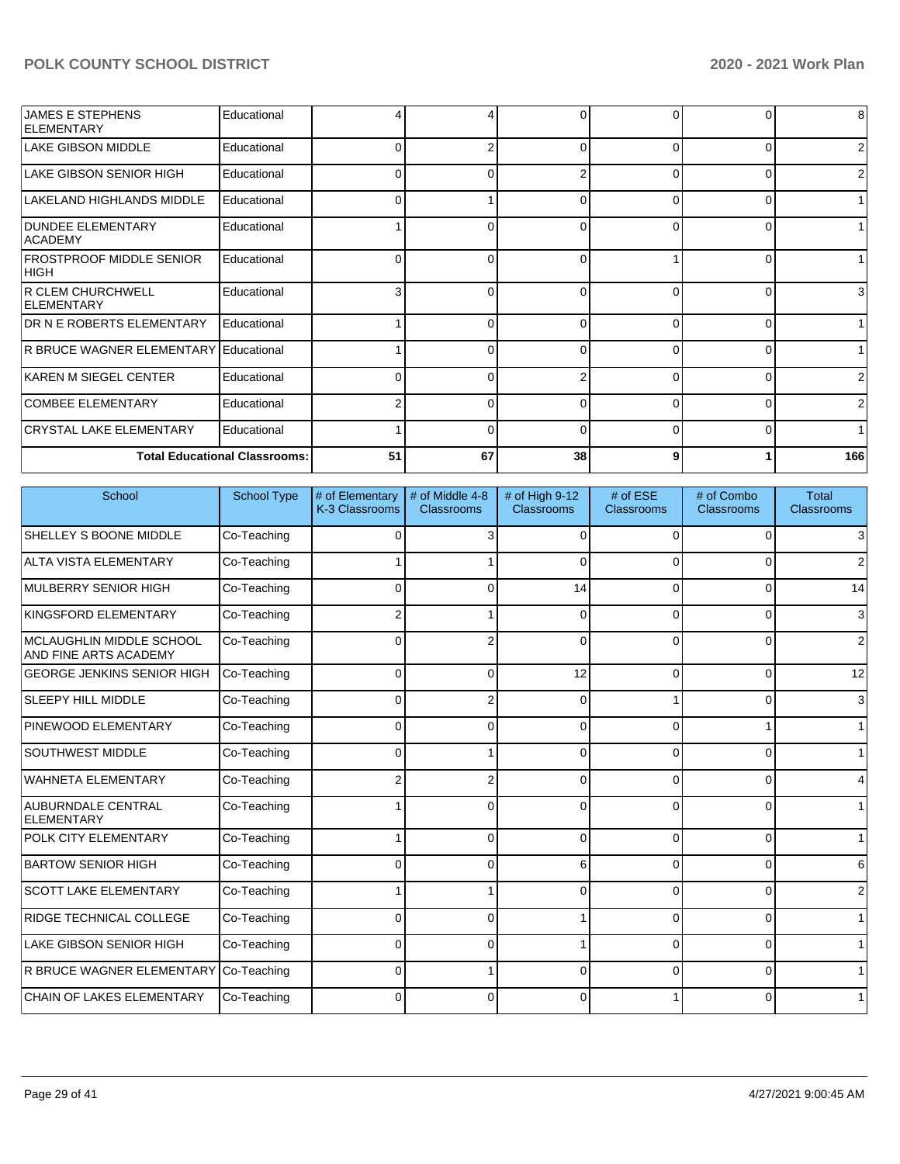| <b>JAMES E STEPHENS</b><br><b>ELEMENTARY</b>   | Educational                          |    | 4            | $\Omega$ |              | 0              | 8              |
|------------------------------------------------|--------------------------------------|----|--------------|----------|--------------|----------------|----------------|
| <b>LAKE GIBSON MIDDLE</b>                      | Educational                          | U  | 2            | $\Omega$ | 0            | $\Omega$       | $\overline{2}$ |
| LAKE GIBSON SENIOR HIGH                        | Educational                          | 0  | 0            | 2        | 0            | 01             | $\overline{2}$ |
| LAKELAND HIGHLANDS MIDDLE                      | Educational                          |    |              | $\Omega$ |              | $\Omega$       | 1 <sup>1</sup> |
| <b>DUNDEE ELEMENTARY</b><br>ACADEMY            | Educational                          |    | 0            | $\Omega$ | 0            | 01             | 1              |
| <b>FROSTPROOF MIDDLE SENIOR</b><br> HIGH       | Educational                          |    | U            | $\Omega$ |              | $\Omega$       | 1              |
| <b>R CLEM CHURCHWELL</b><br><b>IELEMENTARY</b> | Educational                          |    | 0            | $\Omega$ |              | 01             | $\mathbf{3}$   |
| <b>DR N E ROBERTS ELEMENTARY</b>               | Educational                          |    | $\Omega$     | $\Omega$ | 0            | $\Omega$       | 1              |
| IR BRUCE WAGNER ELEMENTARY                     | Educational                          |    | 0            | $\Omega$ | 0            | 01             | 1 <sup>1</sup> |
| KAREN M SIEGEL CENTER                          | Educational                          |    | <sup>0</sup> |          |              | $\Omega$       | $\overline{2}$ |
| <b>COMBEE ELEMENTARY</b>                       | Educational                          |    | $\Omega$     | $\Omega$ | <sup>n</sup> | $\Omega$       | $\overline{2}$ |
| <b>CRYSTAL LAKE ELEMENTARY</b>                 | Educational                          |    | 0            | $\Omega$ | 0            | $\overline{0}$ | 1 <sup>1</sup> |
|                                                | <b>Total Educational Classrooms:</b> | 51 | 67           | 38       |              |                | 166            |

| School                                            | <b>School Type</b> | # of Elementary<br>K-3 Classrooms | # of Middle 4-8<br>Classrooms | # of High 9-12<br><b>Classrooms</b> | # of ESE<br>Classrooms | # of Combo<br>Classrooms | <b>Total</b><br>Classrooms |
|---------------------------------------------------|--------------------|-----------------------------------|-------------------------------|-------------------------------------|------------------------|--------------------------|----------------------------|
| SHELLEY S BOONE MIDDLE                            | Co-Teaching        | $\Omega$                          | 3                             | $\Omega$                            | $\Omega$               | 0                        | 3                          |
| <b>ALTA VISTA ELEMENTARY</b>                      | Co-Teaching        |                                   |                               | $\Omega$                            | $\Omega$               | 0                        | 2                          |
| MULBERRY SENIOR HIGH                              | Co-Teaching        | $\Omega$                          | 0                             | 14                                  | $\Omega$               | 0                        | 14                         |
| KINGSFORD ELEMENTARY                              | Co-Teaching        | 2                                 |                               | $\Omega$                            | 0                      | 0                        | 3                          |
| MCLAUGHLIN MIDDLE SCHOOL<br>AND FINE ARTS ACADEMY | Co-Teaching        | $\Omega$                          | 2                             | $\Omega$                            | $\Omega$               | 0                        | 2                          |
| <b>GEORGE JENKINS SENIOR HIGH</b>                 | Co-Teaching        | $\Omega$                          | 0                             | 12                                  | $\Omega$               | $\Omega$                 | 12                         |
| <b>SLEEPY HILL MIDDLE</b>                         | Co-Teaching        | 0                                 | 2                             | $\Omega$                            |                        | 0                        | 3                          |
| PINEWOOD ELEMENTARY                               | Co-Teaching        | 0                                 | 0                             | $\Omega$                            | 0                      |                          | $\mathbf 1$                |
| <b>SOUTHWEST MIDDLE</b>                           | Co-Teaching        | $\Omega$                          |                               | $\Omega$                            | $\Omega$               | 0                        | $\mathbf{1}$               |
| <b>WAHNETA ELEMENTARY</b>                         | Co-Teaching        | 2                                 | 2                             | $\Omega$                            | $\Omega$               | 0                        | 4                          |
| <b>AUBURNDALE CENTRAL</b><br>ELEMENTARY           | Co-Teaching        |                                   | 0                             | $\Omega$                            | $\Omega$               | 0                        | $\mathbf{1}$               |
| POLK CITY ELEMENTARY                              | Co-Teaching        |                                   | 0                             | $\Omega$                            | $\Omega$               | 0                        | $\mathbf 1$                |
| <b>BARTOW SENIOR HIGH</b>                         | Co-Teaching        | $\Omega$                          | 0                             | 6                                   | $\Omega$               | 0                        | 6                          |
| <b>SCOTT LAKE ELEMENTARY</b>                      | Co-Teaching        |                                   |                               | $\Omega$                            | $\Omega$               | 0                        | $\overline{2}$             |
| <b>RIDGE TECHNICAL COLLEGE</b>                    | Co-Teaching        | 0                                 | 0                             |                                     | 0                      | 0                        | $\mathbf{1}$               |
| <b>LAKE GIBSON SENIOR HIGH</b>                    | Co-Teaching        | $\Omega$                          | $\Omega$                      |                                     | $\Omega$               | 0                        | $\mathbf{1}$               |
| R BRUCE WAGNER ELEMENTARY                         | Co-Teaching        | $\Omega$                          |                               |                                     | $\Omega$               | $\Omega$                 | $\mathbf{1}$               |
| CHAIN OF LAKES ELEMENTARY                         | Co-Teaching        | 0                                 | 0                             | ∩                                   |                        | 0                        | $\mathbf 1$                |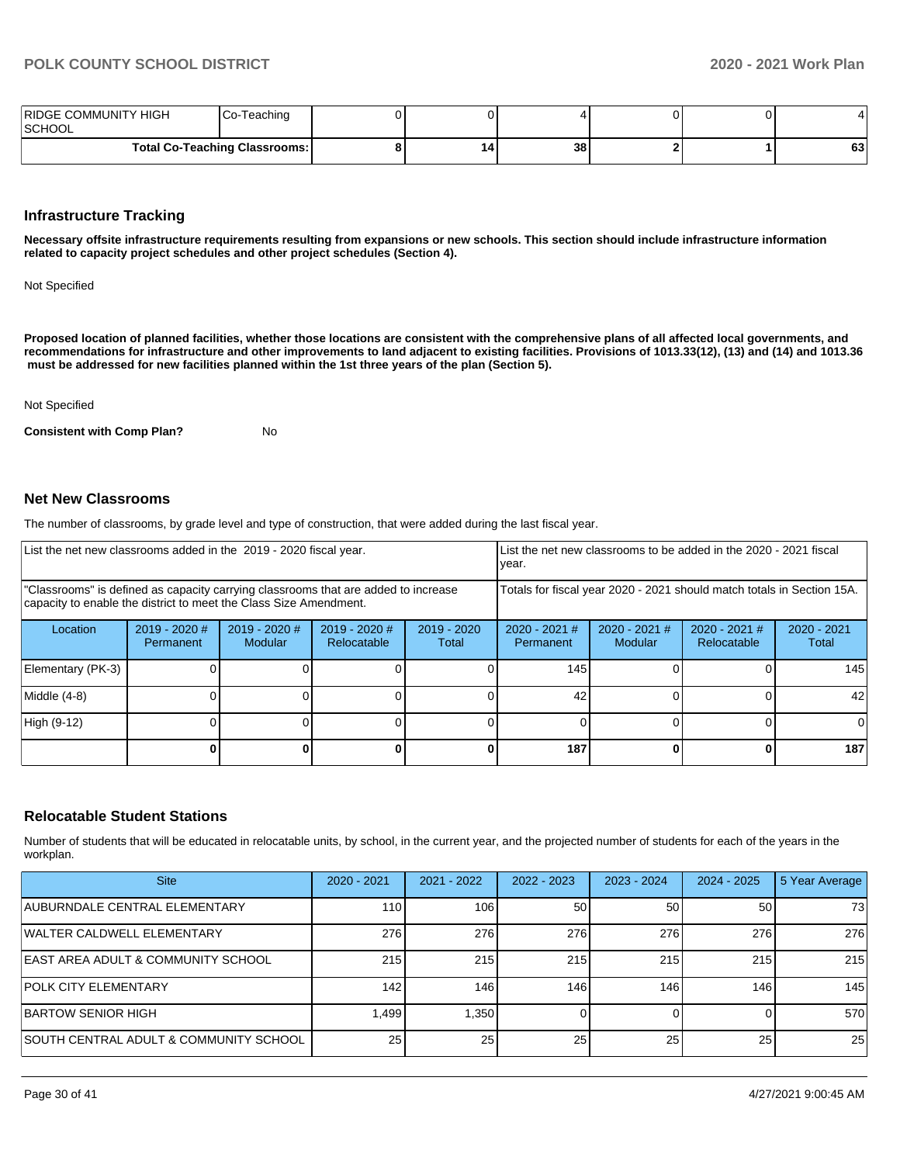| RIDGE COMMUNITY HIGH<br> SCHOOL | Co-Teaching                          |    |    |  |    |
|---------------------------------|--------------------------------------|----|----|--|----|
|                                 | <b>Total Co-Teaching Classrooms:</b> | 14 | 38 |  | 63 |

#### **Infrastructure Tracking**

**Necessary offsite infrastructure requirements resulting from expansions or new schools. This section should include infrastructure information related to capacity project schedules and other project schedules (Section 4).** 

Not Specified

**Proposed location of planned facilities, whether those locations are consistent with the comprehensive plans of all affected local governments, and recommendations for infrastructure and other improvements to land adjacent to existing facilities. Provisions of 1013.33(12), (13) and (14) and 1013.36** must be addressed for new facilities planned within the 1st three years of the plan (Section 5).

#### Not Specified

**Consistent with Comp Plan?** No

#### **Net New Classrooms**

The number of classrooms, by grade level and type of construction, that were added during the last fiscal year.

| List the net new classrooms added in the 2019 - 2020 fiscal year.                                                                                       |                              |                                 | List the net new classrooms to be added in the 2020 - 2021 fiscal<br>year. |                        |                              |                            |                                       |                        |
|---------------------------------------------------------------------------------------------------------------------------------------------------------|------------------------------|---------------------------------|----------------------------------------------------------------------------|------------------------|------------------------------|----------------------------|---------------------------------------|------------------------|
| "Classrooms" is defined as capacity carrying classrooms that are added to increase<br>capacity to enable the district to meet the Class Size Amendment. |                              |                                 | Totals for fiscal year 2020 - 2021 should match totals in Section 15A.     |                        |                              |                            |                                       |                        |
| Location                                                                                                                                                | $2019 - 2020$ #<br>Permanent | 2019 - 2020 #<br><b>Modular</b> | $2019 - 2020$ #<br>Relocatable                                             | $2019 - 2020$<br>Total | $2020 - 2021$ #<br>Permanent | $2020 - 2021$ #<br>Modular | $2020 - 2021$ #<br><b>Relocatable</b> | $2020 - 2021$<br>Total |
| Elementary (PK-3)                                                                                                                                       |                              |                                 |                                                                            |                        | 145                          |                            |                                       | 145                    |
| Middle (4-8)                                                                                                                                            |                              |                                 |                                                                            |                        | 42                           |                            |                                       | 42                     |
| High (9-12)                                                                                                                                             |                              |                                 |                                                                            |                        |                              |                            |                                       |                        |
|                                                                                                                                                         |                              |                                 |                                                                            |                        | 187                          |                            |                                       | 187                    |

### **Relocatable Student Stations**

Number of students that will be educated in relocatable units, by school, in the current year, and the projected number of students for each of the years in the workplan.

| <b>Site</b>                                    | $2020 - 2021$    | 2021 - 2022 | 2022 - 2023 | 2023 - 2024 | 2024 - 2025 | 5 Year Average |
|------------------------------------------------|------------------|-------------|-------------|-------------|-------------|----------------|
| AUBURNDALE CENTRAL ELEMENTARY                  | 110 <sup>1</sup> | 106         | 50          | 50          | 50          | 73             |
| WALTER CALDWELL ELEMENTARY                     | 276              | 276         | 276         | 276         | 276         | 276            |
| <b>IEAST AREA ADULT &amp; COMMUNITY SCHOOL</b> | 215              | 215         | 215         | 215         | 215         | 215            |
| <b>POLK CITY ELEMENTARY</b>                    | 142              | 146         | 146         | 146         | 146         | 145            |
| <b>IBARTOW SENIOR HIGH</b>                     | 1,499            | 1.350       |             |             |             | 570            |
| SOUTH CENTRAL ADULT & COMMUNITY SCHOOL         | 25 <sup>1</sup>  | 25          | 25          | 25          | 25          | 25             |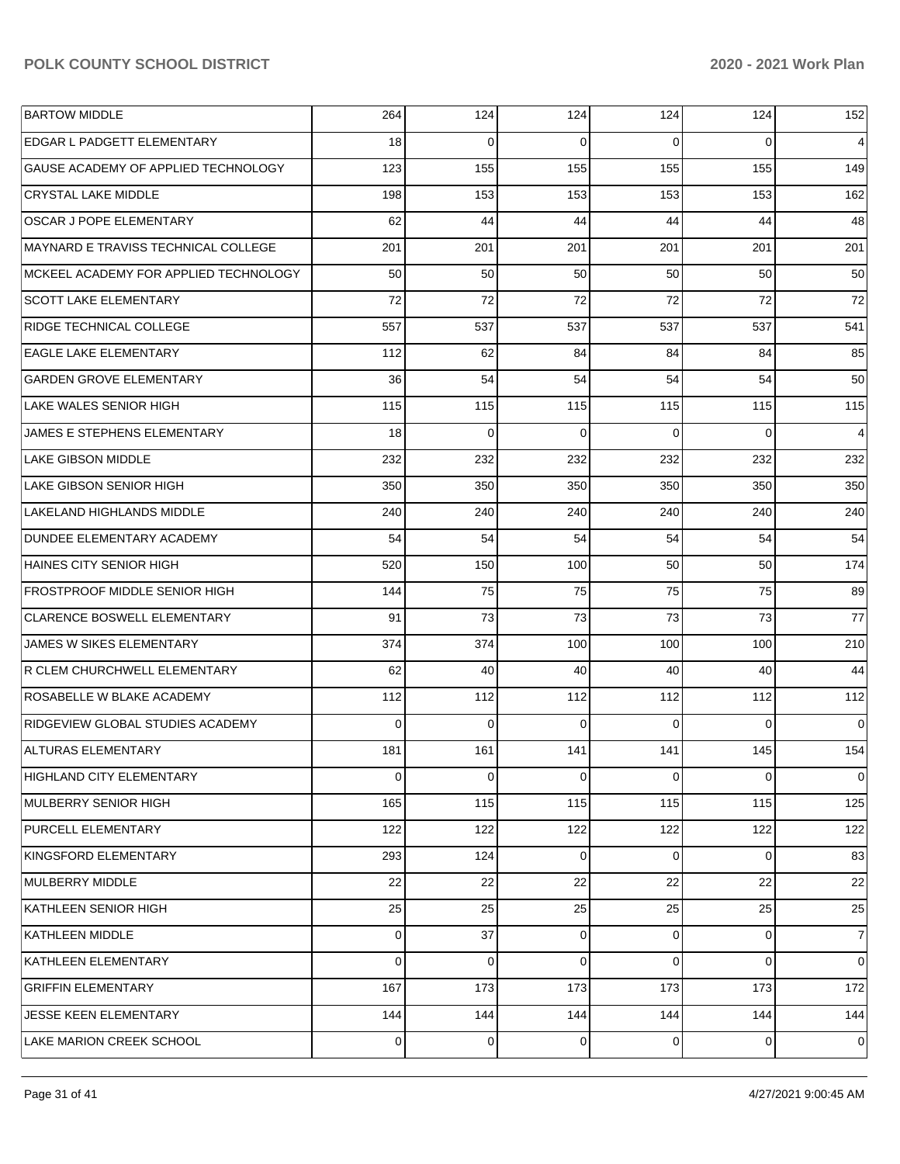| <b>BARTOW MIDDLE</b>                  | 264            | 124 | 124 | 124            | 124      | 152            |
|---------------------------------------|----------------|-----|-----|----------------|----------|----------------|
| EDGAR L PADGETT ELEMENTARY            | 18             | 0   | 0   | $\Omega$       | $\Omega$ | $\overline{4}$ |
| GAUSE ACADEMY OF APPLIED TECHNOLOGY   | 123            | 155 | 155 | 155            | 155      | 149            |
| <b>CRYSTAL LAKE MIDDLE</b>            | 198            | 153 | 153 | 153            | 153      | 162            |
| OSCAR J POPE ELEMENTARY               | 62             | 44  | 44  | 44             | 44       | 48             |
| MAYNARD E TRAVISS TECHNICAL COLLEGE   | 201            | 201 | 201 | 201            | 201      | 201            |
| MCKEEL ACADEMY FOR APPLIED TECHNOLOGY | 50             | 50  | 50  | 50             | 50       | 50             |
| <b>SCOTT LAKE ELEMENTARY</b>          | 72             | 72  | 72  | 72             | 72       | 72             |
| RIDGE TECHNICAL COLLEGE               | 557            | 537 | 537 | 537            | 537      | 541            |
| <b>EAGLE LAKE ELEMENTARY</b>          | 112            | 62  | 84  | 84             | 84       | 85             |
| <b>GARDEN GROVE ELEMENTARY</b>        | 36             | 54  | 54  | 54             | 54       | 50             |
| <b>LAKE WALES SENIOR HIGH</b>         | 115            | 115 | 115 | 115            | 115      | 115            |
| JAMES E STEPHENS ELEMENTARY           | 18             | 0   | 0   | $\Omega$       | $\Omega$ | 4              |
| <b>LAKE GIBSON MIDDLE</b>             | 232            | 232 | 232 | 232            | 232      | 232            |
| <b>LAKE GIBSON SENIOR HIGH</b>        | 350            | 350 | 350 | 350            | 350      | 350            |
| LAKELAND HIGHLANDS MIDDLE             | 240            | 240 | 240 | 240            | 240      | 240            |
| DUNDEE ELEMENTARY ACADEMY             | 54             | 54  | 54  | 54             | 54       | 54             |
| HAINES CITY SENIOR HIGH               | 520            | 150 | 100 | 50             | 50       | 174            |
| <b>FROSTPROOF MIDDLE SENIOR HIGH</b>  | 144            | 75  | 75  | 75             | 75       | 89             |
| <b>CLARENCE BOSWELL ELEMENTARY</b>    | 91             | 73  | 73  | 73             | 73       | 77             |
| JAMES W SIKES ELEMENTARY              | 374            | 374 | 100 | 100            | 100      | 210            |
| R CLEM CHURCHWELL ELEMENTARY          | 62             | 40  | 40  | 40             | 40       | 44             |
| ROSABELLE W BLAKE ACADEMY             | 112            | 112 | 112 | 112            | 112      | 112            |
| RIDGEVIEW GLOBAL STUDIES ACADEMY      | $\Omega$       | 0   | 0   | $\Omega$       | $\Omega$ | $\mathbf 0$    |
| <b>ALTURAS ELEMENTARY</b>             | 181            | 161 | 141 | 141            | 145      | 154            |
| <b>HIGHLAND CITY ELEMENTARY</b>       | 0              | 0   | 0   | 0              | 0        | $\overline{0}$ |
| MULBERRY SENIOR HIGH                  | 165            | 115 | 115 | 115            | 115      | 125            |
| PURCELL ELEMENTARY                    | 122            | 122 | 122 | 122            | 122      | 122            |
| KINGSFORD ELEMENTARY                  | 293            | 124 | 0   | $\overline{0}$ | 0        | 83             |
| MULBERRY MIDDLE                       | 22             | 22  | 22  | 22             | 22       | 22             |
| KATHLEEN SENIOR HIGH                  | 25             | 25  | 25  | 25             | 25       | 25             |
| <b>KATHLEEN MIDDLE</b>                | 0              | 37  | 0   | 0              | 0        | $\overline{7}$ |
| KATHLEEN ELEMENTARY                   | $\Omega$       | 0   | 0   | $\overline{0}$ | 0        | $\overline{0}$ |
| <b>GRIFFIN ELEMENTARY</b>             | 167            | 173 | 173 | 173            | 173      | 172            |
| JESSE KEEN ELEMENTARY                 | 144            | 144 | 144 | 144            | 144      | 144            |
| LAKE MARION CREEK SCHOOL              | $\overline{0}$ | 0   | 0   | $\overline{0}$ | 0        | 0              |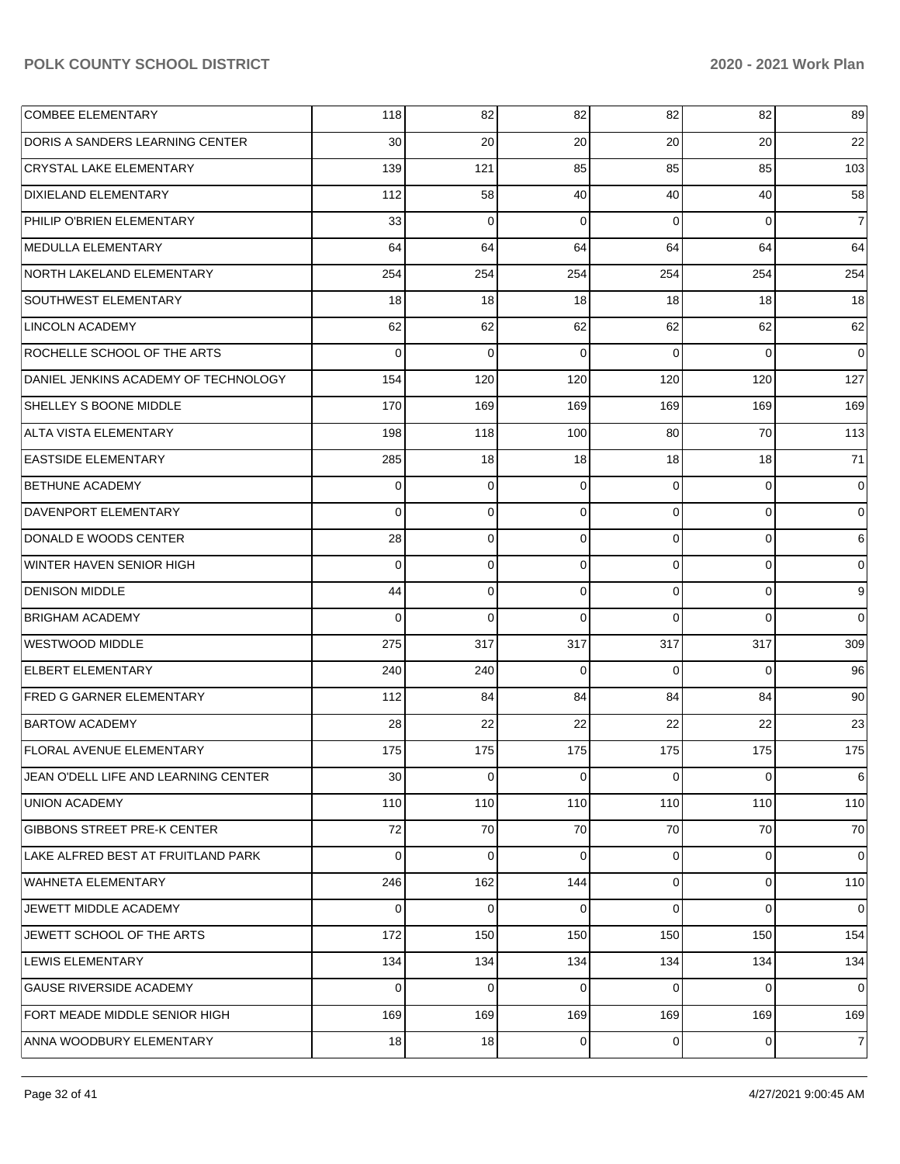| <b>COMBEE ELEMENTARY</b>             | 118         | 82             | 82       | 82             | 82          | 89             |
|--------------------------------------|-------------|----------------|----------|----------------|-------------|----------------|
| DORIS A SANDERS LEARNING CENTER      | 30          | 20             | 20       | 20             | 20          | 22             |
| <b>CRYSTAL LAKE ELEMENTARY</b>       | 139         | 121            | 85       | 85             | 85          | 103            |
| <b>DIXIELAND ELEMENTARY</b>          | 112         | 58             | 40       | 40             | 40          | 58             |
| PHILIP O'BRIEN ELEMENTARY            | 33          | 0              | 0        | $\Omega$       | $\Omega$    | $\overline{7}$ |
| MEDULLA ELEMENTARY                   | 64          | 64             | 64       | 64             | 64          | 64             |
| NORTH LAKELAND ELEMENTARY            | 254         | 254            | 254      | 254            | 254         | 254            |
| <b>SOUTHWEST ELEMENTARY</b>          | 18          | 18             | 18       | 18             | 18          | 18             |
| <b>LINCOLN ACADEMY</b>               | 62          | 62             | 62       | 62             | 62          | 62             |
| ROCHELLE SCHOOL OF THE ARTS          | $\Omega$    | $\mathbf 0$    | $\Omega$ | $\Omega$       | $\Omega$    | $\mathbf 0$    |
| DANIEL JENKINS ACADEMY OF TECHNOLOGY | 154         | 120            | 120      | 120            | 120         | 127            |
| SHELLEY S BOONE MIDDLE               | 170         | 169            | 169      | 169            | 169         | 169            |
| ALTA VISTA ELEMENTARY                | 198         | 118            | 100      | 80             | 70          | 113            |
| <b>EASTSIDE ELEMENTARY</b>           | 285         | 18             | 18       | 18             | 18          | 71             |
| <b>BETHUNE ACADEMY</b>               | 0           | 0              | 0        | $\Omega$       | $\mathbf 0$ | $\mathbf 0$    |
| DAVENPORT ELEMENTARY                 | $\Omega$    | $\mathbf 0$    | 0        | $\Omega$       | $\mathbf 0$ | 0              |
| DONALD E WOODS CENTER                | 28          | $\mathbf 0$    | 0        | $\Omega$       | $\Omega$    | 6              |
| WINTER HAVEN SENIOR HIGH             | 0           | $\mathbf 0$    | 0        | $\Omega$       | $\mathbf 0$ | 0              |
| <b>DENISON MIDDLE</b>                | 44          | 0              | 0        | $\Omega$       | $\Omega$    | 9              |
| <b>BRIGHAM ACADEMY</b>               | $\Omega$    | $\mathbf 0$    | $\Omega$ | 0              | $\Omega$    | $\mathbf 0$    |
| WESTWOOD MIDDLE                      | 275         | 317            | 317      | 317            | 317         | 309            |
| <b>ELBERT ELEMENTARY</b>             | 240         | 240            | 0        | $\Omega$       | $\Omega$    | 96             |
| <b>FRED G GARNER ELEMENTARY</b>      | 112         | 84             | 84       | 84             | 84          | 90             |
| <b>BARTOW ACADEMY</b>                | 28          | 22             | 22       | 22             | 22          | 23             |
| <b>FLORAL AVENUE ELEMENTARY</b>      | 175         | 175            | 175      | 175            | 175         | 175            |
| JEAN O'DELL LIFE AND LEARNING CENTER | 30          | $\overline{0}$ | 0        | $\overline{0}$ | 0           | 6              |
| <b>UNION ACADEMY</b>                 | 110         | 110            | 110      | 110            | 110         | 110            |
| <b>GIBBONS STREET PRE-K CENTER</b>   | 72          | 70             | 70       | 70             | 70          | 70             |
| LAKE ALFRED BEST AT FRUITLAND PARK   | $\mathbf 0$ | $\mathbf 0$    | $\Omega$ | $\overline{0}$ | $\mathbf 0$ | $\mathbf 0$    |
| <b>WAHNETA ELEMENTARY</b>            | 246         | 162            | 144      | $\overline{0}$ | $\mathbf 0$ | 110            |
| JEWETT MIDDLE ACADEMY                | $\mathbf 0$ | $\mathbf 0$    | $\Omega$ | $\Omega$       | $\mathbf 0$ | $\mathbf 0$    |
| JEWETT SCHOOL OF THE ARTS            | 172         | 150            | 150      | 150            | 150         | 154            |
| LEWIS ELEMENTARY                     | 134         | 134            | 134      | 134            | 134         | 134            |
| <b>GAUSE RIVERSIDE ACADEMY</b>       | $\mathbf 0$ | $\mathbf 0$    | 0        | $\Omega$       | $\mathbf 0$ | $\mathbf 0$    |
| FORT MEADE MIDDLE SENIOR HIGH        | 169         | 169            | 169      | 169            | 169         | 169            |
| ANNA WOODBURY ELEMENTARY             | 18          | 18             | 0        | $\overline{0}$ | 0           | 7              |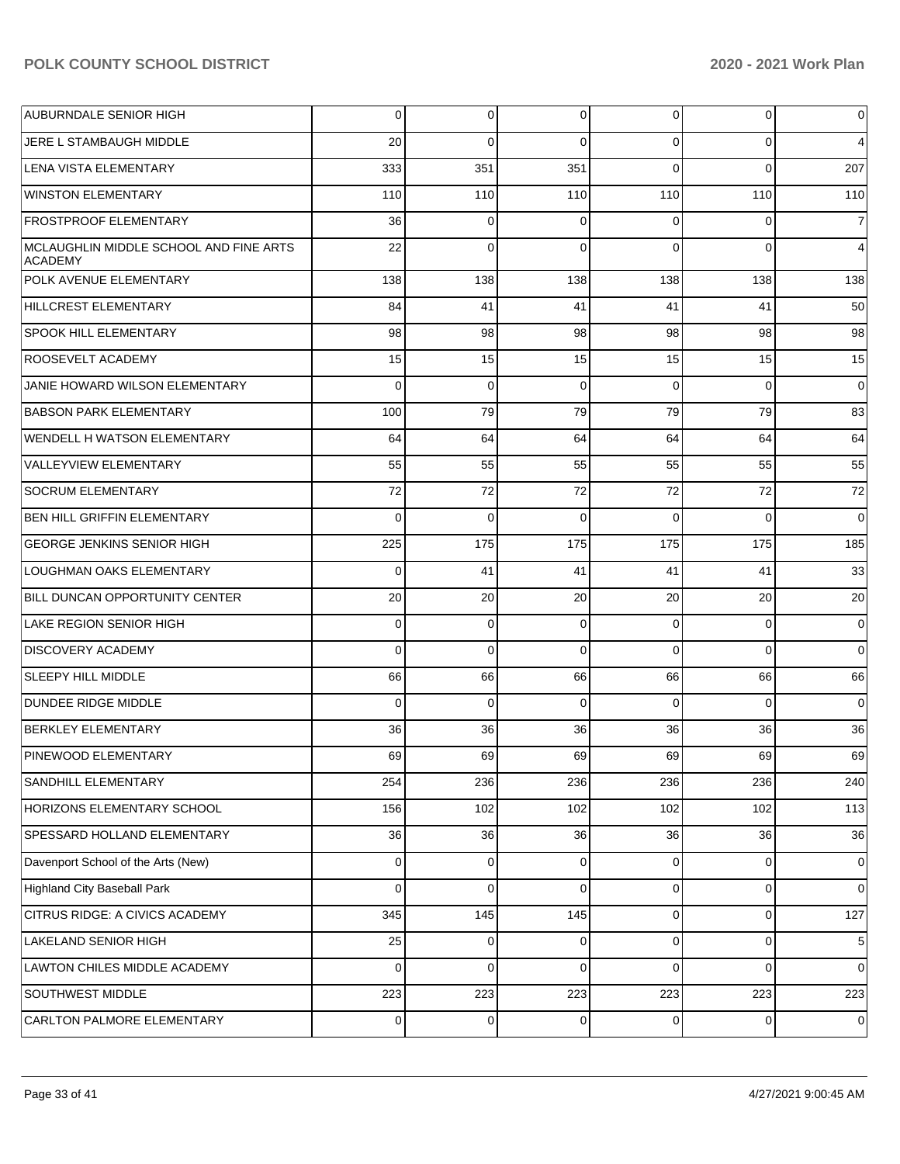| <b>AUBURNDALE SENIOR HIGH</b>                      | $\overline{0}$ | 0           | 0        | $\overline{0}$ | 0           | $\overline{0}$ |
|----------------------------------------------------|----------------|-------------|----------|----------------|-------------|----------------|
| JERE L STAMBAUGH MIDDLE                            | 20             | $\Omega$    | $\Omega$ | $\Omega$       | $\Omega$    | 4              |
| LENA VISTA ELEMENTARY                              | 333            | 351         | 351      | $\Omega$       | $\Omega$    | 207            |
| <b>WINSTON ELEMENTARY</b>                          | 110            | 110         | 110      | 110            | 110         | 110            |
| <b>FROSTPROOF ELEMENTARY</b>                       | 36             | $\mathbf 0$ | 0        | $\Omega$       | $\Omega$    | $\overline{7}$ |
| MCLAUGHLIN MIDDLE SCHOOL AND FINE ARTS<br> ACADEMY | 22             | $\Omega$    | $\Omega$ | $\Omega$       | $\Omega$    | 4              |
| POLK AVENUE ELEMENTARY                             | 138            | 138         | 138      | 138            | 138         | 138            |
| <b>HILLCREST ELEMENTARY</b>                        | 84             | 41          | 41       | 41             | 41          | 50             |
| <b>SPOOK HILL ELEMENTARY</b>                       | 98             | 98          | 98       | 98             | 98          | 98             |
| <b>ROOSEVELT ACADEMY</b>                           | 15             | 15          | 15       | 15             | 15          | 15             |
| JANIE HOWARD WILSON ELEMENTARY                     | $\Omega$       | $\Omega$    | $\Omega$ | $\Omega$       | $\Omega$    | $\overline{0}$ |
| <b>BABSON PARK ELEMENTARY</b>                      | 100            | 79          | 79       | 79             | 79          | 83             |
| WENDELL H WATSON ELEMENTARY                        | 64             | 64          | 64       | 64             | 64          | 64             |
| <b>VALLEYVIEW ELEMENTARY</b>                       | 55             | 55          | 55       | 55             | 55          | 55             |
| <b>SOCRUM ELEMENTARY</b>                           | 72             | 72          | 72       | 72             | 72          | 72             |
| <b>BEN HILL GRIFFIN ELEMENTARY</b>                 | $\Omega$       | $\Omega$    | $\Omega$ | $\Omega$       | $\Omega$    | $\overline{0}$ |
| <b>GEORGE JENKINS SENIOR HIGH</b>                  | 225            | 175         | 175      | 175            | 175         | 185            |
| LOUGHMAN OAKS ELEMENTARY                           | $\Omega$       | 41          | 41       | 41             | 41          | 33             |
| BILL DUNCAN OPPORTUNITY CENTER                     | 20             | 20          | 20       | 20             | 20          | 20             |
| <b>LAKE REGION SENIOR HIGH</b>                     | $\mathbf 0$    | $\Omega$    | $\Omega$ | $\Omega$       | $\Omega$    | $\overline{0}$ |
| <b>DISCOVERY ACADEMY</b>                           | 0              | $\Omega$    | $\Omega$ | $\Omega$       | $\Omega$    | $\overline{0}$ |
| <b>SLEEPY HILL MIDDLE</b>                          | 66             | 66          | 66       | 66             | 66          | 66             |
| <b>DUNDEE RIDGE MIDDLE</b>                         | $\Omega$       | $\Omega$    | $\Omega$ | $\Omega$       | $\Omega$    | $\overline{0}$ |
| <b>BERKLEY ELEMENTARY</b>                          | 36             | 36          | 36       | 36             | 36          | 36             |
| PINEWOOD ELEMENTARY                                | 69             | 69          | 69       | 69             | 69          | 69             |
| SANDHILL ELEMENTARY                                | 254            | 236         | 236      | 236            | 236         | 240            |
| HORIZONS ELEMENTARY SCHOOL                         | 156            | 102         | 102      | 102            | 102         | 113            |
| SPESSARD HOLLAND ELEMENTARY                        | 36             | 36          | 36       | 36             | 36          | 36             |
| Davenport School of the Arts (New)                 | $\overline{0}$ | $\mathbf 0$ | 0        | $\overline{0}$ | 0           | 0              |
| <b>Highland City Baseball Park</b>                 | 0              | $\mathbf 0$ | $\Omega$ | $\overline{0}$ | 0           | $\overline{0}$ |
| CITRUS RIDGE: A CIVICS ACADEMY                     | 345            | 145         | 145      | $\overline{0}$ | $\mathbf 0$ | 127            |
| <b>LAKELAND SENIOR HIGH</b>                        | 25             | $\mathbf 0$ | $\Omega$ | $\overline{0}$ | 0           | 5              |
| LAWTON CHILES MIDDLE ACADEMY                       | $\overline{0}$ | $\mathbf 0$ | $\Omega$ | $\Omega$       | $\Omega$    | $\overline{0}$ |
| SOUTHWEST MIDDLE                                   | 223            | 223         | 223      | 223            | 223         | 223            |
| CARLTON PALMORE ELEMENTARY                         | $\overline{0}$ | $\mathbf 0$ | 0        | $\overline{0}$ | 0           | 0              |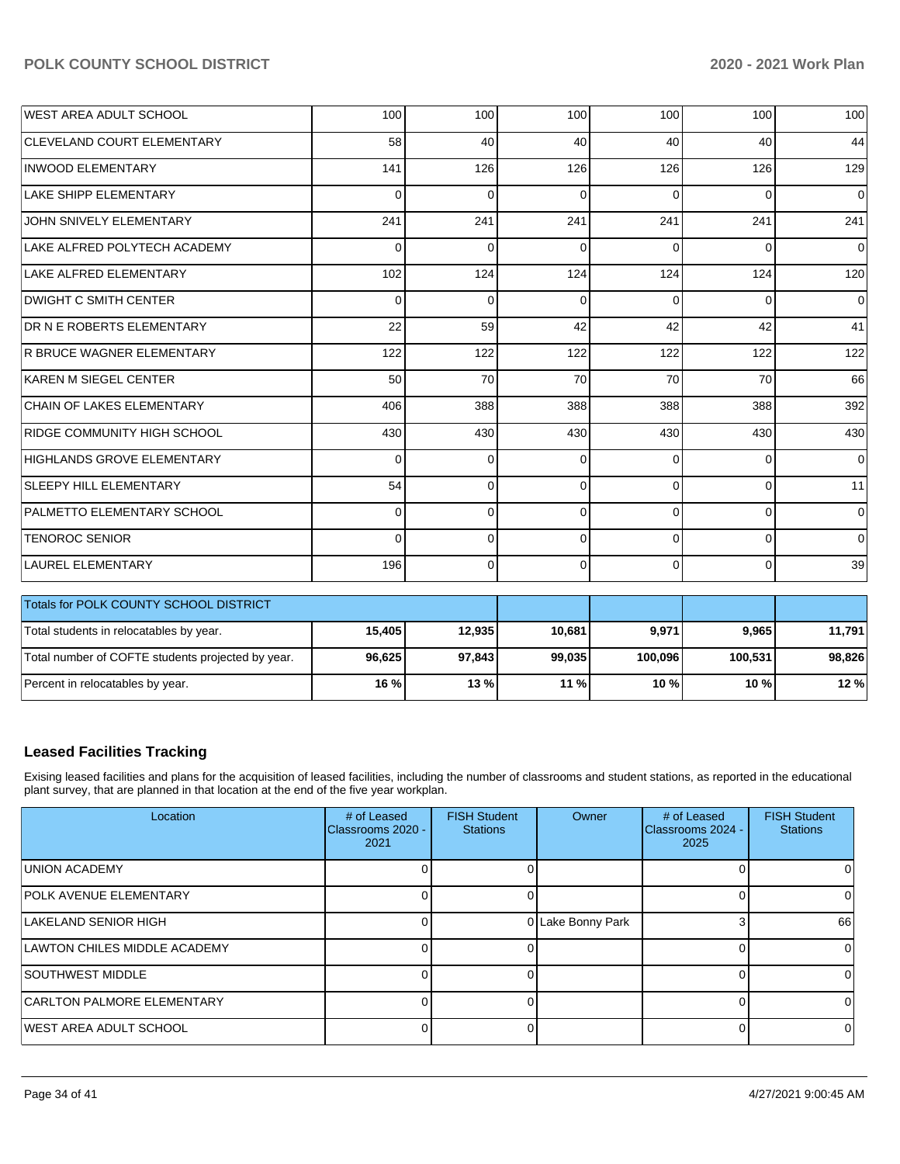| <b>WEST AREA ADULT SCHOOL</b>          | 100      | 100            | 100      | 100      | 100      | 100            |
|----------------------------------------|----------|----------------|----------|----------|----------|----------------|
| <b>CLEVELAND COURT ELEMENTARY</b>      | 58       | 40             | 40       | 40       | 40       | 44             |
| <b>INWOOD ELEMENTARY</b>               | 141      | 126            | 126      | 126      | 126      | 129            |
| LAKE SHIPP ELEMENTARY                  | $\Omega$ | $\mathbf 0$    | $\Omega$ | $\Omega$ | $\Omega$ | $\overline{0}$ |
| JOHN SNIVELY ELEMENTARY                | 241      | 241            | 241      | 241      | 241      | 241            |
| LAKE ALFRED POLYTECH ACADEMY           | $\Omega$ | $\Omega$       | $\Omega$ | $\Omega$ | $\Omega$ | $\overline{0}$ |
| LAKE ALFRED ELEMENTARY                 | 102      | 124            | 124      | 124      | 124      | 120            |
| <b>DWIGHT C SMITH CENTER</b>           | $\Omega$ | $\Omega$       | $\Omega$ | $\Omega$ | $\Omega$ | $\overline{0}$ |
| <b>DR N E ROBERTS ELEMENTARY</b>       | 22       | 59             | 42       | 42       | 42       | 41             |
| <b>R BRUCE WAGNER ELEMENTARY</b>       | 122      | 122            | 122      | 122      | 122      | 122            |
| KAREN M SIEGEL CENTER                  | 50       | 70             | 70       | 70       | 70       | 66             |
| CHAIN OF LAKES ELEMENTARY              | 406      | 388            | 388      | 388      | 388      | 392            |
| RIDGE COMMUNITY HIGH SCHOOL            | 430      | 430            | 430      | 430      | 430      | 430            |
| <b>HIGHLANDS GROVE ELEMENTARY</b>      | $\Omega$ | $\mathbf 0$    | $\Omega$ | $\Omega$ | $\Omega$ | $\overline{0}$ |
| <b>SLEEPY HILL ELEMENTARY</b>          | 54       | $\overline{0}$ | $\Omega$ | $\Omega$ | $\Omega$ | 11             |
| <b>IPALMETTO ELEMENTARY SCHOOL</b>     | $\Omega$ | $\Omega$       | $\Omega$ | $\Omega$ | $\Omega$ | $\overline{0}$ |
| <b>TENOROC SENIOR</b>                  | $\Omega$ | $\Omega$       | $\Omega$ | $\Omega$ | $\Omega$ | $\overline{0}$ |
| LAUREL ELEMENTARY                      | 196      | $\Omega$       | $\Omega$ | $\Omega$ | $\Omega$ | 39             |
| Totals for POLK COUNTY SCHOOL DISTRICT |          |                |          |          |          |                |

| <b>I TOTAIS TOP PULK COUNTY SCHOOL DISTRICT</b>   |         |        |        |         |         |        |
|---------------------------------------------------|---------|--------|--------|---------|---------|--------|
| Total students in relocatables by year.           | 15.405  | 12.935 | 10.681 | 9,971   | 9.965   | 11.791 |
| Total number of COFTE students projected by year. | 96,625  | 97,843 | 99.035 | 100.096 | 100.531 | 98.826 |
| Percent in relocatables by year.                  | $16 \%$ | 13%    | $11\%$ | $10 \%$ | 10 %    | 12%    |

# **Leased Facilities Tracking**

Exising leased facilities and plans for the acquisition of leased facilities, including the number of classrooms and student stations, as reported in the educational plant survey, that are planned in that location at the end of the five year workplan.

| Location                          | # of Leased<br><b>IClassrooms 2020 -</b><br>2021 | <b>FISH Student</b><br><b>Stations</b> | Owner             | # of Leased<br>Classrooms 2024 -<br>2025 | <b>FISH Student</b><br><b>Stations</b> |
|-----------------------------------|--------------------------------------------------|----------------------------------------|-------------------|------------------------------------------|----------------------------------------|
| <b>UNION ACADEMY</b>              |                                                  |                                        |                   |                                          |                                        |
| <b>POLK AVENUE ELEMENTARY</b>     |                                                  |                                        |                   |                                          | 0                                      |
| LAKELAND SENIOR HIGH              |                                                  |                                        | 0 Lake Bonny Park |                                          | 66                                     |
| LAWTON CHILES MIDDLE ACADEMY      |                                                  |                                        |                   |                                          |                                        |
| <b>SOUTHWEST MIDDLE</b>           |                                                  |                                        |                   |                                          |                                        |
| <b>CARLTON PALMORE ELEMENTARY</b> |                                                  |                                        |                   |                                          |                                        |
| <b>IWEST AREA ADULT SCHOOL</b>    |                                                  |                                        |                   |                                          | 0                                      |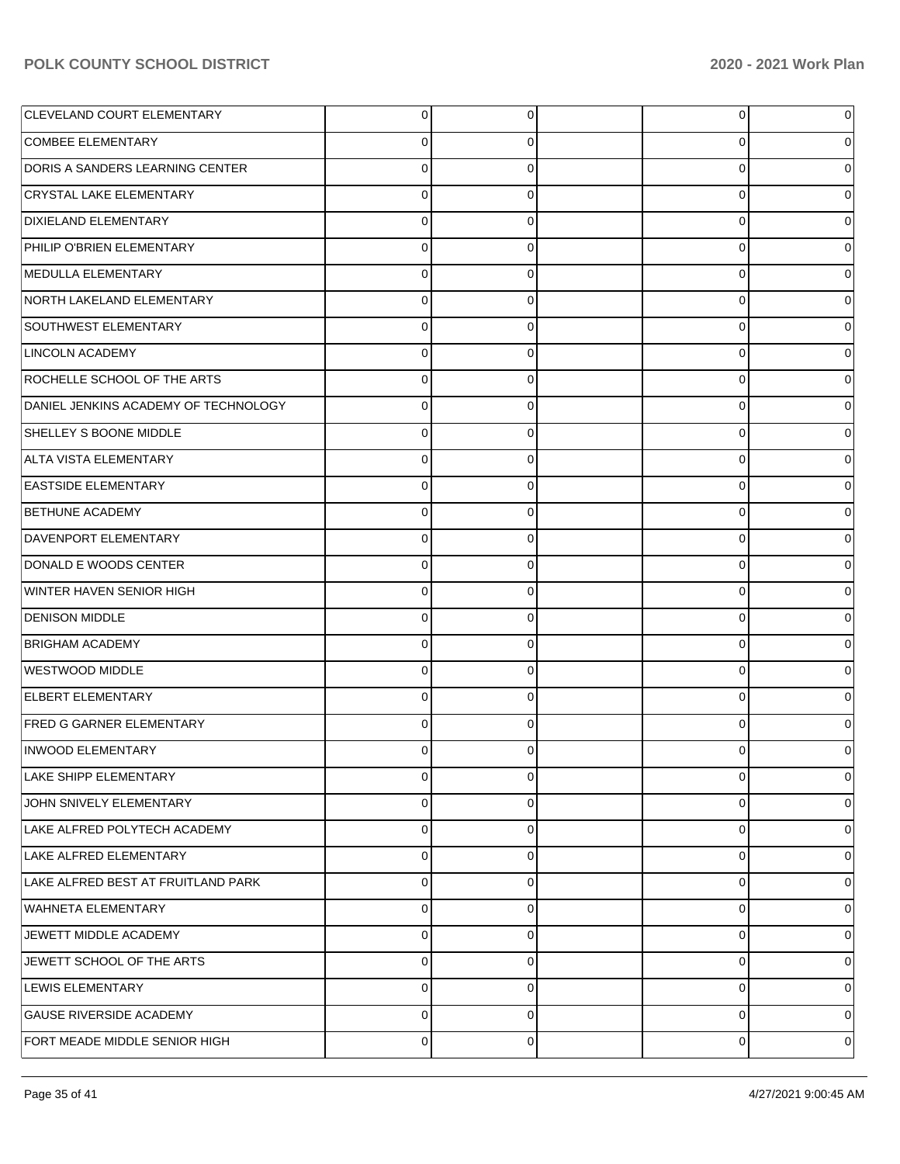| <b>CLEVELAND COURT ELEMENTARY</b>    | $\overline{0}$ | $\overline{0}$ | 0              | 0           |
|--------------------------------------|----------------|----------------|----------------|-------------|
| <b>COMBEE ELEMENTARY</b>             | 0              | 0              | 0              | 0           |
| DORIS A SANDERS LEARNING CENTER      | $\Omega$       | 0              | 0              | 0           |
| CRYSTAL LAKE ELEMENTARY              | 0              | 0              | 0              | 0           |
| <b>DIXIELAND ELEMENTARY</b>          | $\Omega$       | 0              | 0              | 0           |
| PHILIP O'BRIEN ELEMENTARY            | 0              | 0              | 0              | 0           |
| MEDULLA ELEMENTARY                   | $\Omega$       | 0              | 0              | 0           |
| NORTH LAKELAND ELEMENTARY            | 0              | 0              | 0              | 0           |
| SOUTHWEST ELEMENTARY                 | $\Omega$       | 0              | 0              | 0           |
| <b>LINCOLN ACADEMY</b>               | 0              | 0              | 0              | 0           |
| ROCHELLE SCHOOL OF THE ARTS          | $\Omega$       | 0              | 0              | 0           |
| DANIEL JENKINS ACADEMY OF TECHNOLOGY | $\Omega$       | 0              | 0              | 0           |
| SHELLEY S BOONE MIDDLE               | $\Omega$       | 0              | 0              | 0           |
| ALTA VISTA ELEMENTARY                | $\Omega$       | 0              | 0              | 0           |
| <b>EASTSIDE ELEMENTARY</b>           | 0              | 0              | 0              | 0           |
| <b>BETHUNE ACADEMY</b>               | 0              | 0              | 0              | 0           |
| DAVENPORT ELEMENTARY                 | $\Omega$       | 0              | 0              | 0           |
| DONALD E WOODS CENTER                | $\Omega$       | 0              | 0              | 0           |
| WINTER HAVEN SENIOR HIGH             | $\Omega$       | 0              | 0              | 0           |
| <b>DENISON MIDDLE</b>                | $\Omega$       | 0              | 0              | 0           |
| <b>BRIGHAM ACADEMY</b>               | 0              | 0              | 0              | 0           |
| WESTWOOD MIDDLE                      | $\Omega$       | 0              | 0              | 0           |
| <b>ELBERT ELEMENTARY</b>             | 0              | 0              | 0              | 0           |
| <b>FRED G GARNER ELEMENTARY</b>      | $\Omega$       | $\Omega$       | 0              |             |
| <b>INWOOD ELEMENTARY</b>             |                | 0              | ŋ              | 0           |
| <b>LAKE SHIPP ELEMENTARY</b>         | $\overline{0}$ | $\overline{0}$ | $\overline{0}$ | 0           |
| JOHN SNIVELY ELEMENTARY              | $\Omega$       | $\Omega$       | 0              | 0           |
| LAKE ALFRED POLYTECH ACADEMY         | $\Omega$       | $\Omega$       | 0              | $\mathbf 0$ |
| LAKE ALFRED ELEMENTARY               | $\Omega$       | $\Omega$       | 0              | 0           |
| LAKE ALFRED BEST AT FRUITLAND PARK   | $\Omega$       | $\Omega$       | 0              | 0           |
| <b>WAHNETA ELEMENTARY</b>            | $\Omega$       | $\Omega$       | 0              | 0           |
| JEWETT MIDDLE ACADEMY                | $\Omega$       | $\Omega$       | 0              | 0           |
| JEWETT SCHOOL OF THE ARTS            | $\Omega$       | $\Omega$       | 0              | 0           |
| <b>LEWIS ELEMENTARY</b>              | $\Omega$       | $\Omega$       | 0              | $\mathbf 0$ |
| <b>GAUSE RIVERSIDE ACADEMY</b>       | $\Omega$       | $\Omega$       | 0              | 0           |
| FORT MEADE MIDDLE SENIOR HIGH        | 0              | 0              | 0              | 0           |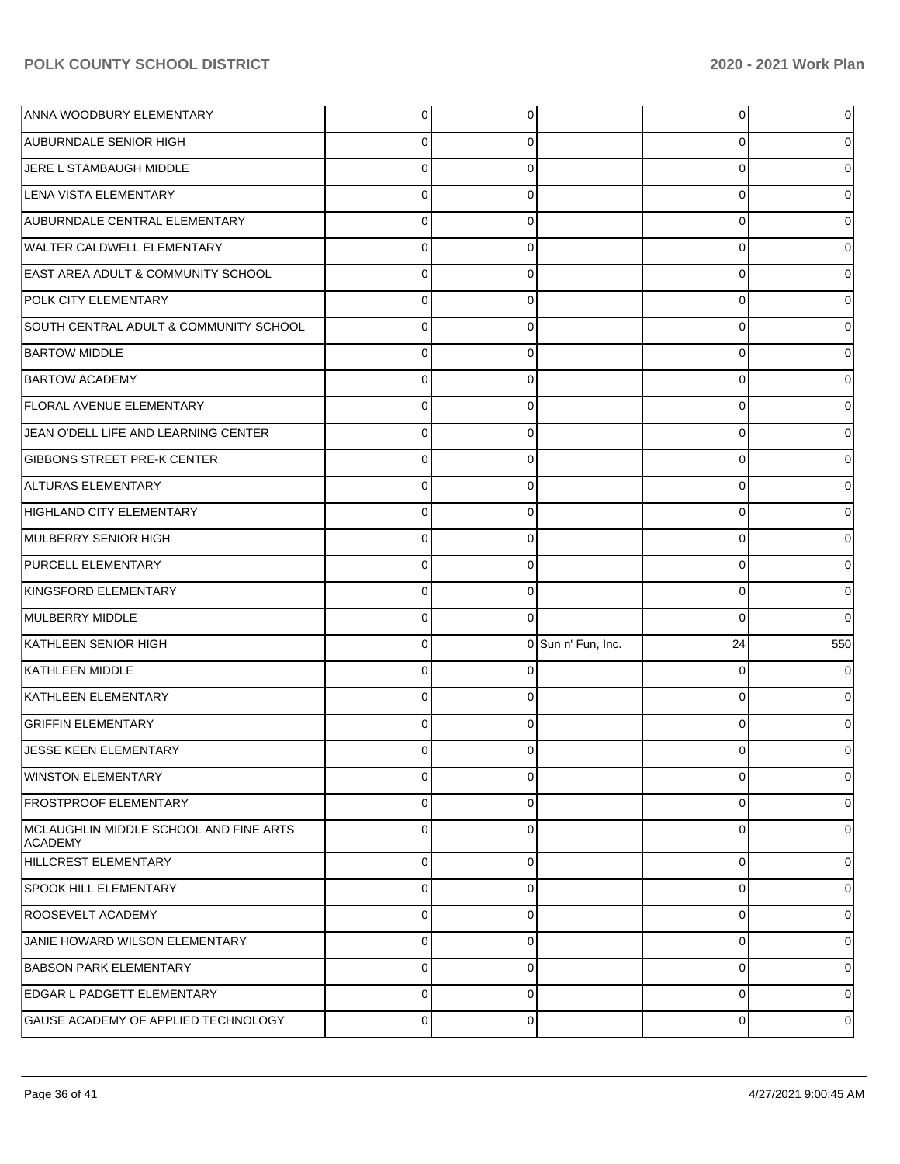| ANNA WOODBURY ELEMENTARY                          | $\overline{0}$ | 0              |                    | 0        | $\overline{0}$ |
|---------------------------------------------------|----------------|----------------|--------------------|----------|----------------|
| <b>AUBURNDALE SENIOR HIGH</b>                     | $\Omega$       | 0              |                    | 0        | $\overline{0}$ |
| JERE L STAMBAUGH MIDDLE                           | $\Omega$       | $\Omega$       |                    | 0        | $\overline{0}$ |
| LENA VISTA ELEMENTARY                             | $\Omega$       | $\Omega$       |                    | 0        | $\overline{0}$ |
| AUBURNDALE CENTRAL ELEMENTARY                     | $\Omega$       | $\Omega$       |                    | 0        | $\overline{0}$ |
| <b>WALTER CALDWELL ELEMENTARY</b>                 | $\Omega$       | 0              |                    | 0        | $\overline{0}$ |
| <b>EAST AREA ADULT &amp; COMMUNITY SCHOOL</b>     | $\Omega$       | $\Omega$       |                    | 0        | $\overline{0}$ |
| POLK CITY ELEMENTARY                              | $\Omega$       | 0              |                    | 0        | $\overline{0}$ |
| SOUTH CENTRAL ADULT & COMMUNITY SCHOOL            | $\Omega$       | $\Omega$       |                    | 0        | $\overline{0}$ |
| <b>BARTOW MIDDLE</b>                              | $\Omega$       | $\Omega$       |                    | 0        | $\overline{0}$ |
| <b>BARTOW ACADEMY</b>                             | $\Omega$       | $\Omega$       |                    | 0        | $\overline{0}$ |
| <b>FLORAL AVENUE ELEMENTARY</b>                   | $\Omega$       | 0              |                    | 0        | $\overline{0}$ |
| JEAN O'DELL LIFE AND LEARNING CENTER              | $\Omega$       | $\Omega$       |                    | 0        | $\overline{0}$ |
| <b>GIBBONS STREET PRE-K CENTER</b>                | $\Omega$       | 0              |                    | 0        | $\overline{0}$ |
| ALTURAS ELEMENTARY                                | $\Omega$       | $\Omega$       |                    | 0        | $\overline{0}$ |
| HIGHLAND CITY ELEMENTARY                          | $\Omega$       | $\Omega$       |                    | 0        | $\overline{0}$ |
| MULBERRY SENIOR HIGH                              | $\Omega$       | $\Omega$       |                    | 0        | $\overline{0}$ |
| <b>PURCELL ELEMENTARY</b>                         | $\Omega$       | 0              |                    | 0        | $\overline{0}$ |
| KINGSFORD ELEMENTARY                              | $\Omega$       | $\Omega$       |                    | 0        | $\overline{0}$ |
| MULBERRY MIDDLE                                   | $\Omega$       | $\Omega$       |                    | 0        | $\overline{0}$ |
| KATHLEEN SENIOR HIGH                              | $\mathbf 0$    |                | 0 Sun n' Fun, Inc. | 24       | 550            |
| KATHLEEN MIDDLE                                   | $\Omega$       | 0              |                    | 0        | $\overline{0}$ |
| KATHLEEN ELEMENTARY                               | $\Omega$       | $\Omega$       |                    | 0        | $\overline{0}$ |
| <b>GRIFFIN ELEMENTARY</b>                         | $\Omega$       | 0              |                    | 0        | $\overline{0}$ |
| JESSE KEEN ELEMENTARY                             | $\Omega$       | 0              |                    | O        | 0              |
| <b>WINSTON ELEMENTARY</b>                         | $\mathbf 0$    | $\overline{0}$ |                    | 0        | 0              |
| <b>FROSTPROOF ELEMENTARY</b>                      | $\mathbf 0$    | $\Omega$       |                    | 0        | $\overline{0}$ |
| MCLAUGHLIN MIDDLE SCHOOL AND FINE ARTS<br>ACADEMY | $\Omega$       | $\Omega$       |                    | $\Omega$ | $\overline{0}$ |
| <b>HILLCREST ELEMENTARY</b>                       | $\Omega$       | $\Omega$       |                    | $\Omega$ | $\overline{0}$ |
| <b>SPOOK HILL ELEMENTARY</b>                      | $\Omega$       | $\Omega$       |                    | $\Omega$ | $\overline{0}$ |
| <b>ROOSEVELT ACADEMY</b>                          | $\Omega$       | $\Omega$       |                    | $\Omega$ | $\overline{0}$ |
| JANIE HOWARD WILSON ELEMENTARY                    | $\Omega$       | $\Omega$       |                    | $\Omega$ | $\overline{0}$ |
| <b>BABSON PARK ELEMENTARY</b>                     | $\Omega$       | $\Omega$       |                    | $\Omega$ | $\overline{0}$ |
| <b>EDGAR L PADGETT ELEMENTARY</b>                 | $\Omega$       | $\Omega$       |                    | $\Omega$ | $\overline{0}$ |
|                                                   |                |                |                    |          |                |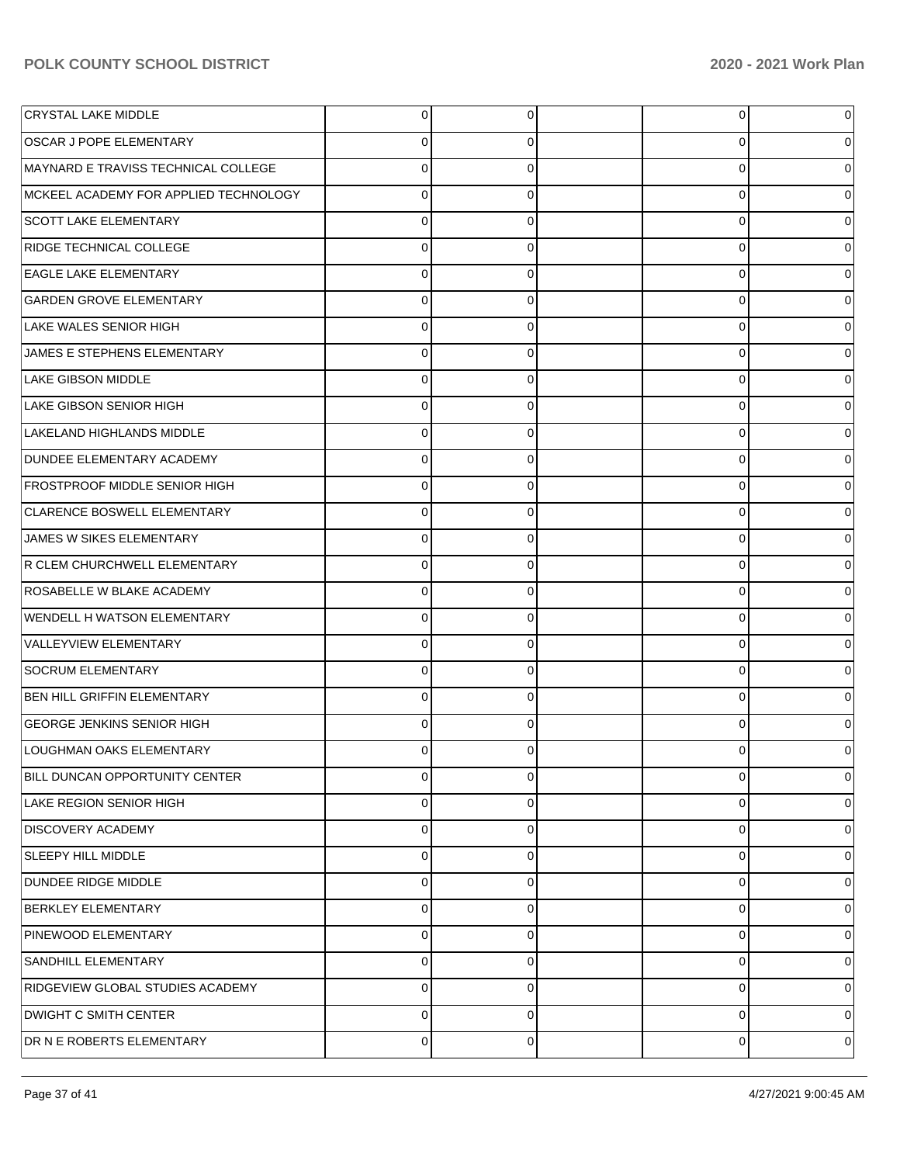| <b>CRYSTAL LAKE MIDDLE</b>            | $\overline{0}$ | 0        | 0        | 0              |
|---------------------------------------|----------------|----------|----------|----------------|
| <b>OSCAR J POPE ELEMENTARY</b>        | 0              | 0        | O        |                |
| MAYNARD E TRAVISS TECHNICAL COLLEGE   | $\mathbf 0$    | $\Omega$ | $\Omega$ | 0              |
| MCKEEL ACADEMY FOR APPLIED TECHNOLOGY | $\mathbf 0$    | 0        | 0        | 0              |
| <b>SCOTT LAKE ELEMENTARY</b>          | $\mathbf 0$    | $\Omega$ | 0        | 0              |
| RIDGE TECHNICAL COLLEGE               | $\mathbf 0$    | ∩        | 0        | 0              |
| <b>EAGLE LAKE ELEMENTARY</b>          | $\mathbf 0$    | $\Omega$ | 0        | O              |
| <b>GARDEN GROVE ELEMENTARY</b>        | $\mathbf 0$    | 0        | 0        | 0              |
| LAKE WALES SENIOR HIGH                | $\mathbf 0$    | $\Omega$ | 0        | O              |
| JAMES E STEPHENS ELEMENTARY           | $\mathbf 0$    | 0        | 0        | 0              |
| <b>LAKE GIBSON MIDDLE</b>             | $\mathbf 0$    | $\Omega$ | 0        | 0              |
| LAKE GIBSON SENIOR HIGH               | $\mathbf 0$    | 0        | 0        | 0              |
| LAKELAND HIGHLANDS MIDDLE             | $\mathbf 0$    | $\Omega$ | 0        | 0              |
| DUNDEE ELEMENTARY ACADEMY             | $\mathbf 0$    | 0        | 0        | 0              |
| <b>FROSTPROOF MIDDLE SENIOR HIGH</b>  | $\mathbf 0$    | ∩        | 0        | O              |
| <b>CLARENCE BOSWELL ELEMENTARY</b>    | $\mathbf 0$    | 0        | 0        | 0              |
| JAMES W SIKES ELEMENTARY              | $\mathbf 0$    | ∩        | 0        | 0              |
| R CLEM CHURCHWELL ELEMENTARY          | $\mathbf 0$    | 0        | 0        | 0              |
| <b>ROSABELLE W BLAKE ACADEMY</b>      | $\mathbf 0$    | $\Omega$ | 0        | 0              |
| <b>WENDELL H WATSON ELEMENTARY</b>    | $\mathbf 0$    | 0        | 0        | 0              |
| VALLEYVIEW ELEMENTARY                 | $\mathbf 0$    | ∩        | 0        | 0              |
| <b>SOCRUM ELEMENTARY</b>              | $\mathbf 0$    | ∩        | 0        | 0              |
| <b>BEN HILL GRIFFIN ELEMENTARY</b>    | $\mathbf 0$    | ∩        | 0        |                |
| <b>GEORGE JENKINS SENIOR HIGH</b>     | $\mathbf 0$    | ∩        | 0        |                |
| LOUGHMAN OAKS ELEMENTARY              | 0              |          |          | 0              |
| BILL DUNCAN OPPORTUNITY CENTER        | $\mathbf 0$    | 0        | 0        | $\overline{0}$ |
| <b>LAKE REGION SENIOR HIGH</b>        | 0              | 0        | 0        | 0              |
| <b>DISCOVERY ACADEMY</b>              | 0              | $\Omega$ | 0        | 0              |
| <b>SLEEPY HILL MIDDLE</b>             | 0              | 0        | 0        | $\overline{0}$ |
| DUNDEE RIDGE MIDDLE                   | 0              | 0        | 0        | 0              |
| <b>BERKLEY ELEMENTARY</b>             | 0              | 0        | 0        | $\overline{0}$ |
| PINEWOOD ELEMENTARY                   | 0              | $\Omega$ | $\Omega$ | 0              |
| <b>SANDHILL ELEMENTARY</b>            | $\pmb{0}$      | 0        | 0        | $\overline{0}$ |
| RIDGEVIEW GLOBAL STUDIES ACADEMY      | $\pmb{0}$      | 0        | 0        | 0              |
| <b>DWIGHT C SMITH CENTER</b>          | $\pmb{0}$      | 0        | 0        | $\overline{0}$ |
| DR N E ROBERTS ELEMENTARY             | $\mathbf 0$    | 0        | 0        | 0              |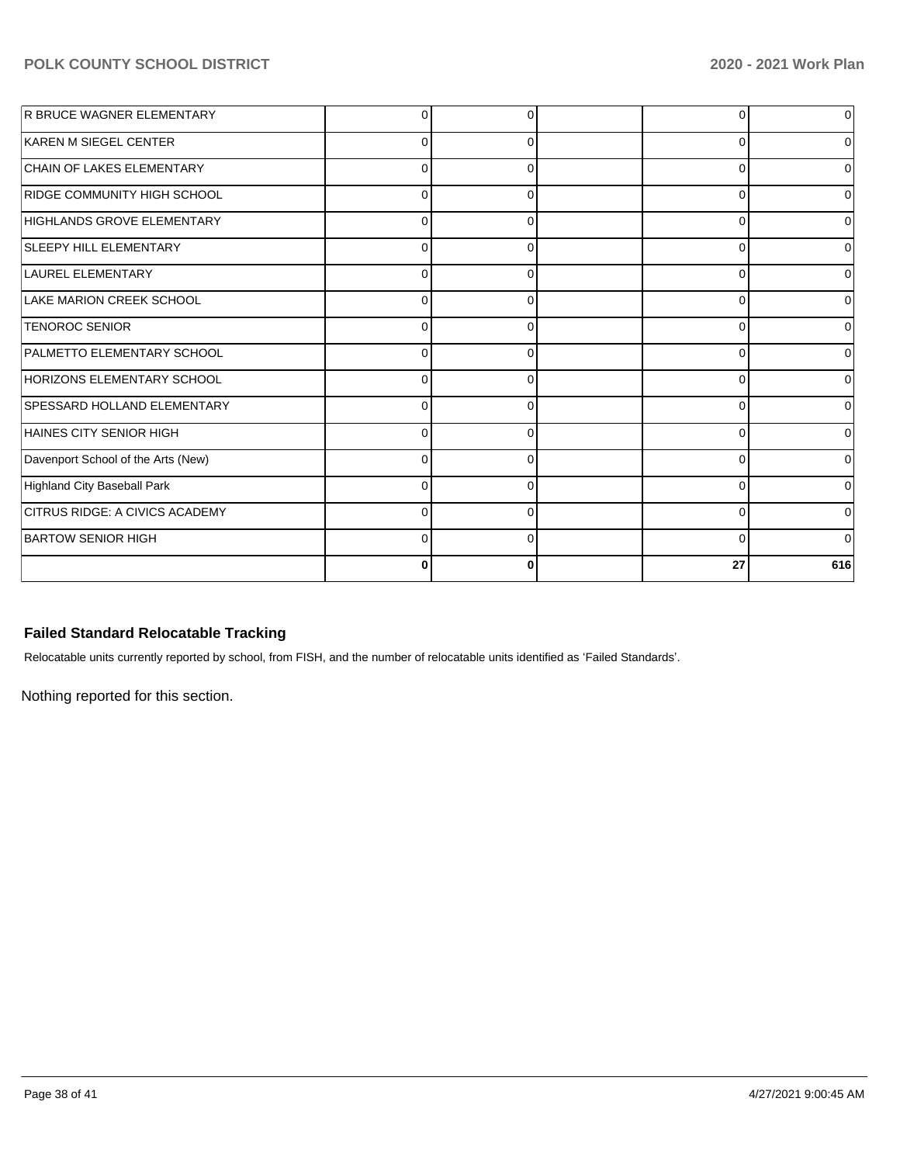| R BRUCE WAGNER ELEMENTARY          | 0           |          |          | $\overline{0}$ |
|------------------------------------|-------------|----------|----------|----------------|
| KAREN M SIEGEL CENTER              | $\Omega$    |          | ∩        | $\overline{0}$ |
| CHAIN OF LAKES ELEMENTARY          | $\mathbf 0$ | $\Omega$ | $\Omega$ | $\overline{0}$ |
| <b>RIDGE COMMUNITY HIGH SCHOOL</b> | $\Omega$    |          | U        | 0              |
| HIGHLANDS GROVE ELEMENTARY         | 0           |          | n        | 0              |
| <b>SLEEPY HILL ELEMENTARY</b>      | 0           | C        | ∩        | $\overline{0}$ |
| LAUREL ELEMENTARY                  | $\Omega$    | n        | ∩        | $\Omega$       |
| LAKE MARION CREEK SCHOOL           | $\Omega$    | ſ        | n        | 0              |
| <b>TENOROC SENIOR</b>              | $\Omega$    |          | O        | $\Omega$       |
| <b>PALMETTO ELEMENTARY SCHOOL</b>  | $\Omega$    |          | O        | $\overline{0}$ |
| HORIZONS ELEMENTARY SCHOOL         | $\Omega$    |          | U        | $\Omega$       |
| SPESSARD HOLLAND ELEMENTARY        | $\mathbf 0$ |          | n        | $\overline{0}$ |
| HAINES CITY SENIOR HIGH            | 0           |          | O        | $\overline{0}$ |
| Davenport School of the Arts (New) | $\Omega$    |          | n        | $\overline{0}$ |
| <b>Highland City Baseball Park</b> | $\Omega$    |          | $\Omega$ | $\overline{0}$ |
| CITRUS RIDGE: A CIVICS ACADEMY     | $\Omega$    | $\Omega$ | $\Omega$ | $\overline{0}$ |
| <b>BARTOW SENIOR HIGH</b>          | $\mathbf 0$ | ∩        | $\Omega$ | $\Omega$       |
|                                    | 0           |          | 27       | 616            |

# **Failed Standard Relocatable Tracking**

Relocatable units currently reported by school, from FISH, and the number of relocatable units identified as 'Failed Standards'.

Nothing reported for this section.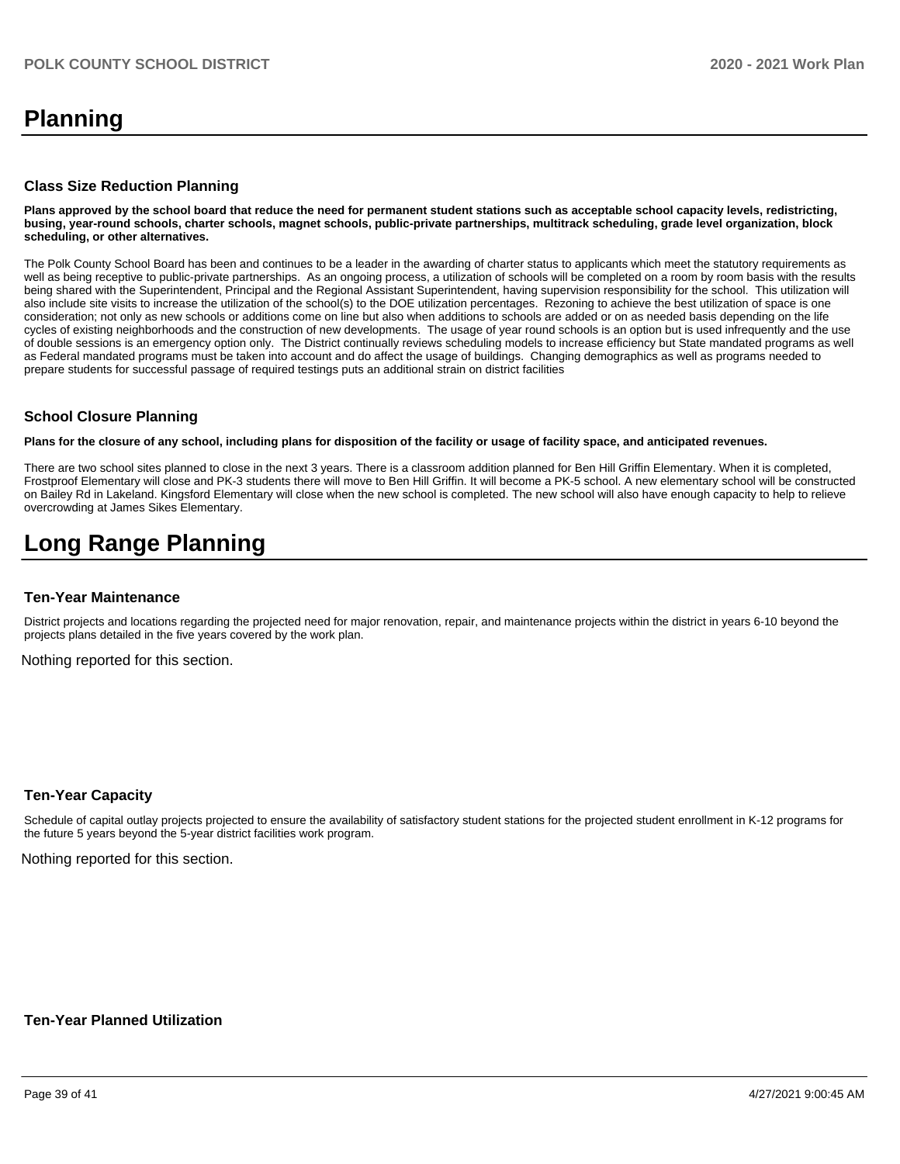# **Planning**

#### **Class Size Reduction Planning**

**Plans approved by the school board that reduce the need for permanent student stations such as acceptable school capacity levels, redistricting, busing, year-round schools, charter schools, magnet schools, public-private partnerships, multitrack scheduling, grade level organization, block scheduling, or other alternatives.**

The Polk County School Board has been and continues to be a leader in the awarding of charter status to applicants which meet the statutory requirements as well as being receptive to public-private partnerships. As an ongoing process, a utilization of schools will be completed on a room by room basis with the results being shared with the Superintendent, Principal and the Regional Assistant Superintendent, having supervision responsibility for the school. This utilization will also include site visits to increase the utilization of the school(s) to the DOE utilization percentages. Rezoning to achieve the best utilization of space is one consideration; not only as new schools or additions come on line but also when additions to schools are added or on as needed basis depending on the life cycles of existing neighborhoods and the construction of new developments. The usage of year round schools is an option but is used infrequently and the use of double sessions is an emergency option only. The District continually reviews scheduling models to increase efficiency but State mandated programs as well as Federal mandated programs must be taken into account and do affect the usage of buildings. Changing demographics as well as programs needed to prepare students for successful passage of required testings puts an additional strain on district facilities

#### **School Closure Planning**

**Plans for the closure of any school, including plans for disposition of the facility or usage of facility space, and anticipated revenues.** 

There are two school sites planned to close in the next 3 years. There is a classroom addition planned for Ben Hill Griffin Elementary. When it is completed, Frostproof Elementary will close and PK-3 students there will move to Ben Hill Griffin. It will become a PK-5 school. A new elementary school will be constructed on Bailey Rd in Lakeland. Kingsford Elementary will close when the new school is completed. The new school will also have enough capacity to help to relieve overcrowding at James Sikes Elementary.

# **Long Range Planning**

#### **Ten-Year Maintenance**

District projects and locations regarding the projected need for major renovation, repair, and maintenance projects within the district in years 6-10 beyond the projects plans detailed in the five years covered by the work plan.

Nothing reported for this section.

#### **Ten-Year Capacity**

Schedule of capital outlay projects projected to ensure the availability of satisfactory student stations for the projected student enrollment in K-12 programs for the future 5 years beyond the 5-year district facilities work program.

Nothing reported for this section.

#### **Ten-Year Planned Utilization**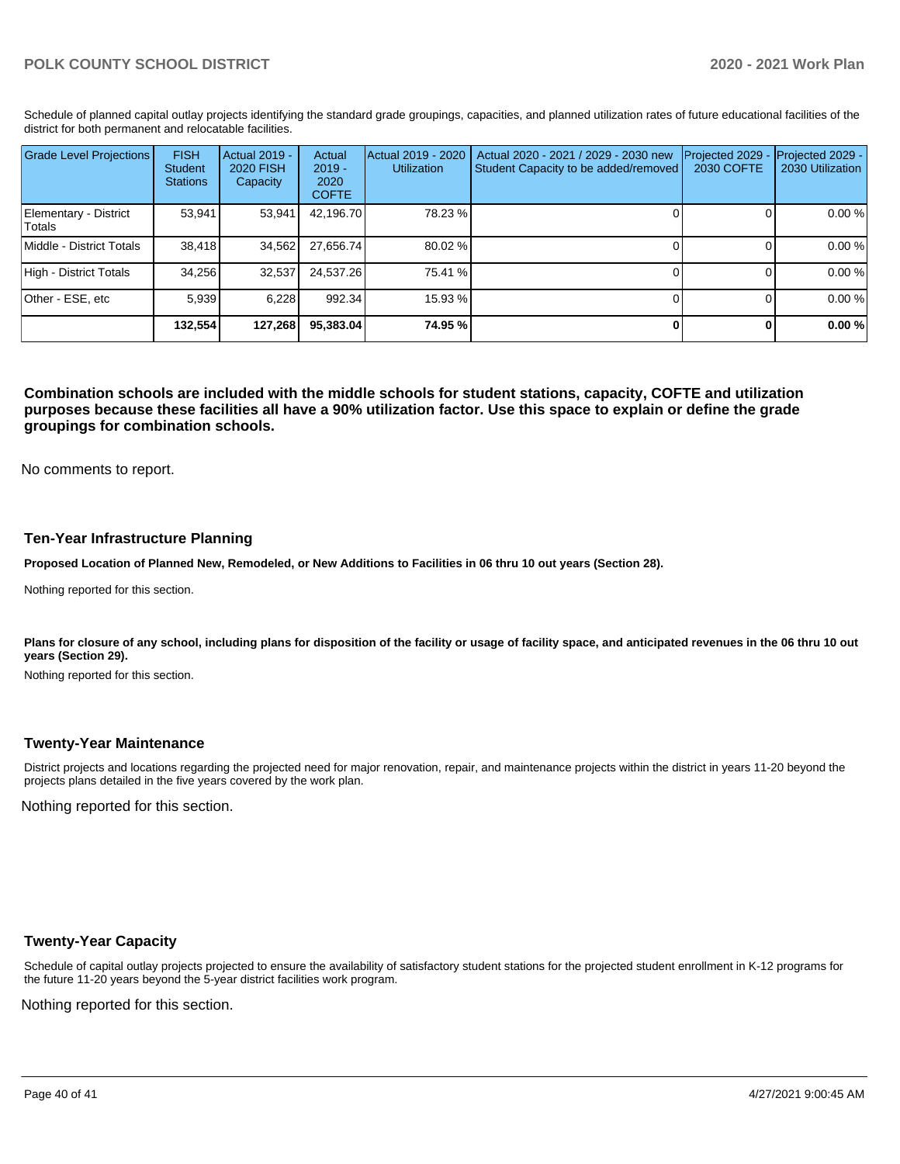Schedule of planned capital outlay projects identifying the standard grade groupings, capacities, and planned utilization rates of future educational facilities of the district for both permanent and relocatable facilities.

| <b>Grade Level Projections</b>  | <b>FISH</b><br>Student<br><b>Stations</b> | <b>Actual 2019 -</b><br>2020 FISH<br>Capacity | Actual<br>$2019 -$<br>2020<br><b>COFTE</b> | Actual 2019 - 2020<br><b>Utilization</b> | Actual 2020 - 2021 / 2029 - 2030 new<br>Student Capacity to be added/removed | Projected 2029<br>2030 COFTE | Projected 2029 -<br>2030 Utilization |
|---------------------------------|-------------------------------------------|-----------------------------------------------|--------------------------------------------|------------------------------------------|------------------------------------------------------------------------------|------------------------------|--------------------------------------|
| Elementary - District<br>Totals | 53.941                                    | 53.941                                        | 42,196.70                                  | 78.23 %                                  |                                                                              |                              | 0.00 %                               |
| Middle - District Totals        | 38.418                                    | 34,562                                        | 27.656.74                                  | 80.02 %                                  |                                                                              |                              | 0.00 %                               |
| High - District Totals          | 34.256                                    | 32.537                                        | 24.537.26                                  | 75.41 %                                  |                                                                              |                              | 0.00 %                               |
| Other - ESE, etc                | 5.939                                     | 6.228                                         | 992.34                                     | 15.93 %                                  |                                                                              |                              | 0.00 %                               |
|                                 | 132,554                                   | 127,268                                       | 95,383.04                                  | 74.95 %                                  |                                                                              |                              | 0.00%                                |

**Combination schools are included with the middle schools for student stations, capacity, COFTE and utilization purposes because these facilities all have a 90% utilization factor. Use this space to explain or define the grade groupings for combination schools.** 

No comments to report.

#### **Ten-Year Infrastructure Planning**

**Proposed Location of Planned New, Remodeled, or New Additions to Facilities in 06 thru 10 out years (Section 28).**

Nothing reported for this section.

Plans for closure of any school, including plans for disposition of the facility or usage of facility space, and anticipated revenues in the 06 thru 10 out **years (Section 29).**

Nothing reported for this section.

#### **Twenty-Year Maintenance**

District projects and locations regarding the projected need for major renovation, repair, and maintenance projects within the district in years 11-20 beyond the projects plans detailed in the five years covered by the work plan.

Nothing reported for this section.

### **Twenty-Year Capacity**

Schedule of capital outlay projects projected to ensure the availability of satisfactory student stations for the projected student enrollment in K-12 programs for the future 11-20 years beyond the 5-year district facilities work program.

Nothing reported for this section.